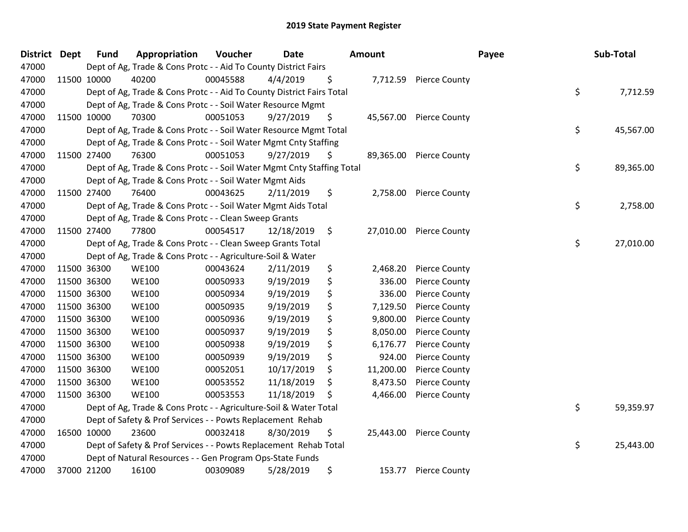| District Dept |             | <b>Fund</b> | Appropriation                                                          | Voucher  | <b>Date</b> |                    | Amount    |                         | Payee | Sub-Total       |
|---------------|-------------|-------------|------------------------------------------------------------------------|----------|-------------|--------------------|-----------|-------------------------|-------|-----------------|
| 47000         |             |             | Dept of Ag, Trade & Cons Protc - - Aid To County District Fairs        |          |             |                    |           |                         |       |                 |
| 47000         |             | 11500 10000 | 40200                                                                  | 00045588 | 4/4/2019    | \$                 |           | 7,712.59 Pierce County  |       |                 |
| 47000         |             |             | Dept of Ag, Trade & Cons Protc - - Aid To County District Fairs Total  |          |             |                    |           |                         |       | \$<br>7,712.59  |
| 47000         |             |             | Dept of Ag, Trade & Cons Protc - - Soil Water Resource Mgmt            |          |             |                    |           |                         |       |                 |
| 47000         |             | 11500 10000 | 70300                                                                  | 00051053 | 9/27/2019   | \$                 | 45,567.00 | <b>Pierce County</b>    |       |                 |
| 47000         |             |             | Dept of Ag, Trade & Cons Protc - - Soil Water Resource Mgmt Total      |          |             |                    |           |                         |       | \$<br>45,567.00 |
| 47000         |             |             | Dept of Ag, Trade & Cons Protc - - Soil Water Mgmt Cnty Staffing       |          |             |                    |           |                         |       |                 |
| 47000         |             | 11500 27400 | 76300                                                                  | 00051053 | 9/27/2019   | \$                 | 89,365.00 | <b>Pierce County</b>    |       |                 |
| 47000         |             |             | Dept of Ag, Trade & Cons Protc - - Soil Water Mgmt Cnty Staffing Total |          |             |                    |           |                         |       | \$<br>89,365.00 |
| 47000         |             |             | Dept of Ag, Trade & Cons Protc - - Soil Water Mgmt Aids                |          |             |                    |           |                         |       |                 |
| 47000         |             | 11500 27400 | 76400                                                                  | 00043625 | 2/11/2019   | \$                 | 2,758.00  | <b>Pierce County</b>    |       |                 |
| 47000         |             |             | Dept of Ag, Trade & Cons Protc - - Soil Water Mgmt Aids Total          |          |             |                    |           |                         |       | \$<br>2,758.00  |
| 47000         |             |             | Dept of Ag, Trade & Cons Protc - - Clean Sweep Grants                  |          |             |                    |           |                         |       |                 |
| 47000         |             | 11500 27400 | 77800                                                                  | 00054517 | 12/18/2019  | $\ddot{\varsigma}$ |           | 27,010.00 Pierce County |       |                 |
| 47000         |             |             | Dept of Ag, Trade & Cons Protc - - Clean Sweep Grants Total            |          |             |                    |           |                         |       | \$<br>27,010.00 |
| 47000         |             |             | Dept of Ag, Trade & Cons Protc - - Agriculture-Soil & Water            |          |             |                    |           |                         |       |                 |
| 47000         |             | 11500 36300 | <b>WE100</b>                                                           | 00043624 | 2/11/2019   | \$                 | 2,468.20  | <b>Pierce County</b>    |       |                 |
| 47000         | 11500 36300 |             | <b>WE100</b>                                                           | 00050933 | 9/19/2019   | \$                 | 336.00    | <b>Pierce County</b>    |       |                 |
| 47000         | 11500 36300 |             | <b>WE100</b>                                                           | 00050934 | 9/19/2019   | \$                 | 336.00    | <b>Pierce County</b>    |       |                 |
| 47000         | 11500 36300 |             | <b>WE100</b>                                                           | 00050935 | 9/19/2019   | \$                 | 7,129.50  | <b>Pierce County</b>    |       |                 |
| 47000         | 11500 36300 |             | <b>WE100</b>                                                           | 00050936 | 9/19/2019   | \$                 | 9,800.00  | <b>Pierce County</b>    |       |                 |
| 47000         |             | 11500 36300 | <b>WE100</b>                                                           | 00050937 | 9/19/2019   | \$                 | 8,050.00  | <b>Pierce County</b>    |       |                 |
| 47000         | 11500 36300 |             | <b>WE100</b>                                                           | 00050938 | 9/19/2019   | \$                 | 6,176.77  | <b>Pierce County</b>    |       |                 |
| 47000         | 11500 36300 |             | <b>WE100</b>                                                           | 00050939 | 9/19/2019   | \$                 | 924.00    | <b>Pierce County</b>    |       |                 |
| 47000         | 11500 36300 |             | <b>WE100</b>                                                           | 00052051 | 10/17/2019  | \$                 | 11,200.00 | <b>Pierce County</b>    |       |                 |
| 47000         |             | 11500 36300 | <b>WE100</b>                                                           | 00053552 | 11/18/2019  | \$                 | 8,473.50  | <b>Pierce County</b>    |       |                 |
| 47000         |             | 11500 36300 | <b>WE100</b>                                                           | 00053553 | 11/18/2019  | S                  | 4,466.00  | <b>Pierce County</b>    |       |                 |
| 47000         |             |             | Dept of Ag, Trade & Cons Protc - - Agriculture-Soil & Water Total      |          |             |                    |           |                         |       | \$<br>59,359.97 |
| 47000         |             |             | Dept of Safety & Prof Services - - Powts Replacement Rehab             |          |             |                    |           |                         |       |                 |
| 47000         |             | 16500 10000 | 23600                                                                  | 00032418 | 8/30/2019   | \$                 | 25,443.00 | <b>Pierce County</b>    |       |                 |
| 47000         |             |             | Dept of Safety & Prof Services - - Powts Replacement Rehab Total       |          |             |                    |           |                         |       | \$<br>25,443.00 |
| 47000         |             |             | Dept of Natural Resources - - Gen Program Ops-State Funds              |          |             |                    |           |                         |       |                 |
| 47000         |             | 37000 21200 | 16100                                                                  | 00309089 | 5/28/2019   | \$                 | 153.77    | <b>Pierce County</b>    |       |                 |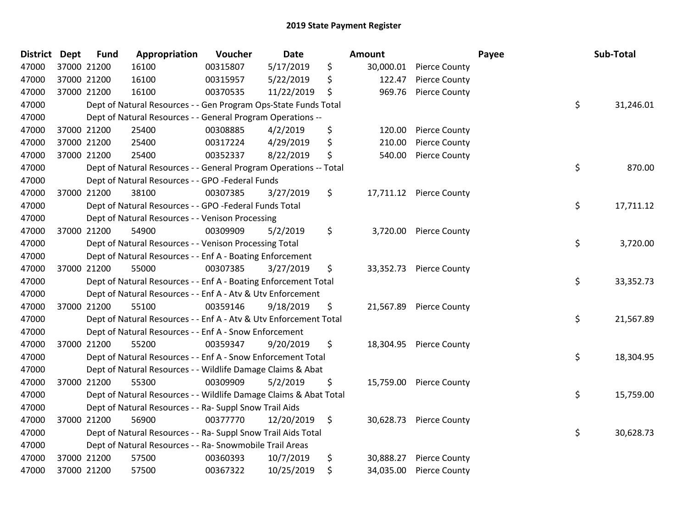| District Dept |             | <b>Fund</b> | Appropriation                                                     | Voucher  | <b>Date</b> | Amount          |                         | Payee | Sub-Total |
|---------------|-------------|-------------|-------------------------------------------------------------------|----------|-------------|-----------------|-------------------------|-------|-----------|
| 47000         | 37000 21200 |             | 16100                                                             | 00315807 | 5/17/2019   | \$<br>30,000.01 | <b>Pierce County</b>    |       |           |
| 47000         | 37000 21200 |             | 16100                                                             | 00315957 | 5/22/2019   | \$<br>122.47    | <b>Pierce County</b>    |       |           |
| 47000         | 37000 21200 |             | 16100                                                             | 00370535 | 11/22/2019  | \$<br>969.76    | <b>Pierce County</b>    |       |           |
| 47000         |             |             | Dept of Natural Resources - - Gen Program Ops-State Funds Total   |          |             |                 |                         | \$    | 31,246.01 |
| 47000         |             |             | Dept of Natural Resources - - General Program Operations --       |          |             |                 |                         |       |           |
| 47000         | 37000 21200 |             | 25400                                                             | 00308885 | 4/2/2019    | \$<br>120.00    | <b>Pierce County</b>    |       |           |
| 47000         | 37000 21200 |             | 25400                                                             | 00317224 | 4/29/2019   | \$<br>210.00    | <b>Pierce County</b>    |       |           |
| 47000         | 37000 21200 |             | 25400                                                             | 00352337 | 8/22/2019   | \$<br>540.00    | <b>Pierce County</b>    |       |           |
| 47000         |             |             | Dept of Natural Resources - - General Program Operations -- Total |          |             |                 |                         | \$    | 870.00    |
| 47000         |             |             | Dept of Natural Resources - - GPO -Federal Funds                  |          |             |                 |                         |       |           |
| 47000         | 37000 21200 |             | 38100                                                             | 00307385 | 3/27/2019   | \$              | 17,711.12 Pierce County |       |           |
| 47000         |             |             | Dept of Natural Resources - - GPO -Federal Funds Total            |          |             |                 |                         | \$    | 17,711.12 |
| 47000         |             |             | Dept of Natural Resources - - Venison Processing                  |          |             |                 |                         |       |           |
| 47000         | 37000 21200 |             | 54900                                                             | 00309909 | 5/2/2019    | \$<br>3,720.00  | <b>Pierce County</b>    |       |           |
| 47000         |             |             | Dept of Natural Resources - - Venison Processing Total            |          |             |                 |                         | \$    | 3,720.00  |
| 47000         |             |             | Dept of Natural Resources - - Enf A - Boating Enforcement         |          |             |                 |                         |       |           |
| 47000         | 37000 21200 |             | 55000                                                             | 00307385 | 3/27/2019   | \$<br>33,352.73 | <b>Pierce County</b>    |       |           |
| 47000         |             |             | Dept of Natural Resources - - Enf A - Boating Enforcement Total   |          |             |                 |                         | \$    | 33,352.73 |
| 47000         |             |             | Dept of Natural Resources - - Enf A - Atv & Utv Enforcement       |          |             |                 |                         |       |           |
| 47000         | 37000 21200 |             | 55100                                                             | 00359146 | 9/18/2019   | \$              | 21,567.89 Pierce County |       |           |
| 47000         |             |             | Dept of Natural Resources - - Enf A - Atv & Utv Enforcement Total |          |             |                 |                         | \$    | 21,567.89 |
| 47000         |             |             | Dept of Natural Resources - - Enf A - Snow Enforcement            |          |             |                 |                         |       |           |
| 47000         | 37000 21200 |             | 55200                                                             | 00359347 | 9/20/2019   | \$              | 18,304.95 Pierce County |       |           |
| 47000         |             |             | Dept of Natural Resources - - Enf A - Snow Enforcement Total      |          |             |                 |                         | \$    | 18,304.95 |
| 47000         |             |             | Dept of Natural Resources - - Wildlife Damage Claims & Abat       |          |             |                 |                         |       |           |
| 47000         | 37000 21200 |             | 55300                                                             | 00309909 | 5/2/2019    | \$              | 15,759.00 Pierce County |       |           |
| 47000         |             |             | Dept of Natural Resources - - Wildlife Damage Claims & Abat Total |          |             |                 |                         | \$    | 15,759.00 |
| 47000         |             |             | Dept of Natural Resources - - Ra- Suppl Snow Trail Aids           |          |             |                 |                         |       |           |
| 47000         | 37000 21200 |             | 56900                                                             | 00377770 | 12/20/2019  | \$              | 30,628.73 Pierce County |       |           |
| 47000         |             |             | Dept of Natural Resources - - Ra- Suppl Snow Trail Aids Total     |          |             |                 |                         | \$    | 30,628.73 |
| 47000         |             |             | Dept of Natural Resources - - Ra- Snowmobile Trail Areas          |          |             |                 |                         |       |           |
| 47000         | 37000 21200 |             | 57500                                                             | 00360393 | 10/7/2019   | \$<br>30,888.27 | <b>Pierce County</b>    |       |           |
| 47000         | 37000 21200 |             | 57500                                                             | 00367322 | 10/25/2019  | \$<br>34,035.00 | <b>Pierce County</b>    |       |           |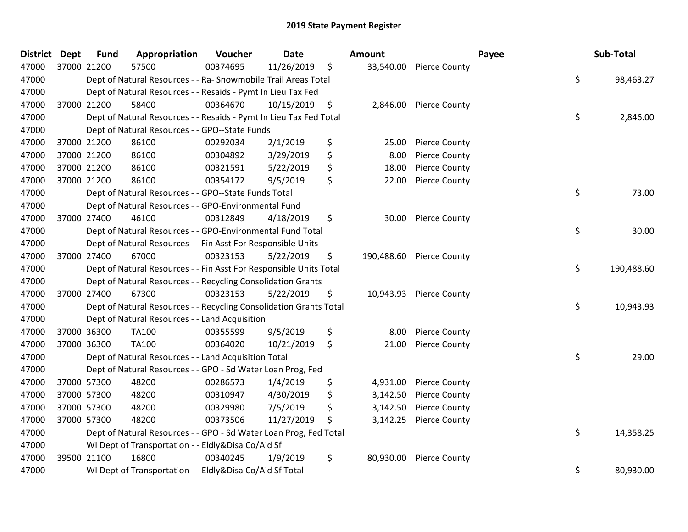| <b>District</b> | <b>Dept</b> | <b>Fund</b> | Appropriation                                                      | Voucher  | <b>Date</b> |      | Amount     |                         | Payee | Sub-Total  |
|-----------------|-------------|-------------|--------------------------------------------------------------------|----------|-------------|------|------------|-------------------------|-------|------------|
| 47000           |             | 37000 21200 | 57500                                                              | 00374695 | 11/26/2019  | \$   |            | 33,540.00 Pierce County |       |            |
| 47000           |             |             | Dept of Natural Resources - - Ra- Snowmobile Trail Areas Total     |          |             |      |            |                         | \$    | 98,463.27  |
| 47000           |             |             | Dept of Natural Resources - - Resaids - Pymt In Lieu Tax Fed       |          |             |      |            |                         |       |            |
| 47000           |             | 37000 21200 | 58400                                                              | 00364670 | 10/15/2019  | - \$ |            | 2,846.00 Pierce County  |       |            |
| 47000           |             |             | Dept of Natural Resources - - Resaids - Pymt In Lieu Tax Fed Total |          |             |      |            |                         | \$    | 2,846.00   |
| 47000           |             |             | Dept of Natural Resources - - GPO--State Funds                     |          |             |      |            |                         |       |            |
| 47000           |             | 37000 21200 | 86100                                                              | 00292034 | 2/1/2019    | \$   | 25.00      | <b>Pierce County</b>    |       |            |
| 47000           |             | 37000 21200 | 86100                                                              | 00304892 | 3/29/2019   | \$   | 8.00       | <b>Pierce County</b>    |       |            |
| 47000           |             | 37000 21200 | 86100                                                              | 00321591 | 5/22/2019   | \$   | 18.00      | <b>Pierce County</b>    |       |            |
| 47000           | 37000 21200 |             | 86100                                                              | 00354172 | 9/5/2019    | \$   | 22.00      | <b>Pierce County</b>    |       |            |
| 47000           |             |             | Dept of Natural Resources - - GPO--State Funds Total               |          |             |      |            |                         | \$    | 73.00      |
| 47000           |             |             | Dept of Natural Resources - - GPO-Environmental Fund               |          |             |      |            |                         |       |            |
| 47000           |             | 37000 27400 | 46100                                                              | 00312849 | 4/18/2019   | \$   | 30.00      | <b>Pierce County</b>    |       |            |
| 47000           |             |             | Dept of Natural Resources - - GPO-Environmental Fund Total         |          |             |      |            |                         | \$    | 30.00      |
| 47000           |             |             | Dept of Natural Resources - - Fin Asst For Responsible Units       |          |             |      |            |                         |       |            |
| 47000           |             | 37000 27400 | 67000                                                              | 00323153 | 5/22/2019   | \$   | 190,488.60 | <b>Pierce County</b>    |       |            |
| 47000           |             |             | Dept of Natural Resources - - Fin Asst For Responsible Units Total |          |             |      |            |                         | \$    | 190,488.60 |
| 47000           |             |             | Dept of Natural Resources - - Recycling Consolidation Grants       |          |             |      |            |                         |       |            |
| 47000           |             | 37000 27400 | 67300                                                              | 00323153 | 5/22/2019   | \$   |            | 10,943.93 Pierce County |       |            |
| 47000           |             |             | Dept of Natural Resources - - Recycling Consolidation Grants Total |          |             |      |            |                         | \$    | 10,943.93  |
| 47000           |             |             | Dept of Natural Resources - - Land Acquisition                     |          |             |      |            |                         |       |            |
| 47000           |             | 37000 36300 | TA100                                                              | 00355599 | 9/5/2019    | \$   | 8.00       | <b>Pierce County</b>    |       |            |
| 47000           | 37000 36300 |             | TA100                                                              | 00364020 | 10/21/2019  | \$   | 21.00      | <b>Pierce County</b>    |       |            |
| 47000           |             |             | Dept of Natural Resources - - Land Acquisition Total               |          |             |      |            |                         | \$    | 29.00      |
| 47000           |             |             | Dept of Natural Resources - - GPO - Sd Water Loan Prog, Fed        |          |             |      |            |                         |       |            |
| 47000           |             | 37000 57300 | 48200                                                              | 00286573 | 1/4/2019    | \$   | 4,931.00   | <b>Pierce County</b>    |       |            |
| 47000           |             | 37000 57300 | 48200                                                              | 00310947 | 4/30/2019   | \$   | 3,142.50   | <b>Pierce County</b>    |       |            |
| 47000           | 37000 57300 |             | 48200                                                              | 00329980 | 7/5/2019    | \$   | 3,142.50   | <b>Pierce County</b>    |       |            |
| 47000           | 37000 57300 |             | 48200                                                              | 00373506 | 11/27/2019  | \$   | 3,142.25   | <b>Pierce County</b>    |       |            |
| 47000           |             |             | Dept of Natural Resources - - GPO - Sd Water Loan Prog, Fed Total  |          |             |      |            |                         | \$    | 14,358.25  |
| 47000           |             |             | WI Dept of Transportation - - Eldly&Disa Co/Aid Sf                 |          |             |      |            |                         |       |            |
| 47000           |             | 39500 21100 | 16800                                                              | 00340245 | 1/9/2019    | \$   | 80,930.00  | <b>Pierce County</b>    |       |            |
| 47000           |             |             | WI Dept of Transportation - - Eldly&Disa Co/Aid Sf Total           |          |             |      |            |                         | \$    | 80,930.00  |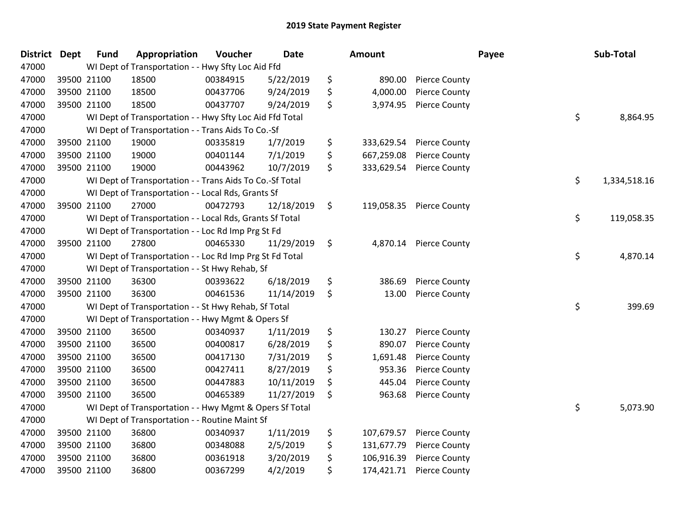| <b>District</b> | <b>Dept</b> | <b>Fund</b> | Appropriation                                            | Voucher  | <b>Date</b> | Amount           |                      | Payee | Sub-Total    |
|-----------------|-------------|-------------|----------------------------------------------------------|----------|-------------|------------------|----------------------|-------|--------------|
| 47000           |             |             | WI Dept of Transportation - - Hwy Sfty Loc Aid Ffd       |          |             |                  |                      |       |              |
| 47000           |             | 39500 21100 | 18500                                                    | 00384915 | 5/22/2019   | \$<br>890.00     | <b>Pierce County</b> |       |              |
| 47000           |             | 39500 21100 | 18500                                                    | 00437706 | 9/24/2019   | \$<br>4,000.00   | <b>Pierce County</b> |       |              |
| 47000           |             | 39500 21100 | 18500                                                    | 00437707 | 9/24/2019   | \$<br>3,974.95   | <b>Pierce County</b> |       |              |
| 47000           |             |             | WI Dept of Transportation - - Hwy Sfty Loc Aid Ffd Total |          |             |                  |                      | \$    | 8,864.95     |
| 47000           |             |             | WI Dept of Transportation - - Trans Aids To Co.-Sf       |          |             |                  |                      |       |              |
| 47000           |             | 39500 21100 | 19000                                                    | 00335819 | 1/7/2019    | \$<br>333,629.54 | <b>Pierce County</b> |       |              |
| 47000           |             | 39500 21100 | 19000                                                    | 00401144 | 7/1/2019    | \$<br>667,259.08 | <b>Pierce County</b> |       |              |
| 47000           |             | 39500 21100 | 19000                                                    | 00443962 | 10/7/2019   | \$<br>333,629.54 | <b>Pierce County</b> |       |              |
| 47000           |             |             | WI Dept of Transportation - - Trans Aids To Co.-Sf Total |          |             |                  |                      | \$    | 1,334,518.16 |
| 47000           |             |             | WI Dept of Transportation - - Local Rds, Grants Sf       |          |             |                  |                      |       |              |
| 47000           |             | 39500 21100 | 27000                                                    | 00472793 | 12/18/2019  | \$<br>119,058.35 | <b>Pierce County</b> |       |              |
| 47000           |             |             | WI Dept of Transportation - - Local Rds, Grants Sf Total |          |             |                  |                      | \$    | 119,058.35   |
| 47000           |             |             | WI Dept of Transportation - - Loc Rd Imp Prg St Fd       |          |             |                  |                      |       |              |
| 47000           |             | 39500 21100 | 27800                                                    | 00465330 | 11/29/2019  | \$<br>4,870.14   | <b>Pierce County</b> |       |              |
| 47000           |             |             | WI Dept of Transportation - - Loc Rd Imp Prg St Fd Total |          |             |                  |                      | \$    | 4,870.14     |
| 47000           |             |             | WI Dept of Transportation - - St Hwy Rehab, Sf           |          |             |                  |                      |       |              |
| 47000           |             | 39500 21100 | 36300                                                    | 00393622 | 6/18/2019   | \$<br>386.69     | <b>Pierce County</b> |       |              |
| 47000           |             | 39500 21100 | 36300                                                    | 00461536 | 11/14/2019  | \$<br>13.00      | <b>Pierce County</b> |       |              |
| 47000           |             |             | WI Dept of Transportation - - St Hwy Rehab, Sf Total     |          |             |                  |                      | \$    | 399.69       |
| 47000           |             |             | WI Dept of Transportation - - Hwy Mgmt & Opers Sf        |          |             |                  |                      |       |              |
| 47000           |             | 39500 21100 | 36500                                                    | 00340937 | 1/11/2019   | \$<br>130.27     | <b>Pierce County</b> |       |              |
| 47000           |             | 39500 21100 | 36500                                                    | 00400817 | 6/28/2019   | \$<br>890.07     | <b>Pierce County</b> |       |              |
| 47000           |             | 39500 21100 | 36500                                                    | 00417130 | 7/31/2019   | \$<br>1,691.48   | <b>Pierce County</b> |       |              |
| 47000           |             | 39500 21100 | 36500                                                    | 00427411 | 8/27/2019   | \$<br>953.36     | <b>Pierce County</b> |       |              |
| 47000           |             | 39500 21100 | 36500                                                    | 00447883 | 10/11/2019  | \$<br>445.04     | <b>Pierce County</b> |       |              |
| 47000           |             | 39500 21100 | 36500                                                    | 00465389 | 11/27/2019  | \$<br>963.68     | <b>Pierce County</b> |       |              |
| 47000           |             |             | WI Dept of Transportation - - Hwy Mgmt & Opers Sf Total  |          |             |                  |                      | \$    | 5,073.90     |
| 47000           |             |             | WI Dept of Transportation - - Routine Maint Sf           |          |             |                  |                      |       |              |
| 47000           |             | 39500 21100 | 36800                                                    | 00340937 | 1/11/2019   | \$<br>107,679.57 | <b>Pierce County</b> |       |              |
| 47000           |             | 39500 21100 | 36800                                                    | 00348088 | 2/5/2019    | \$<br>131,677.79 | <b>Pierce County</b> |       |              |
| 47000           |             | 39500 21100 | 36800                                                    | 00361918 | 3/20/2019   | \$<br>106,916.39 | <b>Pierce County</b> |       |              |
| 47000           |             | 39500 21100 | 36800                                                    | 00367299 | 4/2/2019    | \$<br>174,421.71 | <b>Pierce County</b> |       |              |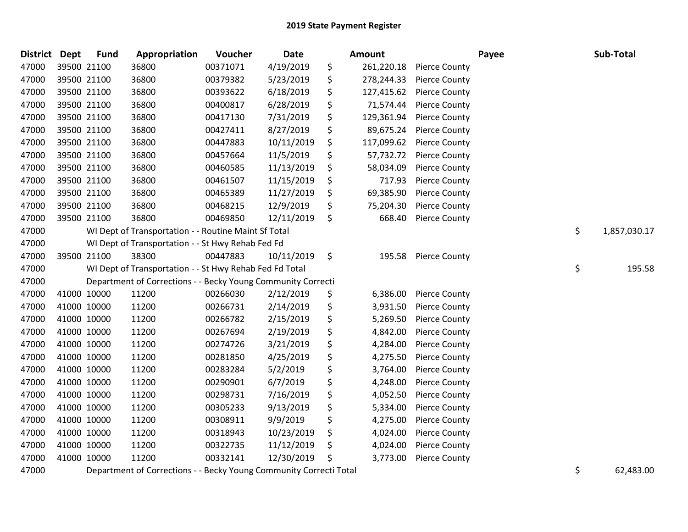| <b>District</b> | Dept        | <b>Fund</b> | Appropriation                                                | Voucher  | Date       | <b>Amount</b>    |                      | Payee | Sub-Total          |
|-----------------|-------------|-------------|--------------------------------------------------------------|----------|------------|------------------|----------------------|-------|--------------------|
| 47000           |             | 39500 21100 | 36800                                                        | 00371071 | 4/19/2019  | \$<br>261,220.18 | <b>Pierce County</b> |       |                    |
| 47000           |             | 39500 21100 | 36800                                                        | 00379382 | 5/23/2019  | \$<br>278,244.33 | <b>Pierce County</b> |       |                    |
| 47000           |             | 39500 21100 | 36800                                                        | 00393622 | 6/18/2019  | \$<br>127,415.62 | <b>Pierce County</b> |       |                    |
| 47000           |             | 39500 21100 | 36800                                                        | 00400817 | 6/28/2019  | \$<br>71,574.44  | <b>Pierce County</b> |       |                    |
| 47000           |             | 39500 21100 | 36800                                                        | 00417130 | 7/31/2019  | \$<br>129,361.94 | <b>Pierce County</b> |       |                    |
| 47000           |             | 39500 21100 | 36800                                                        | 00427411 | 8/27/2019  | \$<br>89,675.24  | <b>Pierce County</b> |       |                    |
| 47000           |             | 39500 21100 | 36800                                                        | 00447883 | 10/11/2019 | \$<br>117,099.62 | <b>Pierce County</b> |       |                    |
| 47000           |             | 39500 21100 | 36800                                                        | 00457664 | 11/5/2019  | \$<br>57,732.72  | <b>Pierce County</b> |       |                    |
| 47000           |             | 39500 21100 | 36800                                                        | 00460585 | 11/13/2019 | \$<br>58,034.09  | <b>Pierce County</b> |       |                    |
| 47000           |             | 39500 21100 | 36800                                                        | 00461507 | 11/15/2019 | \$<br>717.93     | <b>Pierce County</b> |       |                    |
| 47000           |             | 39500 21100 | 36800                                                        | 00465389 | 11/27/2019 | \$<br>69,385.90  | <b>Pierce County</b> |       |                    |
| 47000           |             | 39500 21100 | 36800                                                        | 00468215 | 12/9/2019  | \$<br>75,204.30  | <b>Pierce County</b> |       |                    |
| 47000           |             | 39500 21100 | 36800                                                        | 00469850 | 12/11/2019 | \$<br>668.40     | <b>Pierce County</b> |       |                    |
| 47000           |             |             | WI Dept of Transportation - - Routine Maint Sf Total         |          |            |                  |                      |       | \$<br>1,857,030.17 |
| 47000           |             |             | WI Dept of Transportation - - St Hwy Rehab Fed Fd            |          |            |                  |                      |       |                    |
| 47000           |             | 39500 21100 | 38300                                                        | 00447883 | 10/11/2019 | \$<br>195.58     | <b>Pierce County</b> |       |                    |
| 47000           |             |             | WI Dept of Transportation - - St Hwy Rehab Fed Fd Total      |          |            |                  |                      |       | \$<br>195.58       |
| 47000           |             |             | Department of Corrections - - Becky Young Community Correcti |          |            |                  |                      |       |                    |
| 47000           |             | 41000 10000 | 11200                                                        | 00266030 | 2/12/2019  | \$<br>6,386.00   | <b>Pierce County</b> |       |                    |
| 47000           |             | 41000 10000 | 11200                                                        | 00266731 | 2/14/2019  | \$<br>3,931.50   | <b>Pierce County</b> |       |                    |
| 47000           |             | 41000 10000 | 11200                                                        | 00266782 | 2/15/2019  | \$<br>5,269.50   | <b>Pierce County</b> |       |                    |
| 47000           |             | 41000 10000 | 11200                                                        | 00267694 | 2/19/2019  | \$<br>4,842.00   | <b>Pierce County</b> |       |                    |
| 47000           |             | 41000 10000 | 11200                                                        | 00274726 | 3/21/2019  | \$<br>4,284.00   | <b>Pierce County</b> |       |                    |
| 47000           |             | 41000 10000 | 11200                                                        | 00281850 | 4/25/2019  | \$<br>4,275.50   | Pierce County        |       |                    |
| 47000           |             | 41000 10000 | 11200                                                        | 00283284 | 5/2/2019   | \$<br>3,764.00   | <b>Pierce County</b> |       |                    |
| 47000           |             | 41000 10000 | 11200                                                        | 00290901 | 6/7/2019   | \$<br>4,248.00   | <b>Pierce County</b> |       |                    |
| 47000           |             | 41000 10000 | 11200                                                        | 00298731 | 7/16/2019  | \$<br>4,052.50   | <b>Pierce County</b> |       |                    |
| 47000           | 41000 10000 |             | 11200                                                        | 00305233 | 9/13/2019  | \$<br>5,334.00   | <b>Pierce County</b> |       |                    |
| 47000           |             | 41000 10000 | 11200                                                        | 00308911 | 9/9/2019   | \$<br>4,275.00   | <b>Pierce County</b> |       |                    |
| 47000           |             | 41000 10000 | 11200                                                        | 00318943 | 10/23/2019 | \$<br>4,024.00   | <b>Pierce County</b> |       |                    |
| 47000           |             | 41000 10000 | 11200                                                        | 00322735 | 11/12/2019 | \$<br>4,024.00   | <b>Pierce County</b> |       |                    |
| 47000           |             | 41000 10000 | 11200                                                        | 00332141 | 12/30/2019 | \$<br>3,773.00   | <b>Pierce County</b> |       |                    |
|                 |             |             |                                                              |          |            |                  |                      |       |                    |

47000 Department of Corrections - - Becky Young Community Correcti Total 67 and 1990 Community Correcti Total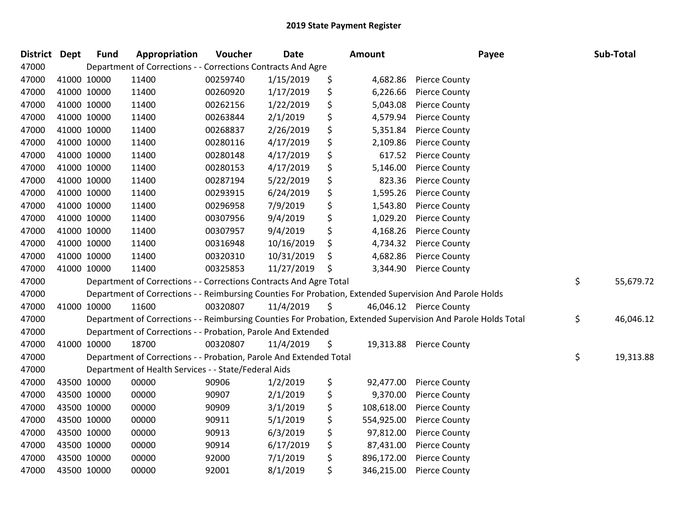| <b>District</b> | <b>Dept</b> | <b>Fund</b> | Appropriation                                                      | Voucher  | Date       | Amount           | Payee                                                                                                         | Sub-Total       |
|-----------------|-------------|-------------|--------------------------------------------------------------------|----------|------------|------------------|---------------------------------------------------------------------------------------------------------------|-----------------|
| 47000           |             |             | Department of Corrections - - Corrections Contracts And Agre       |          |            |                  |                                                                                                               |                 |
| 47000           | 41000 10000 |             | 11400                                                              | 00259740 | 1/15/2019  | \$<br>4,682.86   | <b>Pierce County</b>                                                                                          |                 |
| 47000           | 41000 10000 |             | 11400                                                              | 00260920 | 1/17/2019  | \$<br>6,226.66   | <b>Pierce County</b>                                                                                          |                 |
| 47000           | 41000 10000 |             | 11400                                                              | 00262156 | 1/22/2019  | \$<br>5,043.08   | <b>Pierce County</b>                                                                                          |                 |
| 47000           | 41000 10000 |             | 11400                                                              | 00263844 | 2/1/2019   | \$<br>4,579.94   | <b>Pierce County</b>                                                                                          |                 |
| 47000           | 41000 10000 |             | 11400                                                              | 00268837 | 2/26/2019  | \$<br>5,351.84   | <b>Pierce County</b>                                                                                          |                 |
| 47000           | 41000 10000 |             | 11400                                                              | 00280116 | 4/17/2019  | \$<br>2,109.86   | <b>Pierce County</b>                                                                                          |                 |
| 47000           | 41000 10000 |             | 11400                                                              | 00280148 | 4/17/2019  | \$<br>617.52     | <b>Pierce County</b>                                                                                          |                 |
| 47000           | 41000 10000 |             | 11400                                                              | 00280153 | 4/17/2019  | \$<br>5,146.00   | <b>Pierce County</b>                                                                                          |                 |
| 47000           | 41000 10000 |             | 11400                                                              | 00287194 | 5/22/2019  | \$<br>823.36     | <b>Pierce County</b>                                                                                          |                 |
| 47000           | 41000 10000 |             | 11400                                                              | 00293915 | 6/24/2019  | \$<br>1,595.26   | <b>Pierce County</b>                                                                                          |                 |
| 47000           | 41000 10000 |             | 11400                                                              | 00296958 | 7/9/2019   | \$<br>1,543.80   | <b>Pierce County</b>                                                                                          |                 |
| 47000           | 41000 10000 |             | 11400                                                              | 00307956 | 9/4/2019   | \$<br>1,029.20   | <b>Pierce County</b>                                                                                          |                 |
| 47000           | 41000 10000 |             | 11400                                                              | 00307957 | 9/4/2019   | \$<br>4,168.26   | <b>Pierce County</b>                                                                                          |                 |
| 47000           | 41000 10000 |             | 11400                                                              | 00316948 | 10/16/2019 | \$<br>4,734.32   | <b>Pierce County</b>                                                                                          |                 |
| 47000           | 41000 10000 |             | 11400                                                              | 00320310 | 10/31/2019 | \$<br>4,682.86   | <b>Pierce County</b>                                                                                          |                 |
| 47000           | 41000 10000 |             | 11400                                                              | 00325853 | 11/27/2019 | \$<br>3,344.90   | <b>Pierce County</b>                                                                                          |                 |
| 47000           |             |             | Department of Corrections - - Corrections Contracts And Agre Total |          |            |                  |                                                                                                               | \$<br>55,679.72 |
| 47000           |             |             |                                                                    |          |            |                  | Department of Corrections - - Reimbursing Counties For Probation, Extended Supervision And Parole Holds       |                 |
| 47000           | 41000 10000 |             | 11600                                                              | 00320807 | 11/4/2019  | \$               | 46,046.12 Pierce County                                                                                       |                 |
| 47000           |             |             |                                                                    |          |            |                  | Department of Corrections - - Reimbursing Counties For Probation, Extended Supervision And Parole Holds Total | \$<br>46,046.12 |
| 47000           |             |             | Department of Corrections - - Probation, Parole And Extended       |          |            |                  |                                                                                                               |                 |
| 47000           | 41000 10000 |             | 18700                                                              | 00320807 | 11/4/2019  | \$<br>19,313.88  | <b>Pierce County</b>                                                                                          |                 |
| 47000           |             |             | Department of Corrections - - Probation, Parole And Extended Total |          |            |                  |                                                                                                               | \$<br>19,313.88 |
| 47000           |             |             | Department of Health Services - - State/Federal Aids               |          |            |                  |                                                                                                               |                 |
| 47000           | 43500 10000 |             | 00000                                                              | 90906    | 1/2/2019   | \$<br>92,477.00  | <b>Pierce County</b>                                                                                          |                 |
| 47000           | 43500 10000 |             | 00000                                                              | 90907    | 2/1/2019   | \$<br>9,370.00   | <b>Pierce County</b>                                                                                          |                 |
| 47000           | 43500 10000 |             | 00000                                                              | 90909    | 3/1/2019   | \$<br>108,618.00 | <b>Pierce County</b>                                                                                          |                 |
| 47000           | 43500 10000 |             | 00000                                                              | 90911    | 5/1/2019   | \$<br>554,925.00 | <b>Pierce County</b>                                                                                          |                 |
| 47000           | 43500 10000 |             | 00000                                                              | 90913    | 6/3/2019   | \$<br>97,812.00  | <b>Pierce County</b>                                                                                          |                 |
| 47000           | 43500 10000 |             | 00000                                                              | 90914    | 6/17/2019  | \$<br>87,431.00  | <b>Pierce County</b>                                                                                          |                 |
| 47000           | 43500 10000 |             | 00000                                                              | 92000    | 7/1/2019   | \$<br>896,172.00 | <b>Pierce County</b>                                                                                          |                 |
| 47000           | 43500 10000 |             | 00000                                                              | 92001    | 8/1/2019   | \$<br>346,215.00 | <b>Pierce County</b>                                                                                          |                 |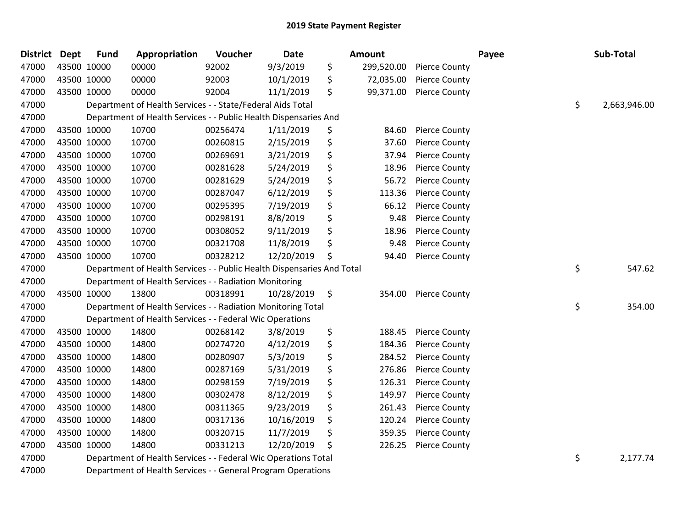| <b>District Dept</b> |             | <b>Fund</b> | Appropriation                                                          | Voucher  | <b>Date</b> | Amount           |                      | Payee | Sub-Total          |
|----------------------|-------------|-------------|------------------------------------------------------------------------|----------|-------------|------------------|----------------------|-------|--------------------|
| 47000                |             | 43500 10000 | 00000                                                                  | 92002    | 9/3/2019    | \$<br>299,520.00 | <b>Pierce County</b> |       |                    |
| 47000                |             | 43500 10000 | 00000                                                                  | 92003    | 10/1/2019   | \$<br>72,035.00  | <b>Pierce County</b> |       |                    |
| 47000                |             | 43500 10000 | 00000                                                                  | 92004    | 11/1/2019   | \$<br>99,371.00  | <b>Pierce County</b> |       |                    |
| 47000                |             |             | Department of Health Services - - State/Federal Aids Total             |          |             |                  |                      |       | \$<br>2,663,946.00 |
| 47000                |             |             | Department of Health Services - - Public Health Dispensaries And       |          |             |                  |                      |       |                    |
| 47000                |             | 43500 10000 | 10700                                                                  | 00256474 | 1/11/2019   | \$<br>84.60      | <b>Pierce County</b> |       |                    |
| 47000                |             | 43500 10000 | 10700                                                                  | 00260815 | 2/15/2019   | \$<br>37.60      | <b>Pierce County</b> |       |                    |
| 47000                |             | 43500 10000 | 10700                                                                  | 00269691 | 3/21/2019   | \$<br>37.94      | <b>Pierce County</b> |       |                    |
| 47000                |             | 43500 10000 | 10700                                                                  | 00281628 | 5/24/2019   | \$<br>18.96      | <b>Pierce County</b> |       |                    |
| 47000                |             | 43500 10000 | 10700                                                                  | 00281629 | 5/24/2019   | \$<br>56.72      | <b>Pierce County</b> |       |                    |
| 47000                |             | 43500 10000 | 10700                                                                  | 00287047 | 6/12/2019   | \$<br>113.36     | <b>Pierce County</b> |       |                    |
| 47000                |             | 43500 10000 | 10700                                                                  | 00295395 | 7/19/2019   | \$<br>66.12      | <b>Pierce County</b> |       |                    |
| 47000                |             | 43500 10000 | 10700                                                                  | 00298191 | 8/8/2019    | \$<br>9.48       | <b>Pierce County</b> |       |                    |
| 47000                |             | 43500 10000 | 10700                                                                  | 00308052 | 9/11/2019   | \$<br>18.96      | <b>Pierce County</b> |       |                    |
| 47000                |             | 43500 10000 | 10700                                                                  | 00321708 | 11/8/2019   | \$<br>9.48       | <b>Pierce County</b> |       |                    |
| 47000                |             | 43500 10000 | 10700                                                                  | 00328212 | 12/20/2019  | \$<br>94.40      | <b>Pierce County</b> |       |                    |
| 47000                |             |             | Department of Health Services - - Public Health Dispensaries And Total |          |             |                  |                      |       | \$<br>547.62       |
| 47000                |             |             | Department of Health Services - - Radiation Monitoring                 |          |             |                  |                      |       |                    |
| 47000                |             | 43500 10000 | 13800                                                                  | 00318991 | 10/28/2019  | \$<br>354.00     | <b>Pierce County</b> |       |                    |
| 47000                |             |             | Department of Health Services - - Radiation Monitoring Total           |          |             |                  |                      |       | \$<br>354.00       |
| 47000                |             |             | Department of Health Services - - Federal Wic Operations               |          |             |                  |                      |       |                    |
| 47000                |             | 43500 10000 | 14800                                                                  | 00268142 | 3/8/2019    | \$<br>188.45     | <b>Pierce County</b> |       |                    |
| 47000                |             | 43500 10000 | 14800                                                                  | 00274720 | 4/12/2019   | \$<br>184.36     | <b>Pierce County</b> |       |                    |
| 47000                |             | 43500 10000 | 14800                                                                  | 00280907 | 5/3/2019    | \$<br>284.52     | <b>Pierce County</b> |       |                    |
| 47000                |             | 43500 10000 | 14800                                                                  | 00287169 | 5/31/2019   | \$<br>276.86     | <b>Pierce County</b> |       |                    |
| 47000                |             | 43500 10000 | 14800                                                                  | 00298159 | 7/19/2019   | \$<br>126.31     | <b>Pierce County</b> |       |                    |
| 47000                | 43500 10000 |             | 14800                                                                  | 00302478 | 8/12/2019   | \$<br>149.97     | <b>Pierce County</b> |       |                    |
| 47000                |             | 43500 10000 | 14800                                                                  | 00311365 | 9/23/2019   | \$<br>261.43     | <b>Pierce County</b> |       |                    |
| 47000                |             | 43500 10000 | 14800                                                                  | 00317136 | 10/16/2019  | \$<br>120.24     | <b>Pierce County</b> |       |                    |
| 47000                |             | 43500 10000 | 14800                                                                  | 00320715 | 11/7/2019   | \$<br>359.35     | <b>Pierce County</b> |       |                    |
| 47000                |             | 43500 10000 | 14800                                                                  | 00331213 | 12/20/2019  | \$<br>226.25     | <b>Pierce County</b> |       |                    |
| 47000                |             |             | Department of Health Services - - Federal Wic Operations Total         |          |             |                  |                      |       | \$<br>2,177.74     |
| 47000                |             |             | Department of Health Services - - General Program Operations           |          |             |                  |                      |       |                    |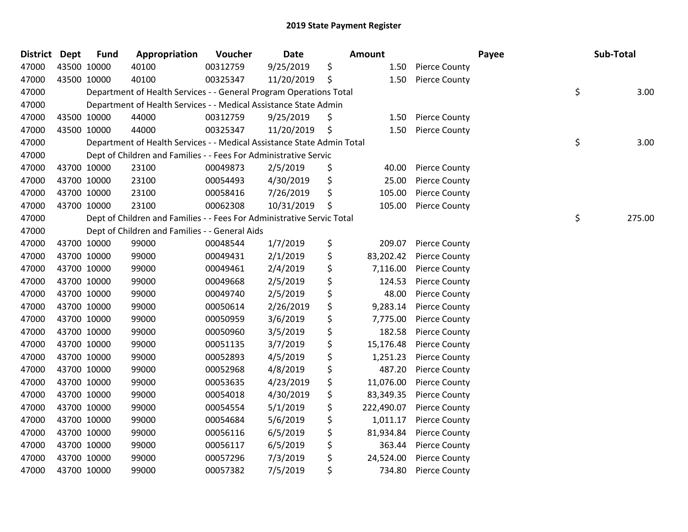| <b>District</b> | <b>Dept</b> | <b>Fund</b> | Appropriation                                                          | Voucher  | Date       | <b>Amount</b>    |                      | Payee | Sub-Total    |
|-----------------|-------------|-------------|------------------------------------------------------------------------|----------|------------|------------------|----------------------|-------|--------------|
| 47000           |             | 43500 10000 | 40100                                                                  | 00312759 | 9/25/2019  | \$<br>1.50       | <b>Pierce County</b> |       |              |
| 47000           |             | 43500 10000 | 40100                                                                  | 00325347 | 11/20/2019 | \$<br>1.50       | <b>Pierce County</b> |       |              |
| 47000           |             |             | Department of Health Services - - General Program Operations Total     |          |            |                  |                      |       | \$<br>3.00   |
| 47000           |             |             | Department of Health Services - - Medical Assistance State Admin       |          |            |                  |                      |       |              |
| 47000           |             | 43500 10000 | 44000                                                                  | 00312759 | 9/25/2019  | \$<br>1.50       | <b>Pierce County</b> |       |              |
| 47000           |             | 43500 10000 | 44000                                                                  | 00325347 | 11/20/2019 | \$<br>1.50       | <b>Pierce County</b> |       |              |
| 47000           |             |             | Department of Health Services - - Medical Assistance State Admin Total |          |            |                  |                      |       | \$<br>3.00   |
| 47000           |             |             | Dept of Children and Families - - Fees For Administrative Servic       |          |            |                  |                      |       |              |
| 47000           |             | 43700 10000 | 23100                                                                  | 00049873 | 2/5/2019   | \$<br>40.00      | <b>Pierce County</b> |       |              |
| 47000           |             | 43700 10000 | 23100                                                                  | 00054493 | 4/30/2019  | \$<br>25.00      | <b>Pierce County</b> |       |              |
| 47000           |             | 43700 10000 | 23100                                                                  | 00058416 | 7/26/2019  | \$<br>105.00     | <b>Pierce County</b> |       |              |
| 47000           |             | 43700 10000 | 23100                                                                  | 00062308 | 10/31/2019 | \$<br>105.00     | <b>Pierce County</b> |       |              |
| 47000           |             |             | Dept of Children and Families - - Fees For Administrative Servic Total |          |            |                  |                      |       | \$<br>275.00 |
| 47000           |             |             | Dept of Children and Families - - General Aids                         |          |            |                  |                      |       |              |
| 47000           |             | 43700 10000 | 99000                                                                  | 00048544 | 1/7/2019   | \$<br>209.07     | <b>Pierce County</b> |       |              |
| 47000           |             | 43700 10000 | 99000                                                                  | 00049431 | 2/1/2019   | \$<br>83,202.42  | <b>Pierce County</b> |       |              |
| 47000           |             | 43700 10000 | 99000                                                                  | 00049461 | 2/4/2019   | \$<br>7,116.00   | <b>Pierce County</b> |       |              |
| 47000           |             | 43700 10000 | 99000                                                                  | 00049668 | 2/5/2019   | \$<br>124.53     | <b>Pierce County</b> |       |              |
| 47000           |             | 43700 10000 | 99000                                                                  | 00049740 | 2/5/2019   | \$<br>48.00      | <b>Pierce County</b> |       |              |
| 47000           |             | 43700 10000 | 99000                                                                  | 00050614 | 2/26/2019  | \$<br>9,283.14   | <b>Pierce County</b> |       |              |
| 47000           |             | 43700 10000 | 99000                                                                  | 00050959 | 3/6/2019   | \$<br>7,775.00   | <b>Pierce County</b> |       |              |
| 47000           |             | 43700 10000 | 99000                                                                  | 00050960 | 3/5/2019   | \$<br>182.58     | <b>Pierce County</b> |       |              |
| 47000           |             | 43700 10000 | 99000                                                                  | 00051135 | 3/7/2019   | \$<br>15,176.48  | <b>Pierce County</b> |       |              |
| 47000           |             | 43700 10000 | 99000                                                                  | 00052893 | 4/5/2019   | \$<br>1,251.23   | <b>Pierce County</b> |       |              |
| 47000           |             | 43700 10000 | 99000                                                                  | 00052968 | 4/8/2019   | \$<br>487.20     | <b>Pierce County</b> |       |              |
| 47000           |             | 43700 10000 | 99000                                                                  | 00053635 | 4/23/2019  | \$<br>11,076.00  | <b>Pierce County</b> |       |              |
| 47000           |             | 43700 10000 | 99000                                                                  | 00054018 | 4/30/2019  | \$<br>83,349.35  | <b>Pierce County</b> |       |              |
| 47000           |             | 43700 10000 | 99000                                                                  | 00054554 | 5/1/2019   | \$<br>222,490.07 | <b>Pierce County</b> |       |              |
| 47000           |             | 43700 10000 | 99000                                                                  | 00054684 | 5/6/2019   | \$<br>1,011.17   | <b>Pierce County</b> |       |              |
| 47000           |             | 43700 10000 | 99000                                                                  | 00056116 | 6/5/2019   | \$<br>81,934.84  | <b>Pierce County</b> |       |              |
| 47000           |             | 43700 10000 | 99000                                                                  | 00056117 | 6/5/2019   | \$<br>363.44     | <b>Pierce County</b> |       |              |
| 47000           |             | 43700 10000 | 99000                                                                  | 00057296 | 7/3/2019   | \$<br>24,524.00  | <b>Pierce County</b> |       |              |
| 47000           |             | 43700 10000 | 99000                                                                  | 00057382 | 7/5/2019   | \$<br>734.80     | <b>Pierce County</b> |       |              |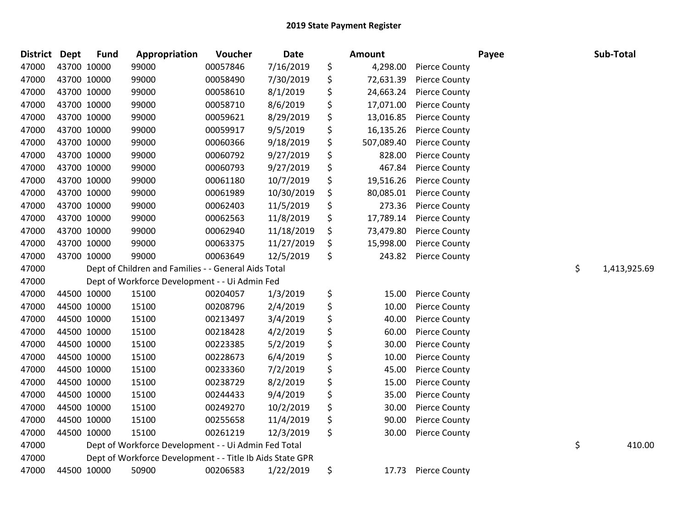| District Dept | <b>Fund</b> | Appropriation                                             | Voucher  | <b>Date</b> | <b>Amount</b>    |                      | Payee | Sub-Total          |
|---------------|-------------|-----------------------------------------------------------|----------|-------------|------------------|----------------------|-------|--------------------|
| 47000         | 43700 10000 | 99000                                                     | 00057846 | 7/16/2019   | \$<br>4,298.00   | <b>Pierce County</b> |       |                    |
| 47000         | 43700 10000 | 99000                                                     | 00058490 | 7/30/2019   | \$<br>72,631.39  | <b>Pierce County</b> |       |                    |
| 47000         | 43700 10000 | 99000                                                     | 00058610 | 8/1/2019    | \$<br>24,663.24  | <b>Pierce County</b> |       |                    |
| 47000         | 43700 10000 | 99000                                                     | 00058710 | 8/6/2019    | \$<br>17,071.00  | <b>Pierce County</b> |       |                    |
| 47000         | 43700 10000 | 99000                                                     | 00059621 | 8/29/2019   | \$<br>13,016.85  | <b>Pierce County</b> |       |                    |
| 47000         | 43700 10000 | 99000                                                     | 00059917 | 9/5/2019    | \$<br>16,135.26  | <b>Pierce County</b> |       |                    |
| 47000         | 43700 10000 | 99000                                                     | 00060366 | 9/18/2019   | \$<br>507,089.40 | <b>Pierce County</b> |       |                    |
| 47000         | 43700 10000 | 99000                                                     | 00060792 | 9/27/2019   | \$<br>828.00     | <b>Pierce County</b> |       |                    |
| 47000         | 43700 10000 | 99000                                                     | 00060793 | 9/27/2019   | \$<br>467.84     | <b>Pierce County</b> |       |                    |
| 47000         | 43700 10000 | 99000                                                     | 00061180 | 10/7/2019   | \$<br>19,516.26  | <b>Pierce County</b> |       |                    |
| 47000         | 43700 10000 | 99000                                                     | 00061989 | 10/30/2019  | \$<br>80,085.01  | <b>Pierce County</b> |       |                    |
| 47000         | 43700 10000 | 99000                                                     | 00062403 | 11/5/2019   | \$<br>273.36     | <b>Pierce County</b> |       |                    |
| 47000         | 43700 10000 | 99000                                                     | 00062563 | 11/8/2019   | \$<br>17,789.14  | <b>Pierce County</b> |       |                    |
| 47000         | 43700 10000 | 99000                                                     | 00062940 | 11/18/2019  | \$<br>73,479.80  | <b>Pierce County</b> |       |                    |
| 47000         | 43700 10000 | 99000                                                     | 00063375 | 11/27/2019  | \$<br>15,998.00  | <b>Pierce County</b> |       |                    |
| 47000         | 43700 10000 | 99000                                                     | 00063649 | 12/5/2019   | \$<br>243.82     | <b>Pierce County</b> |       |                    |
| 47000         |             | Dept of Children and Families - - General Aids Total      |          |             |                  |                      |       | \$<br>1,413,925.69 |
| 47000         |             | Dept of Workforce Development - - Ui Admin Fed            |          |             |                  |                      |       |                    |
| 47000         | 44500 10000 | 15100                                                     | 00204057 | 1/3/2019    | \$<br>15.00      | <b>Pierce County</b> |       |                    |
| 47000         | 44500 10000 | 15100                                                     | 00208796 | 2/4/2019    | \$<br>10.00      | <b>Pierce County</b> |       |                    |
| 47000         | 44500 10000 | 15100                                                     | 00213497 | 3/4/2019    | \$<br>40.00      | <b>Pierce County</b> |       |                    |
| 47000         | 44500 10000 | 15100                                                     | 00218428 | 4/2/2019    | \$<br>60.00      | <b>Pierce County</b> |       |                    |
| 47000         | 44500 10000 | 15100                                                     | 00223385 | 5/2/2019    | \$<br>30.00      | <b>Pierce County</b> |       |                    |
| 47000         | 44500 10000 | 15100                                                     | 00228673 | 6/4/2019    | \$<br>10.00      | <b>Pierce County</b> |       |                    |
| 47000         | 44500 10000 | 15100                                                     | 00233360 | 7/2/2019    | \$<br>45.00      | <b>Pierce County</b> |       |                    |
| 47000         | 44500 10000 | 15100                                                     | 00238729 | 8/2/2019    | \$<br>15.00      | <b>Pierce County</b> |       |                    |
| 47000         | 44500 10000 | 15100                                                     | 00244433 | 9/4/2019    | \$<br>35.00      | <b>Pierce County</b> |       |                    |
| 47000         | 44500 10000 | 15100                                                     | 00249270 | 10/2/2019   | \$<br>30.00      | <b>Pierce County</b> |       |                    |
| 47000         | 44500 10000 | 15100                                                     | 00255658 | 11/4/2019   | \$<br>90.00      | <b>Pierce County</b> |       |                    |
| 47000         | 44500 10000 | 15100                                                     | 00261219 | 12/3/2019   | \$<br>30.00      | <b>Pierce County</b> |       |                    |
| 47000         |             | Dept of Workforce Development - - Ui Admin Fed Total      |          |             |                  |                      |       | \$<br>410.00       |
| 47000         |             | Dept of Workforce Development - - Title Ib Aids State GPR |          |             |                  |                      |       |                    |
| 47000         | 44500 10000 | 50900                                                     | 00206583 | 1/22/2019   | \$<br>17.73      | <b>Pierce County</b> |       |                    |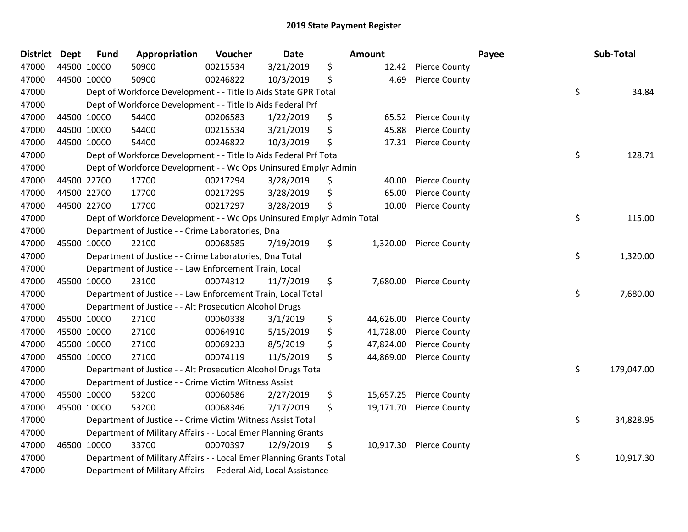| <b>District Dept</b> | <b>Fund</b> | Appropriation                                                         | Voucher  | <b>Date</b> | <b>Amount</b>   |                      | Payee | Sub-Total |            |
|----------------------|-------------|-----------------------------------------------------------------------|----------|-------------|-----------------|----------------------|-------|-----------|------------|
| 47000                | 44500 10000 | 50900                                                                 | 00215534 | 3/21/2019   | \$<br>12.42     | <b>Pierce County</b> |       |           |            |
| 47000                | 44500 10000 | 50900                                                                 | 00246822 | 10/3/2019   | \$<br>4.69      | <b>Pierce County</b> |       |           |            |
| 47000                |             | Dept of Workforce Development - - Title Ib Aids State GPR Total       |          |             |                 |                      | \$    |           | 34.84      |
| 47000                |             | Dept of Workforce Development - - Title Ib Aids Federal Prf           |          |             |                 |                      |       |           |            |
| 47000                | 44500 10000 | 54400                                                                 | 00206583 | 1/22/2019   | \$<br>65.52     | <b>Pierce County</b> |       |           |            |
| 47000                | 44500 10000 | 54400                                                                 | 00215534 | 3/21/2019   | \$<br>45.88     | <b>Pierce County</b> |       |           |            |
| 47000                | 44500 10000 | 54400                                                                 | 00246822 | 10/3/2019   | \$<br>17.31     | <b>Pierce County</b> |       |           |            |
| 47000                |             | Dept of Workforce Development - - Title Ib Aids Federal Prf Total     |          |             |                 |                      | \$    |           | 128.71     |
| 47000                |             | Dept of Workforce Development - - Wc Ops Uninsured Emplyr Admin       |          |             |                 |                      |       |           |            |
| 47000                | 44500 22700 | 17700                                                                 | 00217294 | 3/28/2019   | \$<br>40.00     | <b>Pierce County</b> |       |           |            |
| 47000                | 44500 22700 | 17700                                                                 | 00217295 | 3/28/2019   | \$<br>65.00     | <b>Pierce County</b> |       |           |            |
| 47000                | 44500 22700 | 17700                                                                 | 00217297 | 3/28/2019   | \$<br>10.00     | <b>Pierce County</b> |       |           |            |
| 47000                |             | Dept of Workforce Development - - Wc Ops Uninsured Emplyr Admin Total |          |             |                 |                      | \$    |           | 115.00     |
| 47000                |             | Department of Justice - - Crime Laboratories, Dna                     |          |             |                 |                      |       |           |            |
| 47000                | 45500 10000 | 22100                                                                 | 00068585 | 7/19/2019   | \$<br>1,320.00  | <b>Pierce County</b> |       |           |            |
| 47000                |             | Department of Justice - - Crime Laboratories, Dna Total               |          |             |                 |                      | \$    |           | 1,320.00   |
| 47000                |             | Department of Justice - - Law Enforcement Train, Local                |          |             |                 |                      |       |           |            |
| 47000                | 45500 10000 | 23100                                                                 | 00074312 | 11/7/2019   | \$<br>7,680.00  | <b>Pierce County</b> |       |           |            |
| 47000                |             | Department of Justice - - Law Enforcement Train, Local Total          |          |             |                 |                      | \$    |           | 7,680.00   |
| 47000                |             | Department of Justice - - Alt Prosecution Alcohol Drugs               |          |             |                 |                      |       |           |            |
| 47000                | 45500 10000 | 27100                                                                 | 00060338 | 3/1/2019    | \$<br>44,626.00 | <b>Pierce County</b> |       |           |            |
| 47000                | 45500 10000 | 27100                                                                 | 00064910 | 5/15/2019   | \$<br>41,728.00 | <b>Pierce County</b> |       |           |            |
| 47000                | 45500 10000 | 27100                                                                 | 00069233 | 8/5/2019    | \$<br>47,824.00 | <b>Pierce County</b> |       |           |            |
| 47000                | 45500 10000 | 27100                                                                 | 00074119 | 11/5/2019   | \$<br>44,869.00 | <b>Pierce County</b> |       |           |            |
| 47000                |             | Department of Justice - - Alt Prosecution Alcohol Drugs Total         |          |             |                 |                      | \$    |           | 179,047.00 |
| 47000                |             | Department of Justice - - Crime Victim Witness Assist                 |          |             |                 |                      |       |           |            |
| 47000                | 45500 10000 | 53200                                                                 | 00060586 | 2/27/2019   | \$<br>15,657.25 | <b>Pierce County</b> |       |           |            |
| 47000                | 45500 10000 | 53200                                                                 | 00068346 | 7/17/2019   | \$<br>19,171.70 | <b>Pierce County</b> |       |           |            |
| 47000                |             | Department of Justice - - Crime Victim Witness Assist Total           |          |             |                 |                      | \$    |           | 34,828.95  |
| 47000                |             | Department of Military Affairs - - Local Emer Planning Grants         |          |             |                 |                      |       |           |            |
| 47000                | 46500 10000 | 33700                                                                 | 00070397 | 12/9/2019   | \$<br>10,917.30 | <b>Pierce County</b> |       |           |            |
| 47000                |             | Department of Military Affairs - - Local Emer Planning Grants Total   |          |             |                 |                      | \$    |           | 10,917.30  |
| 47000                |             | Department of Military Affairs - - Federal Aid, Local Assistance      |          |             |                 |                      |       |           |            |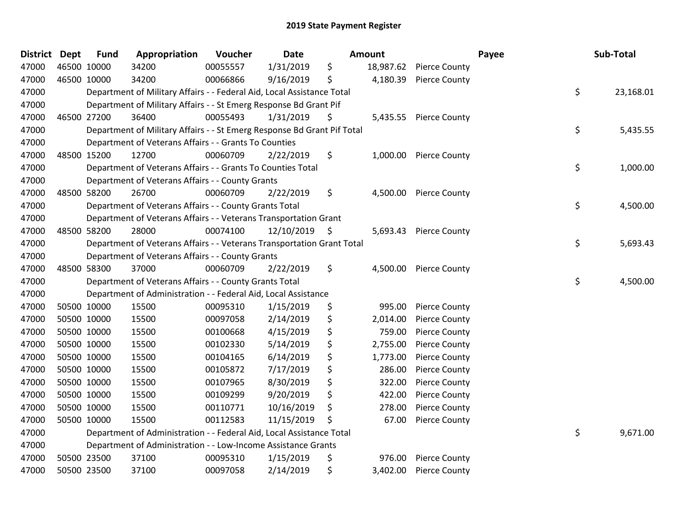| <b>District Dept</b> | <b>Fund</b> | Appropriation                                                           | Voucher  | Date       | <b>Amount</b>   |                      | Payee | Sub-Total |
|----------------------|-------------|-------------------------------------------------------------------------|----------|------------|-----------------|----------------------|-------|-----------|
| 47000                | 46500 10000 | 34200                                                                   | 00055557 | 1/31/2019  | \$<br>18,987.62 | <b>Pierce County</b> |       |           |
| 47000                | 46500 10000 | 34200                                                                   | 00066866 | 9/16/2019  | \$<br>4,180.39  | <b>Pierce County</b> |       |           |
| 47000                |             | Department of Military Affairs - - Federal Aid, Local Assistance Total  |          |            |                 |                      | \$    | 23,168.01 |
| 47000                |             | Department of Military Affairs - - St Emerg Response Bd Grant Pif       |          |            |                 |                      |       |           |
| 47000                | 46500 27200 | 36400                                                                   | 00055493 | 1/31/2019  | \$<br>5,435.55  | <b>Pierce County</b> |       |           |
| 47000                |             | Department of Military Affairs - - St Emerg Response Bd Grant Pif Total |          |            |                 |                      | \$    | 5,435.55  |
| 47000                |             | Department of Veterans Affairs - - Grants To Counties                   |          |            |                 |                      |       |           |
| 47000                | 48500 15200 | 12700                                                                   | 00060709 | 2/22/2019  | \$<br>1,000.00  | <b>Pierce County</b> |       |           |
| 47000                |             | Department of Veterans Affairs - - Grants To Counties Total             |          |            |                 |                      | \$    | 1,000.00  |
| 47000                |             | Department of Veterans Affairs - - County Grants                        |          |            |                 |                      |       |           |
| 47000                | 48500 58200 | 26700                                                                   | 00060709 | 2/22/2019  | \$<br>4,500.00  | <b>Pierce County</b> |       |           |
| 47000                |             | Department of Veterans Affairs - - County Grants Total                  |          |            |                 |                      | \$    | 4,500.00  |
| 47000                |             | Department of Veterans Affairs - - Veterans Transportation Grant        |          |            |                 |                      |       |           |
| 47000                | 48500 58200 | 28000                                                                   | 00074100 | 12/10/2019 | \$<br>5,693.43  | <b>Pierce County</b> |       |           |
| 47000                |             | Department of Veterans Affairs - - Veterans Transportation Grant Total  |          |            |                 |                      | \$    | 5,693.43  |
| 47000                |             | Department of Veterans Affairs - - County Grants                        |          |            |                 |                      |       |           |
| 47000                | 48500 58300 | 37000                                                                   | 00060709 | 2/22/2019  | \$<br>4,500.00  | <b>Pierce County</b> |       |           |
| 47000                |             | Department of Veterans Affairs - - County Grants Total                  |          |            |                 |                      | \$    | 4,500.00  |
| 47000                |             | Department of Administration - - Federal Aid, Local Assistance          |          |            |                 |                      |       |           |
| 47000                | 50500 10000 | 15500                                                                   | 00095310 | 1/15/2019  | \$<br>995.00    | <b>Pierce County</b> |       |           |
| 47000                | 50500 10000 | 15500                                                                   | 00097058 | 2/14/2019  | \$<br>2,014.00  | <b>Pierce County</b> |       |           |
| 47000                | 50500 10000 | 15500                                                                   | 00100668 | 4/15/2019  | \$<br>759.00    | <b>Pierce County</b> |       |           |
| 47000                | 50500 10000 | 15500                                                                   | 00102330 | 5/14/2019  | \$<br>2,755.00  | <b>Pierce County</b> |       |           |
| 47000                | 50500 10000 | 15500                                                                   | 00104165 | 6/14/2019  | \$<br>1,773.00  | <b>Pierce County</b> |       |           |
| 47000                | 50500 10000 | 15500                                                                   | 00105872 | 7/17/2019  | \$<br>286.00    | <b>Pierce County</b> |       |           |
| 47000                | 50500 10000 | 15500                                                                   | 00107965 | 8/30/2019  | \$<br>322.00    | <b>Pierce County</b> |       |           |
| 47000                | 50500 10000 | 15500                                                                   | 00109299 | 9/20/2019  | \$<br>422.00    | <b>Pierce County</b> |       |           |
| 47000                | 50500 10000 | 15500                                                                   | 00110771 | 10/16/2019 | \$<br>278.00    | <b>Pierce County</b> |       |           |
| 47000                | 50500 10000 | 15500                                                                   | 00112583 | 11/15/2019 | \$<br>67.00     | <b>Pierce County</b> |       |           |
| 47000                |             | Department of Administration - - Federal Aid, Local Assistance Total    |          |            |                 |                      | \$    | 9,671.00  |
| 47000                |             | Department of Administration - - Low-Income Assistance Grants           |          |            |                 |                      |       |           |
| 47000                | 50500 23500 | 37100                                                                   | 00095310 | 1/15/2019  | \$<br>976.00    | <b>Pierce County</b> |       |           |
| 47000                | 50500 23500 | 37100                                                                   | 00097058 | 2/14/2019  | \$<br>3,402.00  | <b>Pierce County</b> |       |           |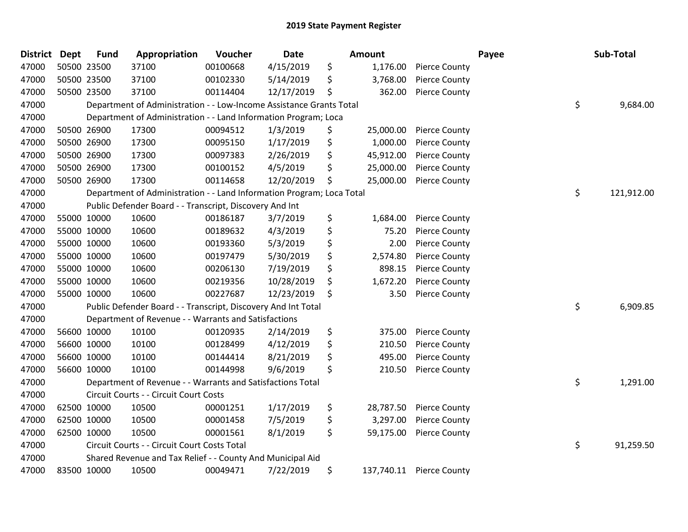| <b>District</b> | <b>Dept</b> | <b>Fund</b> | Appropriation                                                         | Voucher  | <b>Date</b> | <b>Amount</b>   |                          | Payee | Sub-Total  |
|-----------------|-------------|-------------|-----------------------------------------------------------------------|----------|-------------|-----------------|--------------------------|-------|------------|
| 47000           |             | 50500 23500 | 37100                                                                 | 00100668 | 4/15/2019   | \$<br>1,176.00  | <b>Pierce County</b>     |       |            |
| 47000           |             | 50500 23500 | 37100                                                                 | 00102330 | 5/14/2019   | \$<br>3,768.00  | <b>Pierce County</b>     |       |            |
| 47000           |             | 50500 23500 | 37100                                                                 | 00114404 | 12/17/2019  | \$<br>362.00    | <b>Pierce County</b>     |       |            |
| 47000           |             |             | Department of Administration - - Low-Income Assistance Grants Total   |          |             |                 |                          | \$    | 9,684.00   |
| 47000           |             |             | Department of Administration - - Land Information Program; Loca       |          |             |                 |                          |       |            |
| 47000           |             | 50500 26900 | 17300                                                                 | 00094512 | 1/3/2019    | \$<br>25,000.00 | <b>Pierce County</b>     |       |            |
| 47000           |             | 50500 26900 | 17300                                                                 | 00095150 | 1/17/2019   | \$<br>1,000.00  | <b>Pierce County</b>     |       |            |
| 47000           |             | 50500 26900 | 17300                                                                 | 00097383 | 2/26/2019   | \$<br>45,912.00 | <b>Pierce County</b>     |       |            |
| 47000           |             | 50500 26900 | 17300                                                                 | 00100152 | 4/5/2019    | \$<br>25,000.00 | <b>Pierce County</b>     |       |            |
| 47000           |             | 50500 26900 | 17300                                                                 | 00114658 | 12/20/2019  | \$<br>25,000.00 | <b>Pierce County</b>     |       |            |
| 47000           |             |             | Department of Administration - - Land Information Program; Loca Total |          |             |                 |                          | \$    | 121,912.00 |
| 47000           |             |             | Public Defender Board - - Transcript, Discovery And Int               |          |             |                 |                          |       |            |
| 47000           |             | 55000 10000 | 10600                                                                 | 00186187 | 3/7/2019    | \$<br>1,684.00  | <b>Pierce County</b>     |       |            |
| 47000           |             | 55000 10000 | 10600                                                                 | 00189632 | 4/3/2019    | \$<br>75.20     | <b>Pierce County</b>     |       |            |
| 47000           |             | 55000 10000 | 10600                                                                 | 00193360 | 5/3/2019    | \$<br>2.00      | <b>Pierce County</b>     |       |            |
| 47000           |             | 55000 10000 | 10600                                                                 | 00197479 | 5/30/2019   | \$<br>2,574.80  | <b>Pierce County</b>     |       |            |
| 47000           |             | 55000 10000 | 10600                                                                 | 00206130 | 7/19/2019   | \$<br>898.15    | <b>Pierce County</b>     |       |            |
| 47000           |             | 55000 10000 | 10600                                                                 | 00219356 | 10/28/2019  | \$<br>1,672.20  | <b>Pierce County</b>     |       |            |
| 47000           |             | 55000 10000 | 10600                                                                 | 00227687 | 12/23/2019  | \$<br>3.50      | <b>Pierce County</b>     |       |            |
| 47000           |             |             | Public Defender Board - - Transcript, Discovery And Int Total         |          |             |                 |                          | \$    | 6,909.85   |
| 47000           |             |             | Department of Revenue - - Warrants and Satisfactions                  |          |             |                 |                          |       |            |
| 47000           |             | 56600 10000 | 10100                                                                 | 00120935 | 2/14/2019   | \$<br>375.00    | <b>Pierce County</b>     |       |            |
| 47000           |             | 56600 10000 | 10100                                                                 | 00128499 | 4/12/2019   | \$<br>210.50    | <b>Pierce County</b>     |       |            |
| 47000           |             | 56600 10000 | 10100                                                                 | 00144414 | 8/21/2019   | \$<br>495.00    | <b>Pierce County</b>     |       |            |
| 47000           |             | 56600 10000 | 10100                                                                 | 00144998 | 9/6/2019    | \$<br>210.50    | <b>Pierce County</b>     |       |            |
| 47000           |             |             | Department of Revenue - - Warrants and Satisfactions Total            |          |             |                 |                          | \$    | 1,291.00   |
| 47000           |             |             | Circuit Courts - - Circuit Court Costs                                |          |             |                 |                          |       |            |
| 47000           |             | 62500 10000 | 10500                                                                 | 00001251 | 1/17/2019   | \$<br>28,787.50 | <b>Pierce County</b>     |       |            |
| 47000           |             | 62500 10000 | 10500                                                                 | 00001458 | 7/5/2019    | \$<br>3,297.00  | <b>Pierce County</b>     |       |            |
| 47000           |             | 62500 10000 | 10500                                                                 | 00001561 | 8/1/2019    | \$<br>59,175.00 | <b>Pierce County</b>     |       |            |
| 47000           |             |             | Circuit Courts - - Circuit Court Costs Total                          |          |             |                 |                          | \$    | 91,259.50  |
| 47000           |             |             | Shared Revenue and Tax Relief - - County And Municipal Aid            |          |             |                 |                          |       |            |
| 47000           |             | 83500 10000 | 10500                                                                 | 00049471 | 7/22/2019   | \$              | 137,740.11 Pierce County |       |            |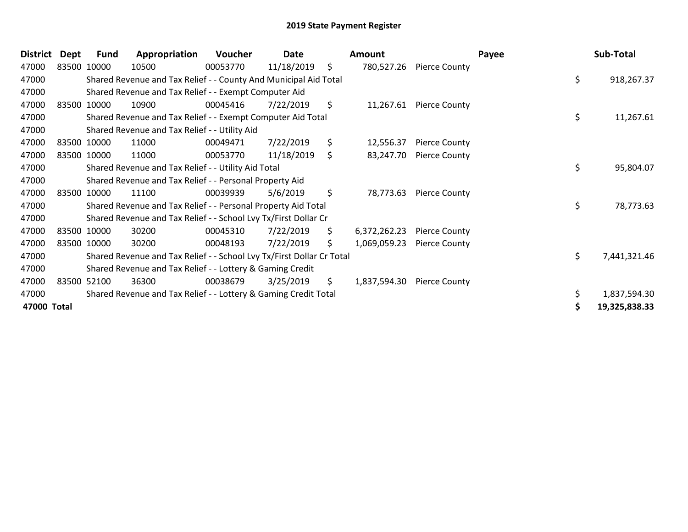| <b>District</b> | <b>Dept</b> | <b>Fund</b> | Appropriation                                                         | Voucher  | Date       |     | <b>Amount</b> |                          | Payee | Sub-Total     |
|-----------------|-------------|-------------|-----------------------------------------------------------------------|----------|------------|-----|---------------|--------------------------|-------|---------------|
| 47000           |             | 83500 10000 | 10500                                                                 | 00053770 | 11/18/2019 | \$  |               | 780,527.26 Pierce County |       |               |
| 47000           |             |             | Shared Revenue and Tax Relief - - County And Municipal Aid Total      |          |            |     |               |                          | \$    | 918,267.37    |
| 47000           |             |             | Shared Revenue and Tax Relief - - Exempt Computer Aid                 |          |            |     |               |                          |       |               |
| 47000           |             | 83500 10000 | 10900                                                                 | 00045416 | 7/22/2019  | \$  | 11,267.61     | <b>Pierce County</b>     |       |               |
| 47000           |             |             | Shared Revenue and Tax Relief - - Exempt Computer Aid Total           |          |            |     |               |                          | \$    | 11,267.61     |
| 47000           |             |             | Shared Revenue and Tax Relief - - Utility Aid                         |          |            |     |               |                          |       |               |
| 47000           |             | 83500 10000 | 11000                                                                 | 00049471 | 7/22/2019  | \$  | 12,556.37     | <b>Pierce County</b>     |       |               |
| 47000           |             | 83500 10000 | 11000                                                                 | 00053770 | 11/18/2019 | \$  | 83,247.70     | <b>Pierce County</b>     |       |               |
| 47000           |             |             | Shared Revenue and Tax Relief - - Utility Aid Total                   |          |            |     |               |                          | \$    | 95,804.07     |
| 47000           |             |             | Shared Revenue and Tax Relief - - Personal Property Aid               |          |            |     |               |                          |       |               |
| 47000           |             | 83500 10000 | 11100                                                                 | 00039939 | 5/6/2019   | \$  | 78,773.63     | <b>Pierce County</b>     |       |               |
| 47000           |             |             | Shared Revenue and Tax Relief - - Personal Property Aid Total         |          |            |     |               |                          | \$    | 78,773.63     |
| 47000           |             |             | Shared Revenue and Tax Relief - - School Lvy Tx/First Dollar Cr       |          |            |     |               |                          |       |               |
| 47000           |             | 83500 10000 | 30200                                                                 | 00045310 | 7/22/2019  | \$. | 6,372,262.23  | <b>Pierce County</b>     |       |               |
| 47000           |             | 83500 10000 | 30200                                                                 | 00048193 | 7/22/2019  | \$  | 1,069,059.23  | <b>Pierce County</b>     |       |               |
| 47000           |             |             | Shared Revenue and Tax Relief - - School Lvy Tx/First Dollar Cr Total |          |            |     |               |                          | \$    | 7,441,321.46  |
| 47000           |             |             | Shared Revenue and Tax Relief - - Lottery & Gaming Credit             |          |            |     |               |                          |       |               |
| 47000           |             | 83500 52100 | 36300                                                                 | 00038679 | 3/25/2019  | \$. | 1,837,594.30  | Pierce County            |       |               |
| 47000           |             |             | Shared Revenue and Tax Relief - - Lottery & Gaming Credit Total       |          |            |     |               |                          |       | 1,837,594.30  |
| 47000 Total     |             |             |                                                                       |          |            |     |               |                          |       | 19,325,838.33 |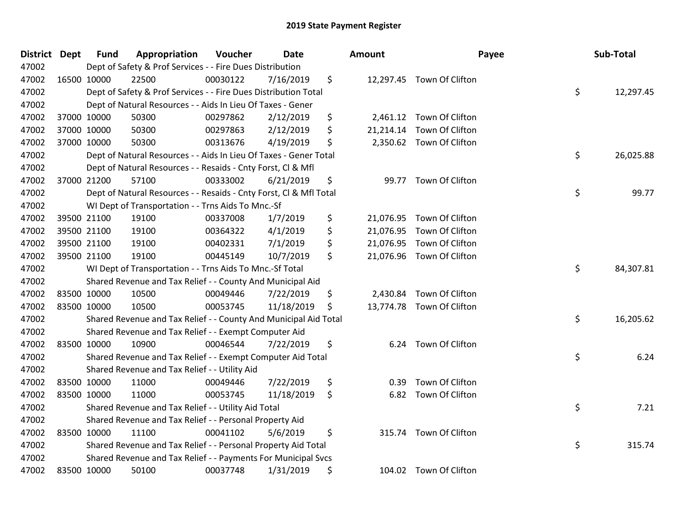| <b>District</b> | <b>Dept</b> | <b>Fund</b> | Appropriation                                                      | Voucher  | <b>Date</b> | <b>Amount</b>   | Payee                     | Sub-Total       |
|-----------------|-------------|-------------|--------------------------------------------------------------------|----------|-------------|-----------------|---------------------------|-----------------|
| 47002           |             |             | Dept of Safety & Prof Services - - Fire Dues Distribution          |          |             |                 |                           |                 |
| 47002           |             | 16500 10000 | 22500                                                              | 00030122 | 7/16/2019   | \$              | 12,297.45 Town Of Clifton |                 |
| 47002           |             |             | Dept of Safety & Prof Services - - Fire Dues Distribution Total    |          |             |                 |                           | \$<br>12,297.45 |
| 47002           |             |             | Dept of Natural Resources - - Aids In Lieu Of Taxes - Gener        |          |             |                 |                           |                 |
| 47002           |             | 37000 10000 | 50300                                                              | 00297862 | 2/12/2019   | \$<br>2,461.12  | Town Of Clifton           |                 |
| 47002           |             | 37000 10000 | 50300                                                              | 00297863 | 2/12/2019   | \$<br>21,214.14 | Town Of Clifton           |                 |
| 47002           |             | 37000 10000 | 50300                                                              | 00313676 | 4/19/2019   | \$<br>2,350.62  | Town Of Clifton           |                 |
| 47002           |             |             | Dept of Natural Resources - - Aids In Lieu Of Taxes - Gener Total  |          |             |                 |                           | \$<br>26,025.88 |
| 47002           |             |             | Dept of Natural Resources - - Resaids - Cnty Forst, CI & Mfl       |          |             |                 |                           |                 |
| 47002           |             | 37000 21200 | 57100                                                              | 00333002 | 6/21/2019   | \$<br>99.77     | Town Of Clifton           |                 |
| 47002           |             |             | Dept of Natural Resources - - Resaids - Cnty Forst, CI & Mfl Total |          |             |                 |                           | \$<br>99.77     |
| 47002           |             |             | WI Dept of Transportation - - Trns Aids To Mnc.-Sf                 |          |             |                 |                           |                 |
| 47002           |             | 39500 21100 | 19100                                                              | 00337008 | 1/7/2019    | \$              | 21,076.95 Town Of Clifton |                 |
| 47002           |             | 39500 21100 | 19100                                                              | 00364322 | 4/1/2019    | \$<br>21,076.95 | Town Of Clifton           |                 |
| 47002           |             | 39500 21100 | 19100                                                              | 00402331 | 7/1/2019    | \$<br>21,076.95 | Town Of Clifton           |                 |
| 47002           |             | 39500 21100 | 19100                                                              | 00445149 | 10/7/2019   | \$              | 21,076.96 Town Of Clifton |                 |
| 47002           |             |             | WI Dept of Transportation - - Trns Aids To Mnc .- Sf Total         |          |             |                 |                           | \$<br>84,307.81 |
| 47002           |             |             | Shared Revenue and Tax Relief - - County And Municipal Aid         |          |             |                 |                           |                 |
| 47002           |             | 83500 10000 | 10500                                                              | 00049446 | 7/22/2019   | \$<br>2,430.84  | Town Of Clifton           |                 |
| 47002           |             | 83500 10000 | 10500                                                              | 00053745 | 11/18/2019  | \$              | 13,774.78 Town Of Clifton |                 |
| 47002           |             |             | Shared Revenue and Tax Relief - - County And Municipal Aid Total   |          |             |                 |                           | \$<br>16,205.62 |
| 47002           |             |             | Shared Revenue and Tax Relief - - Exempt Computer Aid              |          |             |                 |                           |                 |
| 47002           | 83500 10000 |             | 10900                                                              | 00046544 | 7/22/2019   | \$              | 6.24 Town Of Clifton      |                 |
| 47002           |             |             | Shared Revenue and Tax Relief - - Exempt Computer Aid Total        |          |             |                 |                           | \$<br>6.24      |
| 47002           |             |             | Shared Revenue and Tax Relief - - Utility Aid                      |          |             |                 |                           |                 |
| 47002           |             | 83500 10000 | 11000                                                              | 00049446 | 7/22/2019   | \$<br>0.39      | Town Of Clifton           |                 |
| 47002           |             | 83500 10000 | 11000                                                              | 00053745 | 11/18/2019  | \$<br>6.82      | Town Of Clifton           |                 |
| 47002           |             |             | Shared Revenue and Tax Relief - - Utility Aid Total                |          |             |                 |                           | \$<br>7.21      |
| 47002           |             |             | Shared Revenue and Tax Relief - - Personal Property Aid            |          |             |                 |                           |                 |
| 47002           |             | 83500 10000 | 11100                                                              | 00041102 | 5/6/2019    | \$<br>315.74    | Town Of Clifton           |                 |
| 47002           |             |             | Shared Revenue and Tax Relief - - Personal Property Aid Total      |          |             |                 |                           | \$<br>315.74    |
| 47002           |             |             | Shared Revenue and Tax Relief - - Payments For Municipal Svcs      |          |             |                 |                           |                 |
| 47002           |             | 83500 10000 | 50100                                                              | 00037748 | 1/31/2019   | \$              | 104.02 Town Of Clifton    |                 |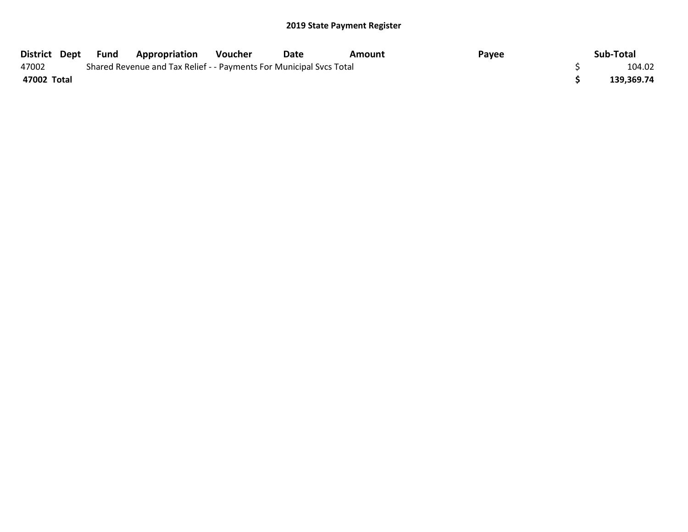| District Dept | Fund | <b>Appropriation</b>                                                | Voucher | Date | Amount | Pavee | Sub-Total  |
|---------------|------|---------------------------------------------------------------------|---------|------|--------|-------|------------|
| 47002         |      | Shared Revenue and Tax Relief - - Payments For Municipal Svcs Total |         |      |        |       | 104.02     |
| 47002 Total   |      |                                                                     |         |      |        |       | 139,369.74 |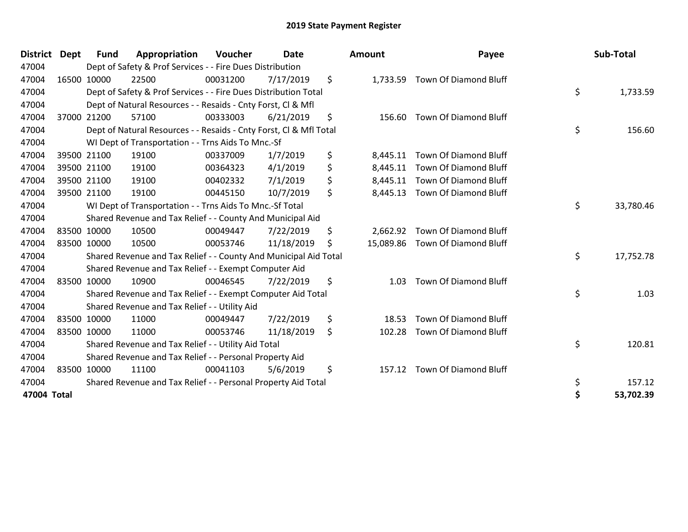| <b>District</b> | Dept | <b>Fund</b> | Appropriation                                                      | Voucher  | <b>Date</b> | <b>Amount</b>  | Payee                           | Sub-Total       |
|-----------------|------|-------------|--------------------------------------------------------------------|----------|-------------|----------------|---------------------------------|-----------------|
| 47004           |      |             | Dept of Safety & Prof Services - - Fire Dues Distribution          |          |             |                |                                 |                 |
| 47004           |      | 16500 10000 | 22500                                                              | 00031200 | 7/17/2019   | \$<br>1,733.59 | Town Of Diamond Bluff           |                 |
| 47004           |      |             | Dept of Safety & Prof Services - - Fire Dues Distribution Total    |          |             |                |                                 | \$<br>1,733.59  |
| 47004           |      |             | Dept of Natural Resources - - Resaids - Cnty Forst, CI & Mfl       |          |             |                |                                 |                 |
| 47004           |      | 37000 21200 | 57100                                                              | 00333003 | 6/21/2019   | \$<br>156.60   | <b>Town Of Diamond Bluff</b>    |                 |
| 47004           |      |             | Dept of Natural Resources - - Resaids - Cnty Forst, Cl & Mfl Total |          |             |                |                                 | \$<br>156.60    |
| 47004           |      |             | WI Dept of Transportation - - Trns Aids To Mnc.-Sf                 |          |             |                |                                 |                 |
| 47004           |      | 39500 21100 | 19100                                                              | 00337009 | 1/7/2019    | \$<br>8,445.11 | Town Of Diamond Bluff           |                 |
| 47004           |      | 39500 21100 | 19100                                                              | 00364323 | 4/1/2019    | \$<br>8,445.11 | Town Of Diamond Bluff           |                 |
| 47004           |      | 39500 21100 | 19100                                                              | 00402332 | 7/1/2019    | \$<br>8,445.11 | Town Of Diamond Bluff           |                 |
| 47004           |      | 39500 21100 | 19100                                                              | 00445150 | 10/7/2019   | \$<br>8,445.13 | Town Of Diamond Bluff           |                 |
| 47004           |      |             | WI Dept of Transportation - - Trns Aids To Mnc.-Sf Total           |          |             |                |                                 | \$<br>33,780.46 |
| 47004           |      |             | Shared Revenue and Tax Relief - - County And Municipal Aid         |          |             |                |                                 |                 |
| 47004           |      | 83500 10000 | 10500                                                              | 00049447 | 7/22/2019   | \$<br>2,662.92 | Town Of Diamond Bluff           |                 |
| 47004           |      | 83500 10000 | 10500                                                              | 00053746 | 11/18/2019  | \$             | 15,089.86 Town Of Diamond Bluff |                 |
| 47004           |      |             | Shared Revenue and Tax Relief - - County And Municipal Aid Total   |          |             |                |                                 | \$<br>17,752.78 |
| 47004           |      |             | Shared Revenue and Tax Relief - - Exempt Computer Aid              |          |             |                |                                 |                 |
| 47004           |      | 83500 10000 | 10900                                                              | 00046545 | 7/22/2019   | \$<br>1.03     | <b>Town Of Diamond Bluff</b>    |                 |
| 47004           |      |             | Shared Revenue and Tax Relief - - Exempt Computer Aid Total        |          |             |                |                                 | \$<br>1.03      |
| 47004           |      |             | Shared Revenue and Tax Relief - - Utility Aid                      |          |             |                |                                 |                 |
| 47004           |      | 83500 10000 | 11000                                                              | 00049447 | 7/22/2019   | \$<br>18.53    | <b>Town Of Diamond Bluff</b>    |                 |
| 47004           |      | 83500 10000 | 11000                                                              | 00053746 | 11/18/2019  | \$<br>102.28   | Town Of Diamond Bluff           |                 |
| 47004           |      |             | Shared Revenue and Tax Relief - - Utility Aid Total                |          |             |                |                                 | \$<br>120.81    |
| 47004           |      |             | Shared Revenue and Tax Relief - - Personal Property Aid            |          |             |                |                                 |                 |
| 47004           |      | 83500 10000 | 11100                                                              | 00041103 | 5/6/2019    | \$<br>157.12   | Town Of Diamond Bluff           |                 |
| 47004           |      |             | Shared Revenue and Tax Relief - - Personal Property Aid Total      |          |             |                |                                 | \$<br>157.12    |
| 47004 Total     |      |             |                                                                    |          |             |                |                                 | \$<br>53,702.39 |

| Amount               | Payee                                                 | Sub-Total       |
|----------------------|-------------------------------------------------------|-----------------|
| 1,733.59             | <b>Town Of Diamond Bluff</b>                          | \$<br>1,733.59  |
| 156.60               | <b>Town Of Diamond Bluff</b>                          | \$<br>156.60    |
| 8,445.11<br>8,445.11 | <b>Town Of Diamond Bluff</b><br>Town Of Diamond Bluff |                 |
| 8,445.11             | Town Of Diamond Bluff                                 |                 |
| 8,445.13             | Town Of Diamond Bluff                                 | \$<br>33,780.46 |
|                      | 2,662.92 Town Of Diamond Bluff                        |                 |
| 15,089.86            | Town Of Diamond Bluff                                 | \$<br>17,752.78 |
| 1.03                 | <b>Town Of Diamond Bluff</b>                          | \$<br>1.03      |
| 18.53                | <b>Town Of Diamond Bluff</b>                          |                 |
| 102.28               | Town Of Diamond Bluff                                 | \$<br>120.81    |
| 157.12               | <b>Town Of Diamond Bluff</b>                          | \$<br>157.12    |
|                      |                                                       | \$<br>53,702.39 |
|                      |                                                       |                 |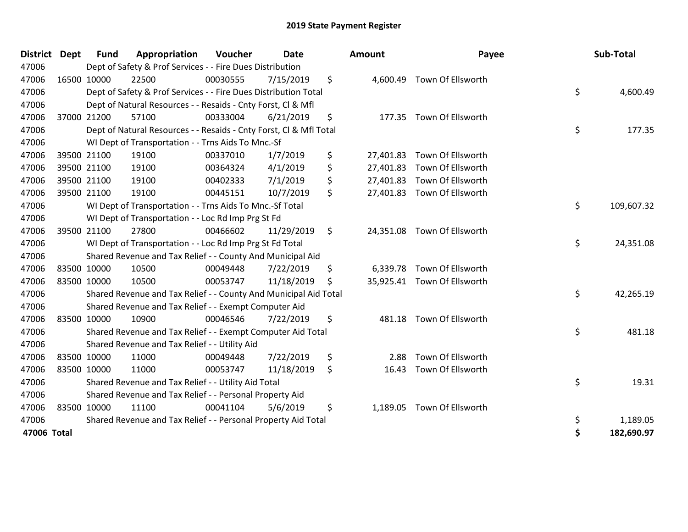| District    | <b>Dept</b> | <b>Fund</b> | Appropriation                                                      | Voucher  | Date       | <b>Amount</b>   | Payee                       | Sub-Total        |
|-------------|-------------|-------------|--------------------------------------------------------------------|----------|------------|-----------------|-----------------------------|------------------|
| 47006       |             |             | Dept of Safety & Prof Services - - Fire Dues Distribution          |          |            |                 |                             |                  |
| 47006       |             | 16500 10000 | 22500                                                              | 00030555 | 7/15/2019  | \$              | 4,600.49 Town Of Ellsworth  |                  |
| 47006       |             |             | Dept of Safety & Prof Services - - Fire Dues Distribution Total    |          |            |                 |                             | \$<br>4,600.49   |
| 47006       |             |             | Dept of Natural Resources - - Resaids - Cnty Forst, Cl & Mfl       |          |            |                 |                             |                  |
| 47006       |             | 37000 21200 | 57100                                                              | 00333004 | 6/21/2019  | \$              | 177.35 Town Of Ellsworth    |                  |
| 47006       |             |             | Dept of Natural Resources - - Resaids - Cnty Forst, Cl & Mfl Total |          |            |                 |                             | \$<br>177.35     |
| 47006       |             |             | WI Dept of Transportation - - Trns Aids To Mnc.-Sf                 |          |            |                 |                             |                  |
| 47006       |             | 39500 21100 | 19100                                                              | 00337010 | 1/7/2019   | \$<br>27,401.83 | Town Of Ellsworth           |                  |
| 47006       |             | 39500 21100 | 19100                                                              | 00364324 | 4/1/2019   | \$<br>27,401.83 | Town Of Ellsworth           |                  |
| 47006       |             | 39500 21100 | 19100                                                              | 00402333 | 7/1/2019   | \$              | 27,401.83 Town Of Ellsworth |                  |
| 47006       |             | 39500 21100 | 19100                                                              | 00445151 | 10/7/2019  | \$              | 27,401.83 Town Of Ellsworth |                  |
| 47006       |             |             | WI Dept of Transportation - - Trns Aids To Mnc.-Sf Total           |          |            |                 |                             | \$<br>109,607.32 |
| 47006       |             |             | WI Dept of Transportation - - Loc Rd Imp Prg St Fd                 |          |            |                 |                             |                  |
| 47006       |             | 39500 21100 | 27800                                                              | 00466602 | 11/29/2019 | \$<br>24,351.08 | Town Of Ellsworth           |                  |
| 47006       |             |             | WI Dept of Transportation - - Loc Rd Imp Prg St Fd Total           |          |            |                 |                             | \$<br>24,351.08  |
| 47006       |             |             | Shared Revenue and Tax Relief - - County And Municipal Aid         |          |            |                 |                             |                  |
| 47006       |             | 83500 10000 | 10500                                                              | 00049448 | 7/22/2019  | \$              | 6,339.78 Town Of Ellsworth  |                  |
| 47006       |             | 83500 10000 | 10500                                                              | 00053747 | 11/18/2019 | \$              | 35,925.41 Town Of Ellsworth |                  |
| 47006       |             |             | Shared Revenue and Tax Relief - - County And Municipal Aid Total   |          |            |                 |                             | \$<br>42,265.19  |
| 47006       |             |             | Shared Revenue and Tax Relief - - Exempt Computer Aid              |          |            |                 |                             |                  |
| 47006       |             | 83500 10000 | 10900                                                              | 00046546 | 7/22/2019  | \$              | 481.18 Town Of Ellsworth    |                  |
| 47006       |             |             | Shared Revenue and Tax Relief - - Exempt Computer Aid Total        |          |            |                 |                             | \$<br>481.18     |
| 47006       |             |             | Shared Revenue and Tax Relief - - Utility Aid                      |          |            |                 |                             |                  |
| 47006       |             | 83500 10000 | 11000                                                              | 00049448 | 7/22/2019  | \$<br>2.88      | Town Of Ellsworth           |                  |
| 47006       | 83500 10000 |             | 11000                                                              | 00053747 | 11/18/2019 | \$<br>16.43     | Town Of Ellsworth           |                  |
| 47006       |             |             | Shared Revenue and Tax Relief - - Utility Aid Total                |          |            |                 |                             | \$<br>19.31      |
| 47006       |             |             | Shared Revenue and Tax Relief - - Personal Property Aid            |          |            |                 |                             |                  |
| 47006       |             | 83500 10000 | 11100                                                              | 00041104 | 5/6/2019   | \$<br>1,189.05  | Town Of Ellsworth           |                  |
| 47006       |             |             | Shared Revenue and Tax Relief - - Personal Property Aid Total      |          |            |                 |                             | \$<br>1,189.05   |
| 47006 Total |             |             |                                                                    |          |            |                 |                             | \$<br>182,690.97 |
|             |             |             |                                                                    |          |            |                 |                             |                  |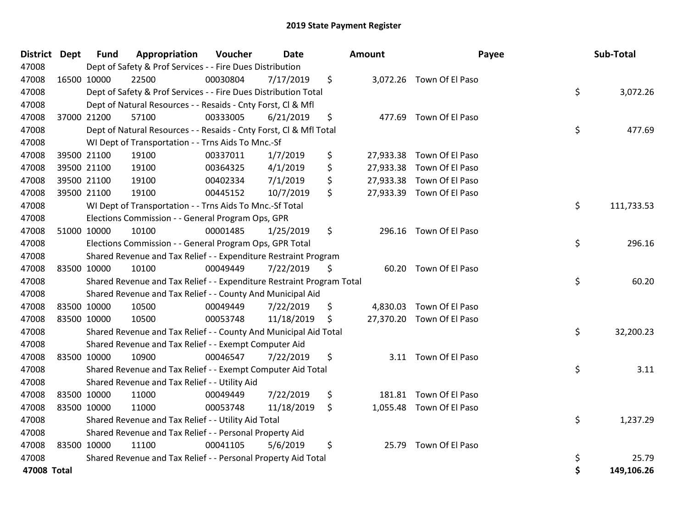| District Dept | <b>Fund</b> | Appropriation                                                         | Voucher  | <b>Date</b> |    | Amount | Payee                     | Sub-Total        |
|---------------|-------------|-----------------------------------------------------------------------|----------|-------------|----|--------|---------------------------|------------------|
| 47008         |             | Dept of Safety & Prof Services - - Fire Dues Distribution             |          |             |    |        |                           |                  |
| 47008         | 16500 10000 | 22500                                                                 | 00030804 | 7/17/2019   | \$ |        | 3,072.26 Town Of El Paso  |                  |
| 47008         |             | Dept of Safety & Prof Services - - Fire Dues Distribution Total       |          |             |    |        |                           | \$<br>3,072.26   |
| 47008         |             | Dept of Natural Resources - - Resaids - Cnty Forst, CI & Mfl          |          |             |    |        |                           |                  |
| 47008         | 37000 21200 | 57100                                                                 | 00333005 | 6/21/2019   | \$ |        | 477.69 Town Of El Paso    |                  |
| 47008         |             | Dept of Natural Resources - - Resaids - Cnty Forst, CI & Mfl Total    |          |             |    |        |                           | \$<br>477.69     |
| 47008         |             | WI Dept of Transportation - - Trns Aids To Mnc.-Sf                    |          |             |    |        |                           |                  |
| 47008         | 39500 21100 | 19100                                                                 | 00337011 | 1/7/2019    | \$ |        | 27,933.38 Town Of El Paso |                  |
| 47008         | 39500 21100 | 19100                                                                 | 00364325 | 4/1/2019    | \$ |        | 27,933.38 Town Of El Paso |                  |
| 47008         | 39500 21100 | 19100                                                                 | 00402334 | 7/1/2019    | \$ |        | 27,933.38 Town Of El Paso |                  |
| 47008         | 39500 21100 | 19100                                                                 | 00445152 | 10/7/2019   | \$ |        | 27,933.39 Town Of El Paso |                  |
| 47008         |             | WI Dept of Transportation - - Trns Aids To Mnc.-Sf Total              |          |             |    |        |                           | \$<br>111,733.53 |
| 47008         |             | Elections Commission - - General Program Ops, GPR                     |          |             |    |        |                           |                  |
| 47008         | 51000 10000 | 10100                                                                 | 00001485 | 1/25/2019   | \$ |        | 296.16 Town Of El Paso    |                  |
| 47008         |             | Elections Commission - - General Program Ops, GPR Total               |          |             |    |        |                           | \$<br>296.16     |
| 47008         |             | Shared Revenue and Tax Relief - - Expenditure Restraint Program       |          |             |    |        |                           |                  |
| 47008         | 83500 10000 | 10100                                                                 | 00049449 | 7/22/2019   | \$ |        | 60.20 Town Of El Paso     |                  |
| 47008         |             | Shared Revenue and Tax Relief - - Expenditure Restraint Program Total |          |             |    |        |                           | \$<br>60.20      |
| 47008         |             | Shared Revenue and Tax Relief - - County And Municipal Aid            |          |             |    |        |                           |                  |
| 47008         | 83500 10000 | 10500                                                                 | 00049449 | 7/22/2019   | \$ |        | 4,830.03 Town Of El Paso  |                  |
| 47008         | 83500 10000 | 10500                                                                 | 00053748 | 11/18/2019  | Ŝ  |        | 27,370.20 Town Of El Paso |                  |
| 47008         |             | Shared Revenue and Tax Relief - - County And Municipal Aid Total      |          |             |    |        |                           | \$<br>32,200.23  |
| 47008         |             | Shared Revenue and Tax Relief - - Exempt Computer Aid                 |          |             |    |        |                           |                  |
| 47008         | 83500 10000 | 10900                                                                 | 00046547 | 7/22/2019   | \$ |        | 3.11 Town Of El Paso      |                  |
| 47008         |             | Shared Revenue and Tax Relief - - Exempt Computer Aid Total           |          |             |    |        |                           | \$<br>3.11       |
| 47008         |             | Shared Revenue and Tax Relief - - Utility Aid                         |          |             |    |        |                           |                  |
| 47008         | 83500 10000 | 11000                                                                 | 00049449 | 7/22/2019   | \$ | 181.81 | Town Of El Paso           |                  |
| 47008         | 83500 10000 | 11000                                                                 | 00053748 | 11/18/2019  | \$ |        | 1,055.48 Town Of El Paso  |                  |
| 47008         |             | Shared Revenue and Tax Relief - - Utility Aid Total                   |          |             |    |        |                           | \$<br>1,237.29   |
| 47008         |             | Shared Revenue and Tax Relief - - Personal Property Aid               |          |             |    |        |                           |                  |
| 47008         | 83500 10000 | 11100                                                                 | 00041105 | 5/6/2019    | \$ |        | 25.79 Town Of El Paso     |                  |
| 47008         |             | Shared Revenue and Tax Relief - - Personal Property Aid Total         |          |             |    |        |                           | \$<br>25.79      |
| 47008 Total   |             |                                                                       |          |             |    |        |                           | \$<br>149,106.26 |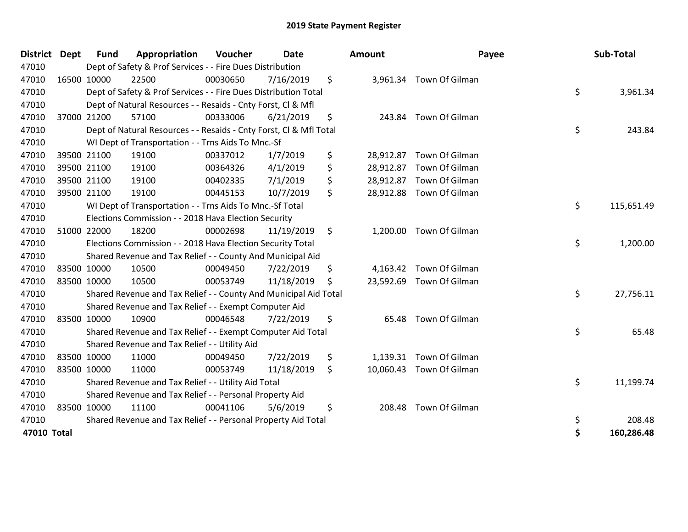| <b>District</b> | <b>Dept</b> | Fund        | Appropriation                                                      | Voucher  | <b>Date</b> |     | <b>Amount</b> | Payee                    | Sub-Total        |
|-----------------|-------------|-------------|--------------------------------------------------------------------|----------|-------------|-----|---------------|--------------------------|------------------|
| 47010           |             |             | Dept of Safety & Prof Services - - Fire Dues Distribution          |          |             |     |               |                          |                  |
| 47010           |             | 16500 10000 | 22500                                                              | 00030650 | 7/16/2019   | \$  |               | 3,961.34 Town Of Gilman  |                  |
| 47010           |             |             | Dept of Safety & Prof Services - - Fire Dues Distribution Total    |          |             |     |               |                          | \$<br>3,961.34   |
| 47010           |             |             | Dept of Natural Resources - - Resaids - Cnty Forst, Cl & Mfl       |          |             |     |               |                          |                  |
| 47010           |             | 37000 21200 | 57100                                                              | 00333006 | 6/21/2019   | \$  |               | 243.84 Town Of Gilman    |                  |
| 47010           |             |             | Dept of Natural Resources - - Resaids - Cnty Forst, Cl & Mfl Total |          |             |     |               |                          | \$<br>243.84     |
| 47010           |             |             | WI Dept of Transportation - - Trns Aids To Mnc.-Sf                 |          |             |     |               |                          |                  |
| 47010           |             | 39500 21100 | 19100                                                              | 00337012 | 1/7/2019    | \$  | 28,912.87     | Town Of Gilman           |                  |
| 47010           |             | 39500 21100 | 19100                                                              | 00364326 | 4/1/2019    | \$  | 28,912.87     | Town Of Gilman           |                  |
| 47010           |             | 39500 21100 | 19100                                                              | 00402335 | 7/1/2019    | \$  |               | 28,912.87 Town Of Gilman |                  |
| 47010           |             | 39500 21100 | 19100                                                              | 00445153 | 10/7/2019   | \$  |               | 28,912.88 Town Of Gilman |                  |
| 47010           |             |             | WI Dept of Transportation - - Trns Aids To Mnc.-Sf Total           |          |             |     |               |                          | \$<br>115,651.49 |
| 47010           |             |             | Elections Commission - - 2018 Hava Election Security               |          |             |     |               |                          |                  |
| 47010           |             | 51000 22000 | 18200                                                              | 00002698 | 11/19/2019  | \$  | 1,200.00      | Town Of Gilman           |                  |
| 47010           |             |             | Elections Commission - - 2018 Hava Election Security Total         |          |             |     |               |                          | \$<br>1,200.00   |
| 47010           |             |             | Shared Revenue and Tax Relief - - County And Municipal Aid         |          |             |     |               |                          |                  |
| 47010           |             | 83500 10000 | 10500                                                              | 00049450 | 7/22/2019   | \$  |               | 4,163.42 Town Of Gilman  |                  |
| 47010           |             | 83500 10000 | 10500                                                              | 00053749 | 11/18/2019  | \$. |               | 23,592.69 Town Of Gilman |                  |
| 47010           |             |             | Shared Revenue and Tax Relief - - County And Municipal Aid Total   |          |             |     |               |                          | \$<br>27,756.11  |
| 47010           |             |             | Shared Revenue and Tax Relief - - Exempt Computer Aid              |          |             |     |               |                          |                  |
| 47010           |             | 83500 10000 | 10900                                                              | 00046548 | 7/22/2019   | \$  | 65.48         | Town Of Gilman           |                  |
| 47010           |             |             | Shared Revenue and Tax Relief - - Exempt Computer Aid Total        |          |             |     |               |                          | \$<br>65.48      |
| 47010           |             |             | Shared Revenue and Tax Relief - - Utility Aid                      |          |             |     |               |                          |                  |
| 47010           |             | 83500 10000 | 11000                                                              | 00049450 | 7/22/2019   | \$  | 1,139.31      | Town Of Gilman           |                  |
| 47010           |             | 83500 10000 | 11000                                                              | 00053749 | 11/18/2019  | \$  |               | 10,060.43 Town Of Gilman |                  |
| 47010           |             |             | Shared Revenue and Tax Relief - - Utility Aid Total                |          |             |     |               |                          | \$<br>11,199.74  |
| 47010           |             |             | Shared Revenue and Tax Relief - - Personal Property Aid            |          |             |     |               |                          |                  |
| 47010           |             | 83500 10000 | 11100                                                              | 00041106 | 5/6/2019    | \$  | 208.48        | Town Of Gilman           |                  |
| 47010           |             |             | Shared Revenue and Tax Relief - - Personal Property Aid Total      |          |             |     |               |                          | \$<br>208.48     |
| 47010 Total     |             |             |                                                                    |          |             |     |               |                          | \$<br>160,286.48 |
|                 |             |             |                                                                    |          |             |     |               |                          |                  |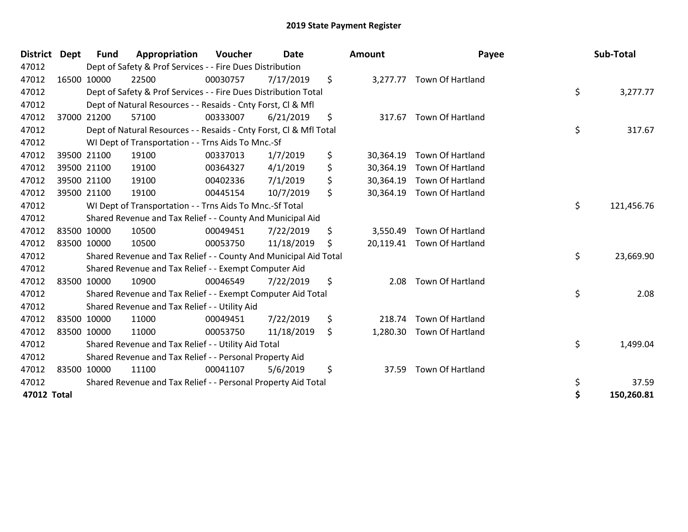| <b>District</b> | <b>Dept</b> | <b>Fund</b> | Appropriation                                                      | Voucher  | <b>Date</b> | Amount          | Payee                      | Sub-Total        |
|-----------------|-------------|-------------|--------------------------------------------------------------------|----------|-------------|-----------------|----------------------------|------------------|
| 47012           |             |             | Dept of Safety & Prof Services - - Fire Dues Distribution          |          |             |                 |                            |                  |
| 47012           |             | 16500 10000 | 22500                                                              | 00030757 | 7/17/2019   | \$              | 3,277.77 Town Of Hartland  |                  |
| 47012           |             |             | Dept of Safety & Prof Services - - Fire Dues Distribution Total    |          |             |                 |                            | \$<br>3,277.77   |
| 47012           |             |             | Dept of Natural Resources - - Resaids - Cnty Forst, CI & Mfl       |          |             |                 |                            |                  |
| 47012           |             | 37000 21200 | 57100                                                              | 00333007 | 6/21/2019   | \$<br>317.67    | <b>Town Of Hartland</b>    |                  |
| 47012           |             |             | Dept of Natural Resources - - Resaids - Cnty Forst, CI & Mfl Total |          |             |                 |                            | \$<br>317.67     |
| 47012           |             |             | WI Dept of Transportation - - Trns Aids To Mnc.-Sf                 |          |             |                 |                            |                  |
| 47012           |             | 39500 21100 | 19100                                                              | 00337013 | 1/7/2019    | \$<br>30,364.19 | Town Of Hartland           |                  |
| 47012           |             | 39500 21100 | 19100                                                              | 00364327 | 4/1/2019    | \$<br>30,364.19 | Town Of Hartland           |                  |
| 47012           |             | 39500 21100 | 19100                                                              | 00402336 | 7/1/2019    | \$<br>30,364.19 | Town Of Hartland           |                  |
| 47012           |             | 39500 21100 | 19100                                                              | 00445154 | 10/7/2019   | \$              | 30,364.19 Town Of Hartland |                  |
| 47012           |             |             | WI Dept of Transportation - - Trns Aids To Mnc.-Sf Total           |          |             |                 |                            | \$<br>121,456.76 |
| 47012           |             |             | Shared Revenue and Tax Relief - - County And Municipal Aid         |          |             |                 |                            |                  |
| 47012           |             | 83500 10000 | 10500                                                              | 00049451 | 7/22/2019   | \$<br>3,550.49  | Town Of Hartland           |                  |
| 47012           |             | 83500 10000 | 10500                                                              | 00053750 | 11/18/2019  | \$              | 20,119.41 Town Of Hartland |                  |
| 47012           |             |             | Shared Revenue and Tax Relief - - County And Municipal Aid Total   |          |             |                 |                            | \$<br>23,669.90  |
| 47012           |             |             | Shared Revenue and Tax Relief - - Exempt Computer Aid              |          |             |                 |                            |                  |
| 47012           |             | 83500 10000 | 10900                                                              | 00046549 | 7/22/2019   | \$<br>2.08      | <b>Town Of Hartland</b>    |                  |
| 47012           |             |             | Shared Revenue and Tax Relief - - Exempt Computer Aid Total        |          |             |                 |                            | \$<br>2.08       |
| 47012           |             |             | Shared Revenue and Tax Relief - - Utility Aid                      |          |             |                 |                            |                  |
| 47012           |             | 83500 10000 | 11000                                                              | 00049451 | 7/22/2019   | \$<br>218.74    | <b>Town Of Hartland</b>    |                  |
| 47012           |             | 83500 10000 | 11000                                                              | 00053750 | 11/18/2019  | \$<br>1,280.30  | Town Of Hartland           |                  |
| 47012           |             |             | Shared Revenue and Tax Relief - - Utility Aid Total                |          |             |                 |                            | \$<br>1,499.04   |
| 47012           |             |             | Shared Revenue and Tax Relief - - Personal Property Aid            |          |             |                 |                            |                  |
| 47012           |             | 83500 10000 | 11100                                                              | 00041107 | 5/6/2019    | \$<br>37.59     | <b>Town Of Hartland</b>    |                  |
| 47012           |             |             | Shared Revenue and Tax Relief - - Personal Property Aid Total      |          |             |                 |                            | \$<br>37.59      |
| 47012 Total     |             |             |                                                                    |          |             |                 |                            | \$<br>150,260.81 |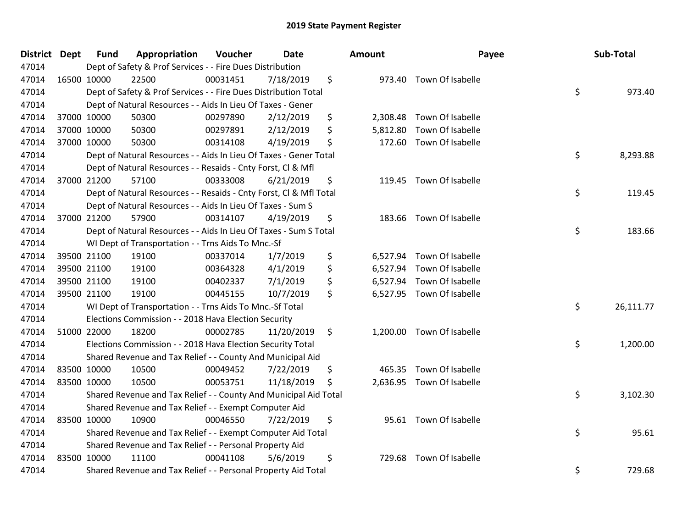| <b>District Dept</b> | <b>Fund</b> | Appropriation                                                      | Voucher  | <b>Date</b> | Amount         | Payee                     | Sub-Total       |
|----------------------|-------------|--------------------------------------------------------------------|----------|-------------|----------------|---------------------------|-----------------|
| 47014                |             | Dept of Safety & Prof Services - - Fire Dues Distribution          |          |             |                |                           |                 |
| 47014                | 16500 10000 | 22500                                                              | 00031451 | 7/18/2019   | \$             | 973.40 Town Of Isabelle   |                 |
| 47014                |             | Dept of Safety & Prof Services - - Fire Dues Distribution Total    |          |             |                |                           | \$<br>973.40    |
| 47014                |             | Dept of Natural Resources - - Aids In Lieu Of Taxes - Gener        |          |             |                |                           |                 |
| 47014                | 37000 10000 | 50300                                                              | 00297890 | 2/12/2019   | \$<br>2,308.48 | Town Of Isabelle          |                 |
| 47014                | 37000 10000 | 50300                                                              | 00297891 | 2/12/2019   | \$<br>5,812.80 | Town Of Isabelle          |                 |
| 47014                | 37000 10000 | 50300                                                              | 00314108 | 4/19/2019   | \$<br>172.60   | Town Of Isabelle          |                 |
| 47014                |             | Dept of Natural Resources - - Aids In Lieu Of Taxes - Gener Total  |          |             |                |                           | \$<br>8,293.88  |
| 47014                |             | Dept of Natural Resources - - Resaids - Cnty Forst, Cl & Mfl       |          |             |                |                           |                 |
| 47014                | 37000 21200 | 57100                                                              | 00333008 | 6/21/2019   | \$             | 119.45 Town Of Isabelle   |                 |
| 47014                |             | Dept of Natural Resources - - Resaids - Cnty Forst, CI & Mfl Total |          |             |                |                           | \$<br>119.45    |
| 47014                |             | Dept of Natural Resources - - Aids In Lieu Of Taxes - Sum S        |          |             |                |                           |                 |
| 47014                | 37000 21200 | 57900                                                              | 00314107 | 4/19/2019   | \$             | 183.66 Town Of Isabelle   |                 |
| 47014                |             | Dept of Natural Resources - - Aids In Lieu Of Taxes - Sum S Total  |          |             |                |                           | \$<br>183.66    |
| 47014                |             | WI Dept of Transportation - - Trns Aids To Mnc.-Sf                 |          |             |                |                           |                 |
| 47014                | 39500 21100 | 19100                                                              | 00337014 | 1/7/2019    | \$<br>6,527.94 | Town Of Isabelle          |                 |
| 47014                | 39500 21100 | 19100                                                              | 00364328 | 4/1/2019    | \$<br>6,527.94 | Town Of Isabelle          |                 |
| 47014                | 39500 21100 | 19100                                                              | 00402337 | 7/1/2019    | \$             | 6,527.94 Town Of Isabelle |                 |
| 47014                | 39500 21100 | 19100                                                              | 00445155 | 10/7/2019   | \$             | 6,527.95 Town Of Isabelle |                 |
| 47014                |             | WI Dept of Transportation - - Trns Aids To Mnc.-Sf Total           |          |             |                |                           | \$<br>26,111.77 |
| 47014                |             | Elections Commission - - 2018 Hava Election Security               |          |             |                |                           |                 |
| 47014                | 51000 22000 | 18200                                                              | 00002785 | 11/20/2019  | \$             | 1,200.00 Town Of Isabelle |                 |
| 47014                |             | Elections Commission - - 2018 Hava Election Security Total         |          |             |                |                           | \$<br>1,200.00  |
| 47014                |             | Shared Revenue and Tax Relief - - County And Municipal Aid         |          |             |                |                           |                 |
| 47014                | 83500 10000 | 10500                                                              | 00049452 | 7/22/2019   | \$<br>465.35   | Town Of Isabelle          |                 |
| 47014                | 83500 10000 | 10500                                                              | 00053751 | 11/18/2019  | \$             | 2,636.95 Town Of Isabelle |                 |
| 47014                |             | Shared Revenue and Tax Relief - - County And Municipal Aid Total   |          |             |                |                           | \$<br>3,102.30  |
| 47014                |             | Shared Revenue and Tax Relief - - Exempt Computer Aid              |          |             |                |                           |                 |
| 47014                | 83500 10000 | 10900                                                              | 00046550 | 7/22/2019   | \$             | 95.61 Town Of Isabelle    |                 |
| 47014                |             | Shared Revenue and Tax Relief - - Exempt Computer Aid Total        |          |             |                |                           | \$<br>95.61     |
| 47014                |             | Shared Revenue and Tax Relief - - Personal Property Aid            |          |             |                |                           |                 |
| 47014                | 83500 10000 | 11100                                                              | 00041108 | 5/6/2019    | \$<br>729.68   | Town Of Isabelle          |                 |
| 47014                |             | Shared Revenue and Tax Relief - - Personal Property Aid Total      |          |             |                |                           | \$<br>729.68    |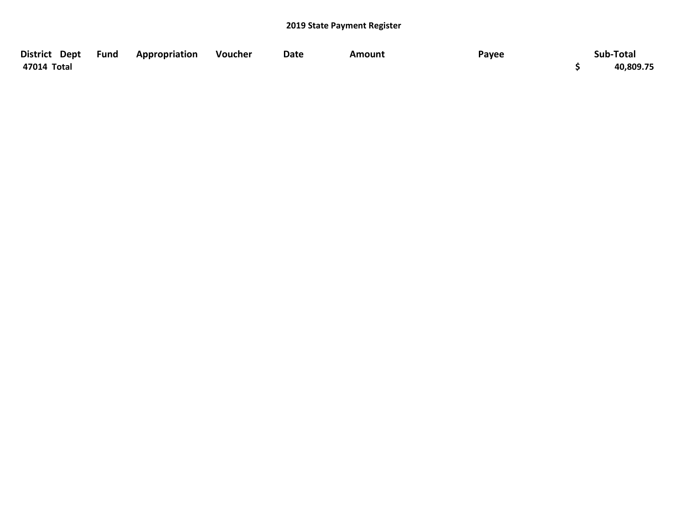| District Dept Fund | <b>Appropriation</b> | Voucher | Date | Amount | Payee | Sub-Total |
|--------------------|----------------------|---------|------|--------|-------|-----------|
| 47014 Total        |                      |         |      |        |       | 40,809.75 |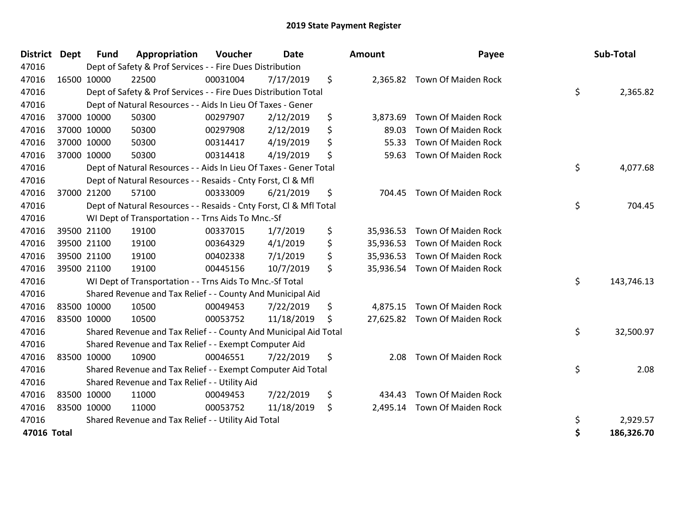| District Dept | <b>Fund</b> | Appropriation                                                      | Voucher  | <b>Date</b> | Amount          | Payee                         |    | Sub-Total  |
|---------------|-------------|--------------------------------------------------------------------|----------|-------------|-----------------|-------------------------------|----|------------|
| 47016         |             | Dept of Safety & Prof Services - - Fire Dues Distribution          |          |             |                 |                               |    |            |
| 47016         | 16500 10000 | 22500                                                              | 00031004 | 7/17/2019   | \$              | 2,365.82 Town Of Maiden Rock  |    |            |
| 47016         |             | Dept of Safety & Prof Services - - Fire Dues Distribution Total    |          |             |                 |                               | \$ | 2,365.82   |
| 47016         |             | Dept of Natural Resources - - Aids In Lieu Of Taxes - Gener        |          |             |                 |                               |    |            |
| 47016         | 37000 10000 | 50300                                                              | 00297907 | 2/12/2019   | \$<br>3,873.69  | Town Of Maiden Rock           |    |            |
| 47016         | 37000 10000 | 50300                                                              | 00297908 | 2/12/2019   | \$<br>89.03     | Town Of Maiden Rock           |    |            |
| 47016         | 37000 10000 | 50300                                                              | 00314417 | 4/19/2019   | \$<br>55.33     | Town Of Maiden Rock           |    |            |
| 47016         | 37000 10000 | 50300                                                              | 00314418 | 4/19/2019   | \$<br>59.63     | <b>Town Of Maiden Rock</b>    |    |            |
| 47016         |             | Dept of Natural Resources - - Aids In Lieu Of Taxes - Gener Total  |          |             |                 |                               | \$ | 4,077.68   |
| 47016         |             | Dept of Natural Resources - - Resaids - Cnty Forst, Cl & Mfl       |          |             |                 |                               |    |            |
| 47016         | 37000 21200 | 57100                                                              | 00333009 | 6/21/2019   | \$<br>704.45    | Town Of Maiden Rock           |    |            |
| 47016         |             | Dept of Natural Resources - - Resaids - Cnty Forst, CI & Mfl Total |          |             |                 |                               | \$ | 704.45     |
| 47016         |             | WI Dept of Transportation - - Trns Aids To Mnc.-Sf                 |          |             |                 |                               |    |            |
| 47016         | 39500 21100 | 19100                                                              | 00337015 | 1/7/2019    | \$<br>35,936.53 | <b>Town Of Maiden Rock</b>    |    |            |
| 47016         | 39500 21100 | 19100                                                              | 00364329 | 4/1/2019    | \$<br>35,936.53 | Town Of Maiden Rock           |    |            |
| 47016         | 39500 21100 | 19100                                                              | 00402338 | 7/1/2019    | \$<br>35,936.53 | Town Of Maiden Rock           |    |            |
| 47016         | 39500 21100 | 19100                                                              | 00445156 | 10/7/2019   | \$              | 35,936.54 Town Of Maiden Rock |    |            |
| 47016         |             | WI Dept of Transportation - - Trns Aids To Mnc.-Sf Total           |          |             |                 |                               | \$ | 143,746.13 |
| 47016         |             | Shared Revenue and Tax Relief - - County And Municipal Aid         |          |             |                 |                               |    |            |
| 47016         | 83500 10000 | 10500                                                              | 00049453 | 7/22/2019   | \$<br>4,875.15  | <b>Town Of Maiden Rock</b>    |    |            |
| 47016         | 83500 10000 | 10500                                                              | 00053752 | 11/18/2019  | \$              | 27,625.82 Town Of Maiden Rock |    |            |
| 47016         |             | Shared Revenue and Tax Relief - - County And Municipal Aid Total   |          |             |                 |                               | \$ | 32,500.97  |
| 47016         |             | Shared Revenue and Tax Relief - - Exempt Computer Aid              |          |             |                 |                               |    |            |
| 47016         | 83500 10000 | 10900                                                              | 00046551 | 7/22/2019   | \$<br>2.08      | Town Of Maiden Rock           |    |            |
| 47016         |             | Shared Revenue and Tax Relief - - Exempt Computer Aid Total        |          |             |                 |                               | \$ | 2.08       |
| 47016         |             | Shared Revenue and Tax Relief - - Utility Aid                      |          |             |                 |                               |    |            |
| 47016         | 83500 10000 | 11000                                                              | 00049453 | 7/22/2019   | \$<br>434.43    | Town Of Maiden Rock           |    |            |
| 47016         | 83500 10000 | 11000                                                              | 00053752 | 11/18/2019  | \$<br>2,495.14  | Town Of Maiden Rock           |    |            |
| 47016         |             | Shared Revenue and Tax Relief - - Utility Aid Total                |          |             |                 |                               | \$ | 2,929.57   |
| 47016 Total   |             |                                                                    |          |             |                 |                               | Ś  | 186.326.70 |

| District Dept | <b>Fund</b> | Appropriation                                                      | Voucher  | <b>Date</b> |    | Amount    | Payee                         | Sub-Total        |
|---------------|-------------|--------------------------------------------------------------------|----------|-------------|----|-----------|-------------------------------|------------------|
| 47016         |             | Dept of Safety & Prof Services - - Fire Dues Distribution          |          |             |    |           |                               |                  |
| 47016         | 16500 10000 | 22500                                                              | 00031004 | 7/17/2019   | \$ |           | 2,365.82 Town Of Maiden Rock  |                  |
| 47016         |             | Dept of Safety & Prof Services - - Fire Dues Distribution Total    |          |             |    |           |                               | \$<br>2,365.82   |
| 47016         |             | Dept of Natural Resources - - Aids In Lieu Of Taxes - Gener        |          |             |    |           |                               |                  |
| 47016         | 37000 10000 | 50300                                                              | 00297907 | 2/12/2019   | \$ | 3,873.69  | Town Of Maiden Rock           |                  |
| 47016         | 37000 10000 | 50300                                                              | 00297908 | 2/12/2019   | \$ | 89.03     | Town Of Maiden Rock           |                  |
| 47016         | 37000 10000 | 50300                                                              | 00314417 | 4/19/2019   | \$ | 55.33     | Town Of Maiden Rock           |                  |
| 47016         | 37000 10000 | 50300                                                              | 00314418 | 4/19/2019   | \$ | 59.63     | Town Of Maiden Rock           |                  |
| 47016         |             | Dept of Natural Resources - - Aids In Lieu Of Taxes - Gener Total  |          |             |    |           |                               | \$<br>4,077.68   |
| 47016         |             | Dept of Natural Resources - - Resaids - Cnty Forst, CI & Mfl       |          |             |    |           |                               |                  |
| 47016         | 37000 21200 | 57100                                                              | 00333009 | 6/21/2019   | \$ |           | 704.45 Town Of Maiden Rock    |                  |
| 47016         |             | Dept of Natural Resources - - Resaids - Cnty Forst, Cl & Mfl Total |          |             |    |           |                               | \$<br>704.45     |
| 47016         |             | WI Dept of Transportation - - Trns Aids To Mnc.-Sf                 |          |             |    |           |                               |                  |
| 47016         | 39500 21100 | 19100                                                              | 00337015 | 1/7/2019    | \$ |           | 35,936.53 Town Of Maiden Rock |                  |
| 47016         | 39500 21100 | 19100                                                              | 00364329 | 4/1/2019    | \$ | 35,936.53 | Town Of Maiden Rock           |                  |
| 47016         | 39500 21100 | 19100                                                              | 00402338 | 7/1/2019    | \$ |           | 35,936.53 Town Of Maiden Rock |                  |
| 47016         | 39500 21100 | 19100                                                              | 00445156 | 10/7/2019   | \$ |           | 35,936.54 Town Of Maiden Rock |                  |
| 47016         |             | WI Dept of Transportation - - Trns Aids To Mnc.-Sf Total           |          |             |    |           |                               | \$<br>143,746.13 |
| 47016         |             | Shared Revenue and Tax Relief - - County And Municipal Aid         |          |             |    |           |                               |                  |
| 47016         | 83500 10000 | 10500                                                              | 00049453 | 7/22/2019   | \$ |           | 4,875.15 Town Of Maiden Rock  |                  |
| 47016         | 83500 10000 | 10500                                                              | 00053752 | 11/18/2019  | Ŝ  |           | 27,625.82 Town Of Maiden Rock |                  |
| 47016         |             | Shared Revenue and Tax Relief - - County And Municipal Aid Total   |          |             |    |           |                               | \$<br>32,500.97  |
| 47016         |             | Shared Revenue and Tax Relief - - Exempt Computer Aid              |          |             |    |           |                               |                  |
| 47016         | 83500 10000 | 10900                                                              | 00046551 | 7/22/2019   | \$ | 2.08      | <b>Town Of Maiden Rock</b>    |                  |
| 47016         |             | Shared Revenue and Tax Relief - - Exempt Computer Aid Total        |          |             |    |           |                               | \$<br>2.08       |
| 47016         |             | Shared Revenue and Tax Relief - - Utility Aid                      |          |             |    |           |                               |                  |
| 47016         | 83500 10000 | 11000                                                              | 00049453 | 7/22/2019   | \$ | 434.43    | Town Of Maiden Rock           |                  |
| 47016         | 83500 10000 | 11000                                                              | 00053752 | 11/18/2019  | \$ |           | 2,495.14 Town Of Maiden Rock  |                  |
| 47016         |             | Shared Revenue and Tax Relief - - Utility Aid Total                |          |             |    |           |                               | \$<br>2,929.57   |
| 47016 Total   |             |                                                                    |          |             |    |           |                               | \$<br>186,326.70 |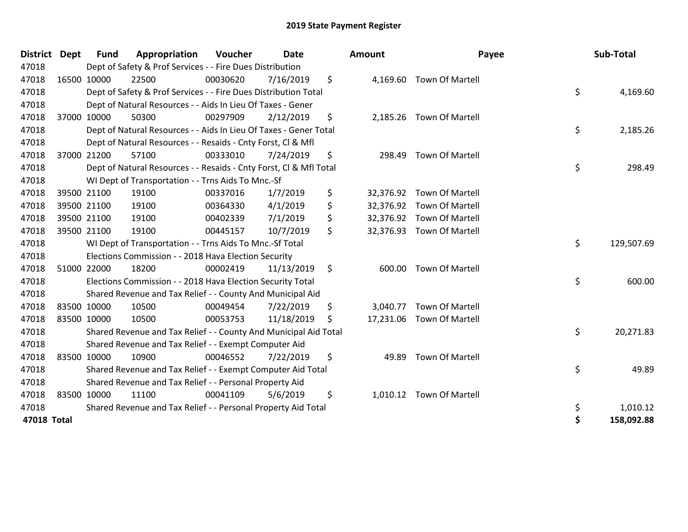| <b>District</b> | <b>Dept</b> | <b>Fund</b> | Appropriation                                                      | Voucher  | <b>Date</b> |     | <b>Amount</b> | Payee                     |    | Sub-Total  |
|-----------------|-------------|-------------|--------------------------------------------------------------------|----------|-------------|-----|---------------|---------------------------|----|------------|
| 47018           |             |             | Dept of Safety & Prof Services - - Fire Dues Distribution          |          |             |     |               |                           |    |            |
| 47018           |             | 16500 10000 | 22500                                                              | 00030620 | 7/16/2019   | \$  |               | 4,169.60 Town Of Martell  |    |            |
| 47018           |             |             | Dept of Safety & Prof Services - - Fire Dues Distribution Total    |          |             |     |               |                           | \$ | 4,169.60   |
| 47018           |             |             | Dept of Natural Resources - - Aids In Lieu Of Taxes - Gener        |          |             |     |               |                           |    |            |
| 47018           |             | 37000 10000 | 50300                                                              | 00297909 | 2/12/2019   | \$  |               | 2,185.26 Town Of Martell  |    |            |
| 47018           |             |             | Dept of Natural Resources - - Aids In Lieu Of Taxes - Gener Total  |          |             |     |               |                           | \$ | 2,185.26   |
| 47018           |             |             | Dept of Natural Resources - - Resaids - Cnty Forst, CI & Mfl       |          |             |     |               |                           |    |            |
| 47018           |             | 37000 21200 | 57100                                                              | 00333010 | 7/24/2019   | \$  | 298.49        | <b>Town Of Martell</b>    |    |            |
| 47018           |             |             | Dept of Natural Resources - - Resaids - Cnty Forst, CI & Mfl Total |          |             |     |               |                           | \$ | 298.49     |
| 47018           |             |             | WI Dept of Transportation - - Trns Aids To Mnc.-Sf                 |          |             |     |               |                           |    |            |
| 47018           |             | 39500 21100 | 19100                                                              | 00337016 | 1/7/2019    | \$  |               | 32,376.92 Town Of Martell |    |            |
| 47018           |             | 39500 21100 | 19100                                                              | 00364330 | 4/1/2019    | \$  |               | 32,376.92 Town Of Martell |    |            |
| 47018           |             | 39500 21100 | 19100                                                              | 00402339 | 7/1/2019    | \$  |               | 32,376.92 Town Of Martell |    |            |
| 47018           |             | 39500 21100 | 19100                                                              | 00445157 | 10/7/2019   | \$  |               | 32,376.93 Town Of Martell |    |            |
| 47018           |             |             | WI Dept of Transportation - - Trns Aids To Mnc.-Sf Total           |          |             |     |               |                           |    | 129,507.69 |
| 47018           |             |             | Elections Commission - - 2018 Hava Election Security               |          |             |     |               |                           |    |            |
| 47018           |             | 51000 22000 | 18200                                                              | 00002419 | 11/13/2019  | \$  |               | 600.00 Town Of Martell    |    |            |
| 47018           |             |             | Elections Commission - - 2018 Hava Election Security Total         |          |             |     |               |                           | \$ | 600.00     |
| 47018           |             |             | Shared Revenue and Tax Relief - - County And Municipal Aid         |          |             |     |               |                           |    |            |
| 47018           |             | 83500 10000 | 10500                                                              | 00049454 | 7/22/2019   | \$  |               | 3,040.77 Town Of Martell  |    |            |
| 47018           | 83500 10000 |             | 10500                                                              | 00053753 | 11/18/2019  | \$. |               | 17,231.06 Town Of Martell |    |            |
| 47018           |             |             | Shared Revenue and Tax Relief - - County And Municipal Aid Total   |          |             |     |               |                           | \$ | 20,271.83  |
| 47018           |             |             | Shared Revenue and Tax Relief - - Exempt Computer Aid              |          |             |     |               |                           |    |            |
| 47018           |             | 83500 10000 | 10900                                                              | 00046552 | 7/22/2019   | \$  | 49.89         | <b>Town Of Martell</b>    |    |            |
| 47018           |             |             | Shared Revenue and Tax Relief - - Exempt Computer Aid Total        |          |             |     |               |                           | \$ | 49.89      |
| 47018           |             |             | Shared Revenue and Tax Relief - - Personal Property Aid            |          |             |     |               |                           |    |            |
| 47018           | 83500 10000 |             | 11100                                                              | 00041109 | 5/6/2019    | \$  |               | 1,010.12 Town Of Martell  |    |            |
| 47018           |             |             | Shared Revenue and Tax Relief - - Personal Property Aid Total      |          |             |     |               |                           | \$ | 1,010.12   |
| 47018 Total     |             |             |                                                                    |          |             |     |               |                           | Ś  | 158,092.88 |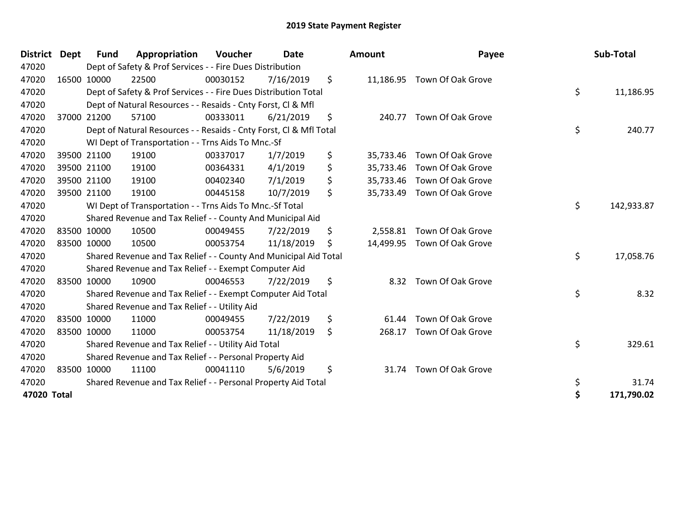| <b>District</b> | <b>Dept</b> | <b>Fund</b> | Appropriation                                                      | Voucher  | <b>Date</b> |     | Amount    | Payee                       | Sub-Total        |
|-----------------|-------------|-------------|--------------------------------------------------------------------|----------|-------------|-----|-----------|-----------------------------|------------------|
| 47020           |             |             | Dept of Safety & Prof Services - - Fire Dues Distribution          |          |             |     |           |                             |                  |
| 47020           |             | 16500 10000 | 22500                                                              | 00030152 | 7/16/2019   | \$  |           | 11,186.95 Town Of Oak Grove |                  |
| 47020           |             |             | Dept of Safety & Prof Services - - Fire Dues Distribution Total    |          |             |     |           |                             | \$<br>11,186.95  |
| 47020           |             |             | Dept of Natural Resources - - Resaids - Cnty Forst, CI & Mfl       |          |             |     |           |                             |                  |
| 47020           |             | 37000 21200 | 57100                                                              | 00333011 | 6/21/2019   | \$  | 240.77    | Town Of Oak Grove           |                  |
| 47020           |             |             | Dept of Natural Resources - - Resaids - Cnty Forst, CI & Mfl Total |          |             |     |           |                             | \$<br>240.77     |
| 47020           |             |             | WI Dept of Transportation - - Trns Aids To Mnc.-Sf                 |          |             |     |           |                             |                  |
| 47020           |             | 39500 21100 | 19100                                                              | 00337017 | 1/7/2019    | \$  | 35,733.46 | Town Of Oak Grove           |                  |
| 47020           |             | 39500 21100 | 19100                                                              | 00364331 | 4/1/2019    | \$  |           | 35,733.46 Town Of Oak Grove |                  |
| 47020           |             | 39500 21100 | 19100                                                              | 00402340 | 7/1/2019    | \$  | 35,733.46 | Town Of Oak Grove           |                  |
| 47020           |             | 39500 21100 | 19100                                                              | 00445158 | 10/7/2019   | \$  |           | 35,733.49 Town Of Oak Grove |                  |
| 47020           |             |             | WI Dept of Transportation - - Trns Aids To Mnc.-Sf Total           |          |             |     |           |                             | \$<br>142,933.87 |
| 47020           |             |             | Shared Revenue and Tax Relief - - County And Municipal Aid         |          |             |     |           |                             |                  |
| 47020           |             | 83500 10000 | 10500                                                              | 00049455 | 7/22/2019   | \$  | 2,558.81  | Town Of Oak Grove           |                  |
| 47020           |             | 83500 10000 | 10500                                                              | 00053754 | 11/18/2019  | \$. | 14,499.95 | Town Of Oak Grove           |                  |
| 47020           |             |             | Shared Revenue and Tax Relief - - County And Municipal Aid Total   |          |             |     |           |                             | \$<br>17,058.76  |
| 47020           |             |             | Shared Revenue and Tax Relief - - Exempt Computer Aid              |          |             |     |           |                             |                  |
| 47020           |             | 83500 10000 | 10900                                                              | 00046553 | 7/22/2019   | \$  | 8.32      | Town Of Oak Grove           |                  |
| 47020           |             |             | Shared Revenue and Tax Relief - - Exempt Computer Aid Total        |          |             |     |           |                             | \$<br>8.32       |
| 47020           |             |             | Shared Revenue and Tax Relief - - Utility Aid                      |          |             |     |           |                             |                  |
| 47020           |             | 83500 10000 | 11000                                                              | 00049455 | 7/22/2019   | \$  | 61.44     | Town Of Oak Grove           |                  |
| 47020           |             | 83500 10000 | 11000                                                              | 00053754 | 11/18/2019  | \$  | 268.17    | Town Of Oak Grove           |                  |
| 47020           |             |             | Shared Revenue and Tax Relief - - Utility Aid Total                |          |             |     |           |                             | \$<br>329.61     |
| 47020           |             |             | Shared Revenue and Tax Relief - - Personal Property Aid            |          |             |     |           |                             |                  |
| 47020           |             | 83500 10000 | 11100                                                              | 00041110 | 5/6/2019    | \$  | 31.74     | Town Of Oak Grove           |                  |
| 47020           |             |             | Shared Revenue and Tax Relief - - Personal Property Aid Total      |          |             |     |           |                             | \$<br>31.74      |
| 47020 Total     |             |             |                                                                    |          |             |     |           |                             | \$<br>171,790.02 |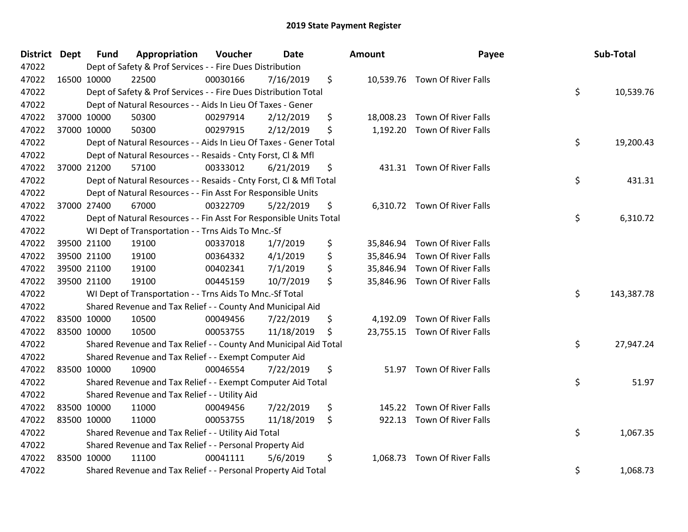| <b>District Dept</b> | <b>Fund</b> | Appropriation                                                      | Voucher  | <b>Date</b> | Amount         | Payee                         | Sub-Total        |
|----------------------|-------------|--------------------------------------------------------------------|----------|-------------|----------------|-------------------------------|------------------|
| 47022                |             | Dept of Safety & Prof Services - - Fire Dues Distribution          |          |             |                |                               |                  |
| 47022                | 16500 10000 | 22500                                                              | 00030166 | 7/16/2019   | \$             | 10,539.76 Town Of River Falls |                  |
| 47022                |             | Dept of Safety & Prof Services - - Fire Dues Distribution Total    |          |             |                |                               | \$<br>10,539.76  |
| 47022                |             | Dept of Natural Resources - - Aids In Lieu Of Taxes - Gener        |          |             |                |                               |                  |
| 47022                | 37000 10000 | 50300                                                              | 00297914 | 2/12/2019   | \$             | 18,008.23 Town Of River Falls |                  |
| 47022                | 37000 10000 | 50300                                                              | 00297915 | 2/12/2019   | \$             | 1,192.20 Town Of River Falls  |                  |
| 47022                |             | Dept of Natural Resources - - Aids In Lieu Of Taxes - Gener Total  |          |             |                |                               | \$<br>19,200.43  |
| 47022                |             | Dept of Natural Resources - - Resaids - Cnty Forst, Cl & Mfl       |          |             |                |                               |                  |
| 47022                | 37000 21200 | 57100                                                              | 00333012 | 6/21/2019   | \$             | 431.31 Town Of River Falls    |                  |
| 47022                |             | Dept of Natural Resources - - Resaids - Cnty Forst, Cl & Mfl Total |          |             |                |                               | \$<br>431.31     |
| 47022                |             | Dept of Natural Resources - - Fin Asst For Responsible Units       |          |             |                |                               |                  |
| 47022                | 37000 27400 | 67000                                                              | 00322709 | 5/22/2019   | \$             | 6,310.72 Town Of River Falls  |                  |
| 47022                |             | Dept of Natural Resources - - Fin Asst For Responsible Units Total |          |             |                |                               | \$<br>6,310.72   |
| 47022                |             | WI Dept of Transportation - - Trns Aids To Mnc.-Sf                 |          |             |                |                               |                  |
| 47022                | 39500 21100 | 19100                                                              | 00337018 | 1/7/2019    | \$             | 35,846.94 Town Of River Falls |                  |
| 47022                | 39500 21100 | 19100                                                              | 00364332 | 4/1/2019    | \$             | 35,846.94 Town Of River Falls |                  |
| 47022                | 39500 21100 | 19100                                                              | 00402341 | 7/1/2019    | \$             | 35,846.94 Town Of River Falls |                  |
| 47022                | 39500 21100 | 19100                                                              | 00445159 | 10/7/2019   | \$             | 35,846.96 Town Of River Falls |                  |
| 47022                |             | WI Dept of Transportation - - Trns Aids To Mnc.-Sf Total           |          |             |                |                               | \$<br>143,387.78 |
| 47022                |             | Shared Revenue and Tax Relief - - County And Municipal Aid         |          |             |                |                               |                  |
| 47022                | 83500 10000 | 10500                                                              | 00049456 | 7/22/2019   | \$             | 4,192.09 Town Of River Falls  |                  |
| 47022                | 83500 10000 | 10500                                                              | 00053755 | 11/18/2019  | \$             | 23,755.15 Town Of River Falls |                  |
| 47022                |             | Shared Revenue and Tax Relief - - County And Municipal Aid Total   |          |             |                |                               | \$<br>27,947.24  |
| 47022                |             | Shared Revenue and Tax Relief - - Exempt Computer Aid              |          |             |                |                               |                  |
| 47022                | 83500 10000 | 10900                                                              | 00046554 | 7/22/2019   | \$             | 51.97 Town Of River Falls     |                  |
| 47022                |             | Shared Revenue and Tax Relief - - Exempt Computer Aid Total        |          |             |                |                               | \$<br>51.97      |
| 47022                |             | Shared Revenue and Tax Relief - - Utility Aid                      |          |             |                |                               |                  |
| 47022                | 83500 10000 | 11000                                                              | 00049456 | 7/22/2019   | \$             | 145.22 Town Of River Falls    |                  |
| 47022                | 83500 10000 | 11000                                                              | 00053755 | 11/18/2019  | \$             | 922.13 Town Of River Falls    |                  |
| 47022                |             | Shared Revenue and Tax Relief - - Utility Aid Total                |          |             |                |                               | \$<br>1,067.35   |
| 47022                |             | Shared Revenue and Tax Relief - - Personal Property Aid            |          |             |                |                               |                  |
| 47022                | 83500 10000 | 11100                                                              | 00041111 | 5/6/2019    | \$<br>1,068.73 | <b>Town Of River Falls</b>    |                  |
| 47022                |             | Shared Revenue and Tax Relief - - Personal Property Aid Total      |          |             |                |                               | \$<br>1,068.73   |

| ount      | Payee                         | <b>Sub-Total</b> |
|-----------|-------------------------------|------------------|
| 10,539.76 | Town Of River Falls           | \$<br>10,539.76  |
|           | 18,008.23 Town Of River Falls |                  |
| 1,192.20  | <b>Town Of River Falls</b>    |                  |
|           |                               | \$<br>19,200.43  |
| 431.31    | <b>Town Of River Falls</b>    |                  |
|           |                               | \$<br>431.31     |
| 6,310.72  | Town Of River Falls           |                  |
|           |                               | \$<br>6,310.72   |
|           | 35,846.94 Town Of River Falls |                  |
|           | 35,846.94 Town Of River Falls |                  |
|           | 35,846.94 Town Of River Falls |                  |
| 35,846.96 | <b>Town Of River Falls</b>    |                  |
|           |                               | \$<br>143,387.78 |
|           | 4,192.09 Town Of River Falls  |                  |
| 23,755.15 | Town Of River Falls           |                  |
|           |                               | \$<br>27,947.24  |
| 51.97     | <b>Town Of River Falls</b>    |                  |
|           |                               | \$<br>51.97      |
| 145.22    | Town Of River Falls           |                  |
| 922.13    | <b>Town Of River Falls</b>    |                  |
|           |                               | \$<br>1,067.35   |
| 1,068.73  | <b>Town Of River Falls</b>    |                  |
|           |                               | \$<br>1,068.73   |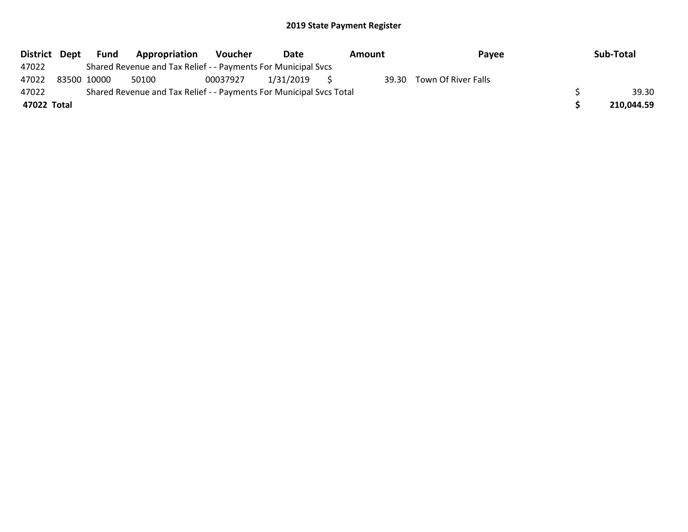| District Dept | Fund        | Appropriation                                                       | Voucher  | Date      | Amount | Payee                     | Sub-Total  |
|---------------|-------------|---------------------------------------------------------------------|----------|-----------|--------|---------------------------|------------|
| 47022         |             | Shared Revenue and Tax Relief - - Payments For Municipal Svcs       |          |           |        |                           |            |
| 47022         | 83500 10000 | 50100                                                               | 00037927 | 1/31/2019 |        | 39.30 Town Of River Falls |            |
| 47022         |             | Shared Revenue and Tax Relief - - Payments For Municipal Svcs Total |          |           |        |                           | 39.30      |
| 47022 Total   |             |                                                                     |          |           |        |                           | 210,044.59 |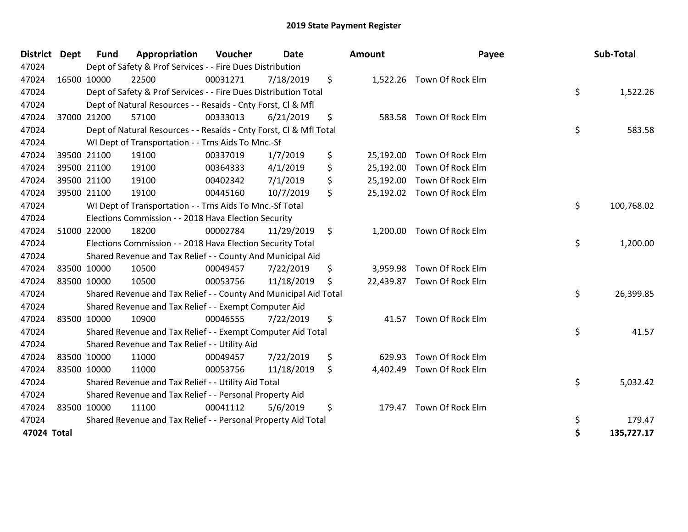| District Dept | <b>Fund</b> | Appropriation                                                      | Voucher  | Date       | <b>Amount</b>   | Payee                      | Sub-Total        |
|---------------|-------------|--------------------------------------------------------------------|----------|------------|-----------------|----------------------------|------------------|
| 47024         |             | Dept of Safety & Prof Services - - Fire Dues Distribution          |          |            |                 |                            |                  |
| 47024         | 16500 10000 | 22500                                                              | 00031271 | 7/18/2019  | \$              | 1,522.26 Town Of Rock Elm  |                  |
| 47024         |             | Dept of Safety & Prof Services - - Fire Dues Distribution Total    |          |            |                 |                            | \$<br>1,522.26   |
| 47024         |             | Dept of Natural Resources - - Resaids - Cnty Forst, Cl & Mfl       |          |            |                 |                            |                  |
| 47024         | 37000 21200 | 57100                                                              | 00333013 | 6/21/2019  | \$              | 583.58 Town Of Rock Elm    |                  |
| 47024         |             | Dept of Natural Resources - - Resaids - Cnty Forst, CI & Mfl Total |          |            |                 |                            | \$<br>583.58     |
| 47024         |             | WI Dept of Transportation - - Trns Aids To Mnc.-Sf                 |          |            |                 |                            |                  |
| 47024         | 39500 21100 | 19100                                                              | 00337019 | 1/7/2019   | \$<br>25,192.00 | Town Of Rock Elm           |                  |
| 47024         | 39500 21100 | 19100                                                              | 00364333 | 4/1/2019   | \$<br>25,192.00 | Town Of Rock Elm           |                  |
| 47024         | 39500 21100 | 19100                                                              | 00402342 | 7/1/2019   | \$              | 25,192.00 Town Of Rock Elm |                  |
| 47024         | 39500 21100 | 19100                                                              | 00445160 | 10/7/2019  | \$              | 25,192.02 Town Of Rock Elm |                  |
| 47024         |             | WI Dept of Transportation - - Trns Aids To Mnc.-Sf Total           |          |            |                 |                            | \$<br>100,768.02 |
| 47024         |             | Elections Commission - - 2018 Hava Election Security               |          |            |                 |                            |                  |
| 47024         | 51000 22000 | 18200                                                              | 00002784 | 11/29/2019 | \$<br>1,200.00  | Town Of Rock Elm           |                  |
| 47024         |             | Elections Commission - - 2018 Hava Election Security Total         |          |            |                 |                            | \$<br>1,200.00   |
| 47024         |             | Shared Revenue and Tax Relief - - County And Municipal Aid         |          |            |                 |                            |                  |
| 47024         | 83500 10000 | 10500                                                              | 00049457 | 7/22/2019  | \$              | 3,959.98 Town Of Rock Elm  |                  |
| 47024         | 83500 10000 | 10500                                                              | 00053756 | 11/18/2019 | \$              | 22,439.87 Town Of Rock Elm |                  |
| 47024         |             | Shared Revenue and Tax Relief - - County And Municipal Aid Total   |          |            |                 |                            | \$<br>26,399.85  |
| 47024         |             | Shared Revenue and Tax Relief - - Exempt Computer Aid              |          |            |                 |                            |                  |
| 47024         | 83500 10000 | 10900                                                              | 00046555 | 7/22/2019  | \$<br>41.57     | Town Of Rock Elm           |                  |
| 47024         |             | Shared Revenue and Tax Relief - - Exempt Computer Aid Total        |          |            |                 |                            | \$<br>41.57      |
| 47024         |             | Shared Revenue and Tax Relief - - Utility Aid                      |          |            |                 |                            |                  |
| 47024         | 83500 10000 | 11000                                                              | 00049457 | 7/22/2019  | \$<br>629.93    | Town Of Rock Elm           |                  |
| 47024         | 83500 10000 | 11000                                                              | 00053756 | 11/18/2019 | \$<br>4,402.49  | Town Of Rock Elm           |                  |
| 47024         |             | Shared Revenue and Tax Relief - - Utility Aid Total                |          |            |                 |                            | \$<br>5,032.42   |
| 47024         |             | Shared Revenue and Tax Relief - - Personal Property Aid            |          |            |                 |                            |                  |
| 47024         | 83500 10000 | 11100                                                              | 00041112 | 5/6/2019   | \$<br>179.47    | Town Of Rock Elm           |                  |
| 47024         |             | Shared Revenue and Tax Relief - - Personal Property Aid Total      |          |            |                 |                            | \$<br>179.47     |
| 47024 Total   |             |                                                                    |          |            |                 |                            | \$<br>135,727.17 |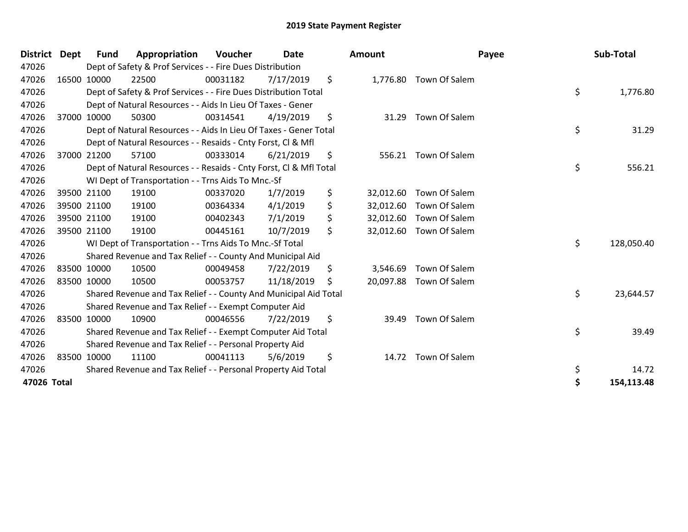| <b>District</b> | Dept        | Fund        | Appropriation                                                      | Voucher  | <b>Date</b> | Amount          | Payee                   | Sub-Total        |
|-----------------|-------------|-------------|--------------------------------------------------------------------|----------|-------------|-----------------|-------------------------|------------------|
| 47026           |             |             | Dept of Safety & Prof Services - - Fire Dues Distribution          |          |             |                 |                         |                  |
| 47026           |             | 16500 10000 | 22500                                                              | 00031182 | 7/17/2019   | \$              | 1,776.80 Town Of Salem  |                  |
| 47026           |             |             | Dept of Safety & Prof Services - - Fire Dues Distribution Total    |          |             |                 |                         | \$<br>1,776.80   |
| 47026           |             |             | Dept of Natural Resources - - Aids In Lieu Of Taxes - Gener        |          |             |                 |                         |                  |
| 47026           |             | 37000 10000 | 50300                                                              | 00314541 | 4/19/2019   | \$<br>31.29     | Town Of Salem           |                  |
| 47026           |             |             | Dept of Natural Resources - - Aids In Lieu Of Taxes - Gener Total  |          |             |                 |                         | \$<br>31.29      |
| 47026           |             |             | Dept of Natural Resources - - Resaids - Cnty Forst, CI & Mfl       |          |             |                 |                         |                  |
| 47026           |             | 37000 21200 | 57100                                                              | 00333014 | 6/21/2019   | \$              | 556.21 Town Of Salem    |                  |
| 47026           |             |             | Dept of Natural Resources - - Resaids - Cnty Forst, Cl & Mfl Total |          |             |                 |                         | \$<br>556.21     |
| 47026           |             |             | WI Dept of Transportation - - Trns Aids To Mnc.-Sf                 |          |             |                 |                         |                  |
| 47026           |             | 39500 21100 | 19100                                                              | 00337020 | 1/7/2019    | \$<br>32,012.60 | Town Of Salem           |                  |
| 47026           |             | 39500 21100 | 19100                                                              | 00364334 | 4/1/2019    | \$              | 32,012.60 Town Of Salem |                  |
| 47026           |             | 39500 21100 | 19100                                                              | 00402343 | 7/1/2019    | \$              | 32,012.60 Town Of Salem |                  |
| 47026           |             | 39500 21100 | 19100                                                              | 00445161 | 10/7/2019   | \$<br>32,012.60 | Town Of Salem           |                  |
| 47026           |             |             | WI Dept of Transportation - - Trns Aids To Mnc.-Sf Total           |          |             |                 |                         | \$<br>128,050.40 |
| 47026           |             |             | Shared Revenue and Tax Relief - - County And Municipal Aid         |          |             |                 |                         |                  |
| 47026           |             | 83500 10000 | 10500                                                              | 00049458 | 7/22/2019   | \$<br>3,546.69  | Town Of Salem           |                  |
| 47026           | 83500 10000 |             | 10500                                                              | 00053757 | 11/18/2019  | \$              | 20,097.88 Town Of Salem |                  |
| 47026           |             |             | Shared Revenue and Tax Relief - - County And Municipal Aid Total   |          |             |                 |                         | \$<br>23,644.57  |
| 47026           |             |             | Shared Revenue and Tax Relief - - Exempt Computer Aid              |          |             |                 |                         |                  |
| 47026           |             | 83500 10000 | 10900                                                              | 00046556 | 7/22/2019   | \$<br>39.49     | Town Of Salem           |                  |
| 47026           |             |             | Shared Revenue and Tax Relief - - Exempt Computer Aid Total        |          |             |                 |                         | \$<br>39.49      |
| 47026           |             |             | Shared Revenue and Tax Relief - - Personal Property Aid            |          |             |                 |                         |                  |
| 47026           |             | 83500 10000 | 11100                                                              | 00041113 | 5/6/2019    | \$<br>14.72     | Town Of Salem           |                  |
| 47026           |             |             | Shared Revenue and Tax Relief - - Personal Property Aid Total      |          |             |                 |                         | \$<br>14.72      |
| 47026 Total     |             |             |                                                                    |          |             |                 |                         | \$<br>154,113.48 |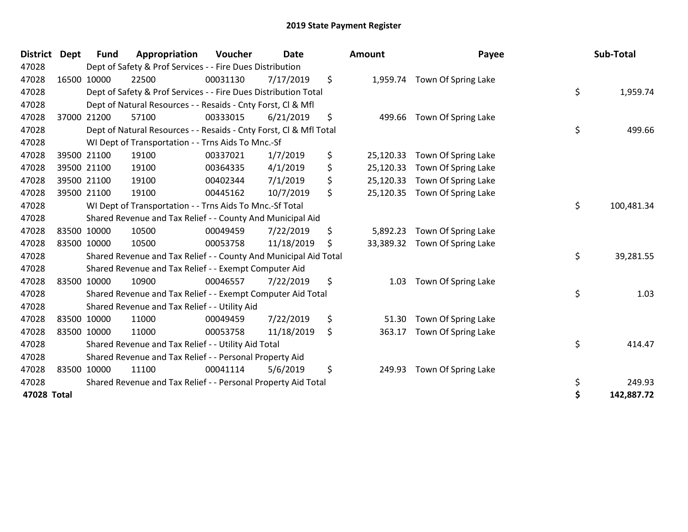| <b>District</b> | <b>Dept</b> | <b>Fund</b> | Appropriation                                                      | Voucher  | <b>Date</b> | Amount          | Payee               | Sub-Total        |
|-----------------|-------------|-------------|--------------------------------------------------------------------|----------|-------------|-----------------|---------------------|------------------|
| 47028           |             |             | Dept of Safety & Prof Services - - Fire Dues Distribution          |          |             |                 |                     |                  |
| 47028           |             | 16500 10000 | 22500                                                              | 00031130 | 7/17/2019   | \$<br>1,959.74  | Town Of Spring Lake |                  |
| 47028           |             |             | Dept of Safety & Prof Services - - Fire Dues Distribution Total    |          |             |                 |                     | \$<br>1,959.74   |
| 47028           |             |             | Dept of Natural Resources - - Resaids - Cnty Forst, CI & Mfl       |          |             |                 |                     |                  |
| 47028           |             | 37000 21200 | 57100                                                              | 00333015 | 6/21/2019   | \$<br>499.66    | Town Of Spring Lake |                  |
| 47028           |             |             | Dept of Natural Resources - - Resaids - Cnty Forst, Cl & Mfl Total |          |             |                 |                     | \$<br>499.66     |
| 47028           |             |             | WI Dept of Transportation - - Trns Aids To Mnc.-Sf                 |          |             |                 |                     |                  |
| 47028           |             | 39500 21100 | 19100                                                              | 00337021 | 1/7/2019    | \$<br>25,120.33 | Town Of Spring Lake |                  |
| 47028           |             | 39500 21100 | 19100                                                              | 00364335 | 4/1/2019    | \$<br>25,120.33 | Town Of Spring Lake |                  |
| 47028           |             | 39500 21100 | 19100                                                              | 00402344 | 7/1/2019    | \$<br>25,120.33 | Town Of Spring Lake |                  |
| 47028           |             | 39500 21100 | 19100                                                              | 00445162 | 10/7/2019   | \$<br>25,120.35 | Town Of Spring Lake |                  |
| 47028           |             |             | WI Dept of Transportation - - Trns Aids To Mnc.-Sf Total           |          |             |                 |                     | \$<br>100,481.34 |
| 47028           |             |             | Shared Revenue and Tax Relief - - County And Municipal Aid         |          |             |                 |                     |                  |
| 47028           |             | 83500 10000 | 10500                                                              | 00049459 | 7/22/2019   | \$<br>5,892.23  | Town Of Spring Lake |                  |
| 47028           |             | 83500 10000 | 10500                                                              | 00053758 | 11/18/2019  | \$<br>33,389.32 | Town Of Spring Lake |                  |
| 47028           |             |             | Shared Revenue and Tax Relief - - County And Municipal Aid Total   |          |             |                 |                     | \$<br>39,281.55  |
| 47028           |             |             | Shared Revenue and Tax Relief - - Exempt Computer Aid              |          |             |                 |                     |                  |
| 47028           |             | 83500 10000 | 10900                                                              | 00046557 | 7/22/2019   | \$<br>1.03      | Town Of Spring Lake |                  |
| 47028           |             |             | Shared Revenue and Tax Relief - - Exempt Computer Aid Total        |          |             |                 |                     | \$<br>1.03       |
| 47028           |             |             | Shared Revenue and Tax Relief - - Utility Aid                      |          |             |                 |                     |                  |
| 47028           |             | 83500 10000 | 11000                                                              | 00049459 | 7/22/2019   | \$<br>51.30     | Town Of Spring Lake |                  |
| 47028           |             | 83500 10000 | 11000                                                              | 00053758 | 11/18/2019  | \$<br>363.17    | Town Of Spring Lake |                  |
| 47028           |             |             | Shared Revenue and Tax Relief - - Utility Aid Total                |          |             |                 |                     | \$<br>414.47     |
| 47028           |             |             | Shared Revenue and Tax Relief - - Personal Property Aid            |          |             |                 |                     |                  |
| 47028           |             | 83500 10000 | 11100                                                              | 00041114 | 5/6/2019    | \$<br>249.93    | Town Of Spring Lake |                  |
| 47028           |             |             | Shared Revenue and Tax Relief - - Personal Property Aid Total      |          |             |                 |                     | \$<br>249.93     |
| 47028 Total     |             |             |                                                                    |          |             |                 |                     | \$<br>142,887.72 |

| Amount    | Payee                        | Sub-Total        |
|-----------|------------------------------|------------------|
|           | 1,959.74 Town Of Spring Lake | \$               |
| 499.66    | Town Of Spring Lake          | 1,959.74         |
|           |                              | \$<br>499.66     |
| 25,120.33 | Town Of Spring Lake          |                  |
| 25,120.33 | Town Of Spring Lake          |                  |
| 25,120.33 | Town Of Spring Lake          |                  |
| 25,120.35 | Town Of Spring Lake          |                  |
|           |                              | \$<br>100,481.34 |
| 5,892.23  | Town Of Spring Lake          |                  |
| 33,389.32 | Town Of Spring Lake          |                  |
|           |                              | \$<br>39,281.55  |
| 1.03      | Town Of Spring Lake          |                  |
|           |                              | \$<br>1.03       |
| 51.30     | Town Of Spring Lake          |                  |
| 363.17    | Town Of Spring Lake          |                  |
|           |                              | \$<br>414.47     |
| 249.93    | Town Of Spring Lake          |                  |
|           |                              | \$<br>249.93     |
|           |                              | \$<br>142,887.72 |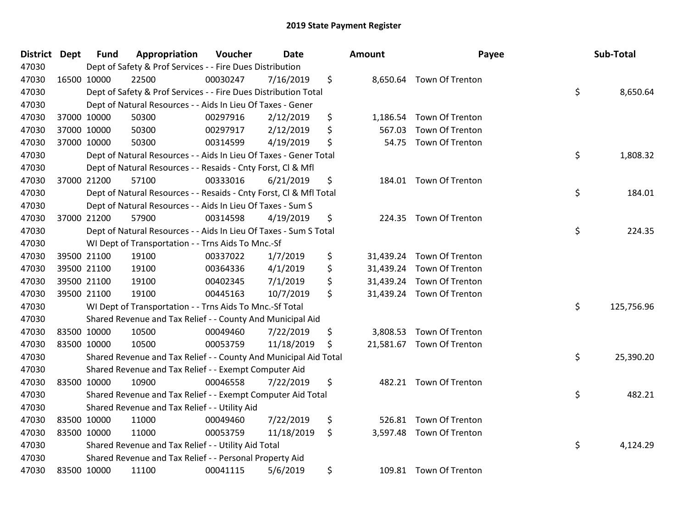| <b>District Dept</b> |             | <b>Fund</b> | Appropriation                                                      | Voucher  | <b>Date</b> | Amount          | Payee                     | Sub-Total        |
|----------------------|-------------|-------------|--------------------------------------------------------------------|----------|-------------|-----------------|---------------------------|------------------|
| 47030                |             |             | Dept of Safety & Prof Services - - Fire Dues Distribution          |          |             |                 |                           |                  |
| 47030                |             | 16500 10000 | 22500                                                              | 00030247 | 7/16/2019   | \$              | 8,650.64 Town Of Trenton  |                  |
| 47030                |             |             | Dept of Safety & Prof Services - - Fire Dues Distribution Total    |          |             |                 |                           | \$<br>8,650.64   |
| 47030                |             |             | Dept of Natural Resources - - Aids In Lieu Of Taxes - Gener        |          |             |                 |                           |                  |
| 47030                |             | 37000 10000 | 50300                                                              | 00297916 | 2/12/2019   | \$<br>1,186.54  | Town Of Trenton           |                  |
| 47030                |             | 37000 10000 | 50300                                                              | 00297917 | 2/12/2019   | \$<br>567.03    | <b>Town Of Trenton</b>    |                  |
| 47030                |             | 37000 10000 | 50300                                                              | 00314599 | 4/19/2019   | \$<br>54.75     | Town Of Trenton           |                  |
| 47030                |             |             | Dept of Natural Resources - - Aids In Lieu Of Taxes - Gener Total  |          |             |                 |                           | \$<br>1,808.32   |
| 47030                |             |             | Dept of Natural Resources - - Resaids - Cnty Forst, Cl & Mfl       |          |             |                 |                           |                  |
| 47030                |             | 37000 21200 | 57100                                                              | 00333016 | 6/21/2019   | \$<br>184.01    | Town Of Trenton           |                  |
| 47030                |             |             | Dept of Natural Resources - - Resaids - Cnty Forst, Cl & Mfl Total |          |             |                 |                           | \$<br>184.01     |
| 47030                |             |             | Dept of Natural Resources - - Aids In Lieu Of Taxes - Sum S        |          |             |                 |                           |                  |
| 47030                |             | 37000 21200 | 57900                                                              | 00314598 | 4/19/2019   | \$<br>224.35    | Town Of Trenton           |                  |
| 47030                |             |             | Dept of Natural Resources - - Aids In Lieu Of Taxes - Sum S Total  |          |             |                 |                           | \$<br>224.35     |
| 47030                |             |             | WI Dept of Transportation - - Trns Aids To Mnc.-Sf                 |          |             |                 |                           |                  |
| 47030                |             | 39500 21100 | 19100                                                              | 00337022 | 1/7/2019    | \$<br>31,439.24 | Town Of Trenton           |                  |
| 47030                |             | 39500 21100 | 19100                                                              | 00364336 | 4/1/2019    | \$              | 31,439.24 Town Of Trenton |                  |
| 47030                |             | 39500 21100 | 19100                                                              | 00402345 | 7/1/2019    | \$              | 31,439.24 Town Of Trenton |                  |
| 47030                |             | 39500 21100 | 19100                                                              | 00445163 | 10/7/2019   | \$              | 31,439.24 Town Of Trenton |                  |
| 47030                |             |             | WI Dept of Transportation - - Trns Aids To Mnc.-Sf Total           |          |             |                 |                           | \$<br>125,756.96 |
| 47030                |             |             | Shared Revenue and Tax Relief - - County And Municipal Aid         |          |             |                 |                           |                  |
| 47030                |             | 83500 10000 | 10500                                                              | 00049460 | 7/22/2019   | \$<br>3,808.53  | Town Of Trenton           |                  |
| 47030                |             | 83500 10000 | 10500                                                              | 00053759 | 11/18/2019  | \$              | 21,581.67 Town Of Trenton |                  |
| 47030                |             |             | Shared Revenue and Tax Relief - - County And Municipal Aid Total   |          |             |                 |                           | \$<br>25,390.20  |
| 47030                |             |             | Shared Revenue and Tax Relief - - Exempt Computer Aid              |          |             |                 |                           |                  |
| 47030                |             | 83500 10000 | 10900                                                              | 00046558 | 7/22/2019   | \$              | 482.21 Town Of Trenton    |                  |
| 47030                |             |             | Shared Revenue and Tax Relief - - Exempt Computer Aid Total        |          |             |                 |                           | \$<br>482.21     |
| 47030                |             |             | Shared Revenue and Tax Relief - - Utility Aid                      |          |             |                 |                           |                  |
| 47030                | 83500 10000 |             | 11000                                                              | 00049460 | 7/22/2019   | \$<br>526.81    | Town Of Trenton           |                  |
| 47030                | 83500 10000 |             | 11000                                                              | 00053759 | 11/18/2019  | \$              | 3,597.48 Town Of Trenton  |                  |
| 47030                |             |             | Shared Revenue and Tax Relief - - Utility Aid Total                |          |             |                 |                           | \$<br>4,124.29   |
| 47030                |             |             | Shared Revenue and Tax Relief - - Personal Property Aid            |          |             |                 |                           |                  |
| 47030                |             | 83500 10000 | 11100                                                              | 00041115 | 5/6/2019    | \$              | 109.81 Town Of Trenton    |                  |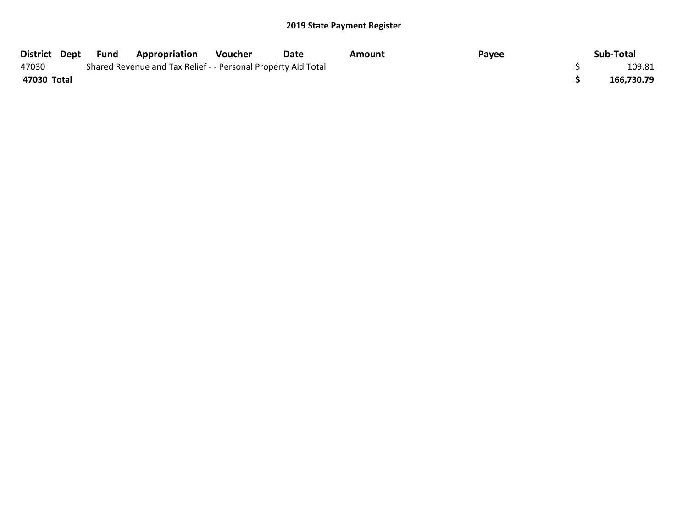|             | District Dept Fund | <b>Appropriation</b>                                          | Voucher | Date | Amount | Payee | Sub-Total  |
|-------------|--------------------|---------------------------------------------------------------|---------|------|--------|-------|------------|
| 47030       |                    | Shared Revenue and Tax Relief - - Personal Property Aid Total |         |      |        |       | 109.81     |
| 47030 Total |                    |                                                               |         |      |        |       | 166,730.79 |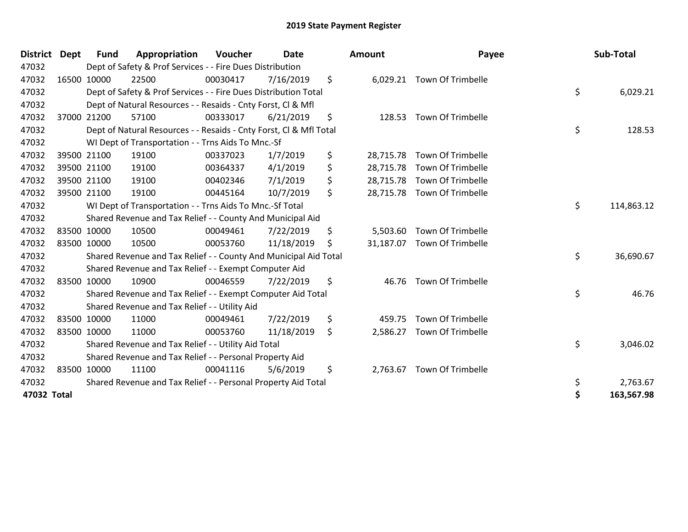| <b>District</b> | <b>Dept</b> | <b>Fund</b> | Appropriation                                                      | Voucher  | Date       | Amount          | Payee                       | Sub-Total        |
|-----------------|-------------|-------------|--------------------------------------------------------------------|----------|------------|-----------------|-----------------------------|------------------|
| 47032           |             |             | Dept of Safety & Prof Services - - Fire Dues Distribution          |          |            |                 |                             |                  |
| 47032           |             | 16500 10000 | 22500                                                              | 00030417 | 7/16/2019  | \$              | 6,029.21 Town Of Trimbelle  |                  |
| 47032           |             |             | Dept of Safety & Prof Services - - Fire Dues Distribution Total    |          |            |                 |                             | \$<br>6,029.21   |
| 47032           |             |             | Dept of Natural Resources - - Resaids - Cnty Forst, CI & Mfl       |          |            |                 |                             |                  |
| 47032           |             | 37000 21200 | 57100                                                              | 00333017 | 6/21/2019  | \$<br>128.53    | Town Of Trimbelle           |                  |
| 47032           |             |             | Dept of Natural Resources - - Resaids - Cnty Forst, CI & Mfl Total |          |            |                 |                             | \$<br>128.53     |
| 47032           |             |             | WI Dept of Transportation - - Trns Aids To Mnc.-Sf                 |          |            |                 |                             |                  |
| 47032           |             | 39500 21100 | 19100                                                              | 00337023 | 1/7/2019   | \$<br>28,715.78 | <b>Town Of Trimbelle</b>    |                  |
| 47032           |             | 39500 21100 | 19100                                                              | 00364337 | 4/1/2019   | \$<br>28,715.78 | <b>Town Of Trimbelle</b>    |                  |
| 47032           |             | 39500 21100 | 19100                                                              | 00402346 | 7/1/2019   | \$<br>28,715.78 | Town Of Trimbelle           |                  |
| 47032           |             | 39500 21100 | 19100                                                              | 00445164 | 10/7/2019  | \$              | 28,715.78 Town Of Trimbelle |                  |
| 47032           |             |             | WI Dept of Transportation - - Trns Aids To Mnc.-Sf Total           |          |            |                 |                             | \$<br>114,863.12 |
| 47032           |             |             | Shared Revenue and Tax Relief - - County And Municipal Aid         |          |            |                 |                             |                  |
| 47032           |             | 83500 10000 | 10500                                                              | 00049461 | 7/22/2019  | \$<br>5,503.60  | <b>Town Of Trimbelle</b>    |                  |
| 47032           |             | 83500 10000 | 10500                                                              | 00053760 | 11/18/2019 | \$              | 31,187.07 Town Of Trimbelle |                  |
| 47032           |             |             | Shared Revenue and Tax Relief - - County And Municipal Aid Total   |          |            |                 |                             | \$<br>36,690.67  |
| 47032           |             |             | Shared Revenue and Tax Relief - - Exempt Computer Aid              |          |            |                 |                             |                  |
| 47032           |             | 83500 10000 | 10900                                                              | 00046559 | 7/22/2019  | \$<br>46.76     | <b>Town Of Trimbelle</b>    |                  |
| 47032           |             |             | Shared Revenue and Tax Relief - - Exempt Computer Aid Total        |          |            |                 |                             | \$<br>46.76      |
| 47032           |             |             | Shared Revenue and Tax Relief - - Utility Aid                      |          |            |                 |                             |                  |
| 47032           |             | 83500 10000 | 11000                                                              | 00049461 | 7/22/2019  | \$<br>459.75    | <b>Town Of Trimbelle</b>    |                  |
| 47032           |             | 83500 10000 | 11000                                                              | 00053760 | 11/18/2019 | \$<br>2,586.27  | Town Of Trimbelle           |                  |
| 47032           |             |             | Shared Revenue and Tax Relief - - Utility Aid Total                |          |            |                 |                             | \$<br>3,046.02   |
| 47032           |             |             | Shared Revenue and Tax Relief - - Personal Property Aid            |          |            |                 |                             |                  |
| 47032           |             | 83500 10000 | 11100                                                              | 00041116 | 5/6/2019   | \$<br>2,763.67  | <b>Town Of Trimbelle</b>    |                  |
| 47032           |             |             | Shared Revenue and Tax Relief - - Personal Property Aid Total      |          |            |                 |                             | \$<br>2,763.67   |
| 47032 Total     |             |             |                                                                    |          |            |                 |                             | \$<br>163,567.98 |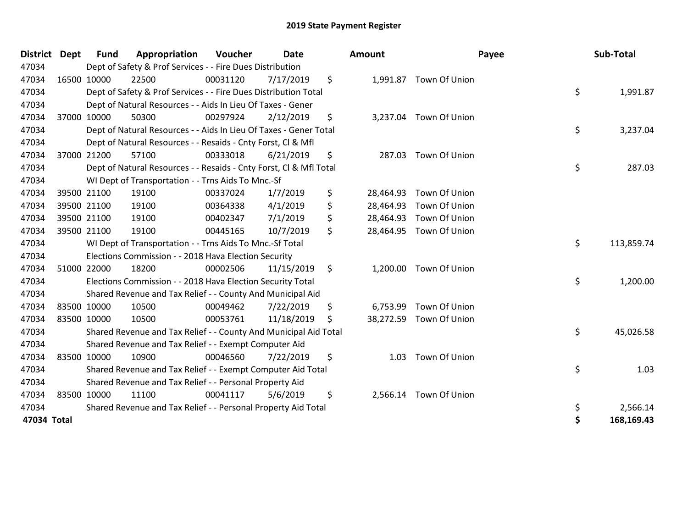| <b>District</b> | <b>Dept</b> | <b>Fund</b> | Appropriation                                                      | Voucher  | <b>Date</b> |     | Amount    |                         | Payee | Sub-Total  |
|-----------------|-------------|-------------|--------------------------------------------------------------------|----------|-------------|-----|-----------|-------------------------|-------|------------|
| 47034           |             |             | Dept of Safety & Prof Services - - Fire Dues Distribution          |          |             |     |           |                         |       |            |
| 47034           |             | 16500 10000 | 22500                                                              | 00031120 | 7/17/2019   | \$  |           | 1,991.87 Town Of Union  |       |            |
| 47034           |             |             | Dept of Safety & Prof Services - - Fire Dues Distribution Total    |          |             |     |           |                         | \$    | 1,991.87   |
| 47034           |             |             | Dept of Natural Resources - - Aids In Lieu Of Taxes - Gener        |          |             |     |           |                         |       |            |
| 47034           |             | 37000 10000 | 50300                                                              | 00297924 | 2/12/2019   | \$  |           | 3,237.04 Town Of Union  |       |            |
| 47034           |             |             | Dept of Natural Resources - - Aids In Lieu Of Taxes - Gener Total  |          |             |     |           |                         | \$    | 3,237.04   |
| 47034           |             |             | Dept of Natural Resources - - Resaids - Cnty Forst, CI & Mfl       |          |             |     |           |                         |       |            |
| 47034           |             | 37000 21200 | 57100                                                              | 00333018 | 6/21/2019   | \$  | 287.03    | Town Of Union           |       |            |
| 47034           |             |             | Dept of Natural Resources - - Resaids - Cnty Forst, Cl & Mfl Total |          |             |     |           |                         | \$    | 287.03     |
| 47034           |             |             | WI Dept of Transportation - - Trns Aids To Mnc.-Sf                 |          |             |     |           |                         |       |            |
| 47034           |             | 39500 21100 | 19100                                                              | 00337024 | 1/7/2019    | \$  | 28,464.93 | Town Of Union           |       |            |
| 47034           |             | 39500 21100 | 19100                                                              | 00364338 | 4/1/2019    | \$  | 28,464.93 | Town Of Union           |       |            |
| 47034           |             | 39500 21100 | 19100                                                              | 00402347 | 7/1/2019    | \$  | 28,464.93 | Town Of Union           |       |            |
| 47034           |             | 39500 21100 | 19100                                                              | 00445165 | 10/7/2019   | \$  | 28,464.95 | Town Of Union           |       |            |
| 47034           |             |             | WI Dept of Transportation - - Trns Aids To Mnc.-Sf Total           |          |             |     |           |                         | \$    | 113,859.74 |
| 47034           |             |             | Elections Commission - - 2018 Hava Election Security               |          |             |     |           |                         |       |            |
| 47034           |             | 51000 22000 | 18200                                                              | 00002506 | 11/15/2019  | \$  |           | 1,200.00 Town Of Union  |       |            |
| 47034           |             |             | Elections Commission - - 2018 Hava Election Security Total         |          |             |     |           |                         | \$    | 1,200.00   |
| 47034           |             |             | Shared Revenue and Tax Relief - - County And Municipal Aid         |          |             |     |           |                         |       |            |
| 47034           |             | 83500 10000 | 10500                                                              | 00049462 | 7/22/2019   | \$  | 6,753.99  | Town Of Union           |       |            |
| 47034           | 83500 10000 |             | 10500                                                              | 00053761 | 11/18/2019  | \$. |           | 38,272.59 Town Of Union |       |            |
| 47034           |             |             | Shared Revenue and Tax Relief - - County And Municipal Aid Total   |          |             |     |           |                         | \$    | 45,026.58  |
| 47034           |             |             | Shared Revenue and Tax Relief - - Exempt Computer Aid              |          |             |     |           |                         |       |            |
| 47034           |             | 83500 10000 | 10900                                                              | 00046560 | 7/22/2019   | \$  | 1.03      | Town Of Union           |       |            |
| 47034           |             |             | Shared Revenue and Tax Relief - - Exempt Computer Aid Total        |          |             |     |           |                         | \$    | 1.03       |
| 47034           |             |             | Shared Revenue and Tax Relief - - Personal Property Aid            |          |             |     |           |                         |       |            |
| 47034           |             | 83500 10000 | 11100                                                              | 00041117 | 5/6/2019    | \$  |           | 2,566.14 Town Of Union  |       |            |
| 47034           |             |             | Shared Revenue and Tax Relief - - Personal Property Aid Total      |          |             |     |           |                         | \$    | 2,566.14   |
| 47034 Total     |             |             |                                                                    |          |             |     |           |                         | \$    | 168,169.43 |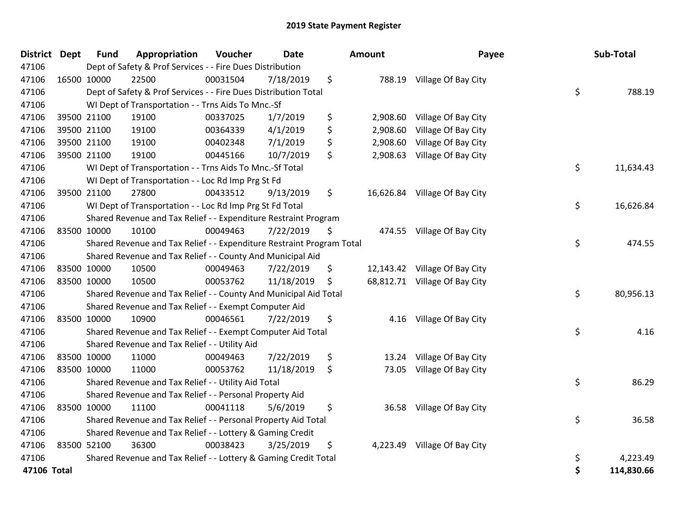| District Dept | <b>Fund</b> | Appropriation                                                         | Voucher  | <b>Date</b> | Amount         | Payee                         | Sub-Total       |
|---------------|-------------|-----------------------------------------------------------------------|----------|-------------|----------------|-------------------------------|-----------------|
| 47106         |             | Dept of Safety & Prof Services - - Fire Dues Distribution             |          |             |                |                               |                 |
| 47106         | 16500 10000 | 22500                                                                 | 00031504 | 7/18/2019   | \$             | 788.19 Village Of Bay City    |                 |
| 47106         |             | Dept of Safety & Prof Services - - Fire Dues Distribution Total       |          |             |                |                               | \$<br>788.19    |
| 47106         |             | WI Dept of Transportation - - Trns Aids To Mnc.-Sf                    |          |             |                |                               |                 |
| 47106         | 39500 21100 | 19100                                                                 | 00337025 | 1/7/2019    | \$<br>2,908.60 | Village Of Bay City           |                 |
| 47106         | 39500 21100 | 19100                                                                 | 00364339 | 4/1/2019    | \$<br>2,908.60 | Village Of Bay City           |                 |
| 47106         | 39500 21100 | 19100                                                                 | 00402348 | 7/1/2019    | \$<br>2,908.60 | Village Of Bay City           |                 |
| 47106         | 39500 21100 | 19100                                                                 | 00445166 | 10/7/2019   | \$             | 2,908.63 Village Of Bay City  |                 |
| 47106         |             | WI Dept of Transportation - - Trns Aids To Mnc.-Sf Total              |          |             |                |                               | \$<br>11,634.43 |
| 47106         |             | WI Dept of Transportation - - Loc Rd Imp Prg St Fd                    |          |             |                |                               |                 |
| 47106         | 39500 21100 | 27800                                                                 | 00433512 | 9/13/2019   | \$             | 16,626.84 Village Of Bay City |                 |
| 47106         |             | WI Dept of Transportation - - Loc Rd Imp Prg St Fd Total              |          |             |                |                               | \$<br>16,626.84 |
| 47106         |             | Shared Revenue and Tax Relief - - Expenditure Restraint Program       |          |             |                |                               |                 |
| 47106         | 83500 10000 | 10100                                                                 | 00049463 | 7/22/2019   | \$             | 474.55 Village Of Bay City    |                 |
| 47106         |             | Shared Revenue and Tax Relief - - Expenditure Restraint Program Total |          |             |                |                               | \$<br>474.55    |
| 47106         |             | Shared Revenue and Tax Relief - - County And Municipal Aid            |          |             |                |                               |                 |
| 47106         | 83500 10000 | 10500                                                                 | 00049463 | 7/22/2019   | \$             | 12,143.42 Village Of Bay City |                 |
| 47106         | 83500 10000 | 10500                                                                 | 00053762 | 11/18/2019  | \$             | 68,812.71 Village Of Bay City |                 |
| 47106         |             | Shared Revenue and Tax Relief - - County And Municipal Aid Total      |          |             |                |                               | \$<br>80,956.13 |
| 47106         |             | Shared Revenue and Tax Relief - - Exempt Computer Aid                 |          |             |                |                               |                 |
| 47106         | 83500 10000 | 10900                                                                 | 00046561 | 7/22/2019   | \$             | 4.16 Village Of Bay City      |                 |
| 47106         |             | Shared Revenue and Tax Relief - - Exempt Computer Aid Total           |          |             |                |                               | \$<br>4.16      |
| 47106         |             | Shared Revenue and Tax Relief - - Utility Aid                         |          |             |                |                               |                 |
| 47106         | 83500 10000 | 11000                                                                 | 00049463 | 7/22/2019   | \$<br>13.24    | Village Of Bay City           |                 |
| 47106         | 83500 10000 | 11000                                                                 | 00053762 | 11/18/2019  | \$<br>73.05    | Village Of Bay City           |                 |
| 47106         |             | Shared Revenue and Tax Relief - - Utility Aid Total                   |          |             |                |                               | \$<br>86.29     |
| 47106         |             | Shared Revenue and Tax Relief - - Personal Property Aid               |          |             |                |                               |                 |
| 47106         | 83500 10000 | 11100                                                                 | 00041118 | 5/6/2019    | \$             | 36.58 Village Of Bay City     |                 |
| 47106         |             | Shared Revenue and Tax Relief - - Personal Property Aid Total         |          |             |                |                               | \$<br>36.58     |
| 47106         |             | Shared Revenue and Tax Relief - - Lottery & Gaming Credit             |          |             |                |                               |                 |
| 47106         | 83500 52100 | 36300                                                                 | 00038423 | 3/25/2019   | \$             | 4,223.49 Village Of Bay City  |                 |
| 47106         |             | Shared Revenue and Tax Relief - - Lottery & Gaming Credit Total       |          |             |                |                               | \$<br>4,223.49  |
| 47106 Total   |             |                                                                       |          |             |                |                               | 114,830.66      |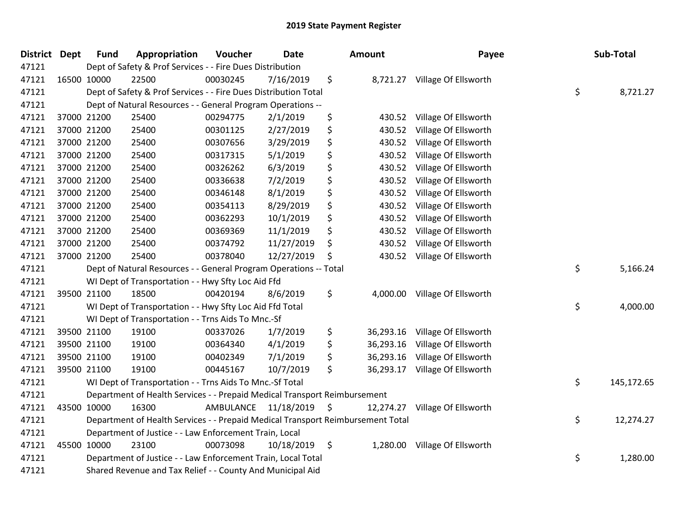| <b>District</b> | <b>Dept</b> | <b>Fund</b> | Appropriation                                                                   | Voucher              | Date       | Amount          | Payee                         | Sub-Total        |
|-----------------|-------------|-------------|---------------------------------------------------------------------------------|----------------------|------------|-----------------|-------------------------------|------------------|
| 47121           |             |             | Dept of Safety & Prof Services - - Fire Dues Distribution                       |                      |            |                 |                               |                  |
| 47121           |             | 16500 10000 | 22500                                                                           | 00030245             | 7/16/2019  | \$              | 8,721.27 Village Of Ellsworth |                  |
| 47121           |             |             | Dept of Safety & Prof Services - - Fire Dues Distribution Total                 |                      |            |                 |                               | \$<br>8,721.27   |
| 47121           |             |             | Dept of Natural Resources - - General Program Operations --                     |                      |            |                 |                               |                  |
| 47121           |             | 37000 21200 | 25400                                                                           | 00294775             | 2/1/2019   | \$<br>430.52    | Village Of Ellsworth          |                  |
| 47121           |             | 37000 21200 | 25400                                                                           | 00301125             | 2/27/2019  | \$<br>430.52    | Village Of Ellsworth          |                  |
| 47121           |             | 37000 21200 | 25400                                                                           | 00307656             | 3/29/2019  | \$<br>430.52    | Village Of Ellsworth          |                  |
| 47121           |             | 37000 21200 | 25400                                                                           | 00317315             | 5/1/2019   | \$<br>430.52    | Village Of Ellsworth          |                  |
| 47121           |             | 37000 21200 | 25400                                                                           | 00326262             | 6/3/2019   | \$<br>430.52    | Village Of Ellsworth          |                  |
| 47121           |             | 37000 21200 | 25400                                                                           | 00336638             | 7/2/2019   | \$<br>430.52    | Village Of Ellsworth          |                  |
| 47121           |             | 37000 21200 | 25400                                                                           | 00346148             | 8/1/2019   | \$<br>430.52    | Village Of Ellsworth          |                  |
| 47121           |             | 37000 21200 | 25400                                                                           | 00354113             | 8/29/2019  | \$<br>430.52    | Village Of Ellsworth          |                  |
| 47121           |             | 37000 21200 | 25400                                                                           | 00362293             | 10/1/2019  | \$<br>430.52    | Village Of Ellsworth          |                  |
| 47121           |             | 37000 21200 | 25400                                                                           | 00369369             | 11/1/2019  | \$<br>430.52    | Village Of Ellsworth          |                  |
| 47121           |             | 37000 21200 | 25400                                                                           | 00374792             | 11/27/2019 | \$<br>430.52    | Village Of Ellsworth          |                  |
| 47121           |             | 37000 21200 | 25400                                                                           | 00378040             | 12/27/2019 | \$<br>430.52    | Village Of Ellsworth          |                  |
| 47121           |             |             | Dept of Natural Resources - - General Program Operations -- Total               |                      |            |                 |                               | \$<br>5,166.24   |
| 47121           |             |             | WI Dept of Transportation - - Hwy Sfty Loc Aid Ffd                              |                      |            |                 |                               |                  |
| 47121           |             | 39500 21100 | 18500                                                                           | 00420194             | 8/6/2019   | \$<br>4,000.00  | Village Of Ellsworth          |                  |
| 47121           |             |             | WI Dept of Transportation - - Hwy Sfty Loc Aid Ffd Total                        |                      |            |                 |                               | \$<br>4,000.00   |
| 47121           |             |             | WI Dept of Transportation - - Trns Aids To Mnc.-Sf                              |                      |            |                 |                               |                  |
| 47121           |             | 39500 21100 | 19100                                                                           | 00337026             | 1/7/2019   | \$<br>36,293.16 | Village Of Ellsworth          |                  |
| 47121           |             | 39500 21100 | 19100                                                                           | 00364340             | 4/1/2019   | \$<br>36,293.16 | Village Of Ellsworth          |                  |
| 47121           |             | 39500 21100 | 19100                                                                           | 00402349             | 7/1/2019   | \$<br>36,293.16 | Village Of Ellsworth          |                  |
| 47121           |             | 39500 21100 | 19100                                                                           | 00445167             | 10/7/2019  | \$<br>36,293.17 | Village Of Ellsworth          |                  |
| 47121           |             |             | WI Dept of Transportation - - Trns Aids To Mnc.-Sf Total                        |                      |            |                 |                               | \$<br>145,172.65 |
| 47121           |             |             | Department of Health Services - - Prepaid Medical Transport Reimbursement       |                      |            |                 |                               |                  |
| 47121           |             | 43500 10000 | 16300                                                                           | AMBULANCE 11/18/2019 |            | \$<br>12,274.27 | Village Of Ellsworth          |                  |
| 47121           |             |             | Department of Health Services - - Prepaid Medical Transport Reimbursement Total |                      |            |                 |                               | \$<br>12,274.27  |
| 47121           |             |             | Department of Justice - - Law Enforcement Train, Local                          |                      |            |                 |                               |                  |
| 47121           |             | 45500 10000 | 23100                                                                           | 00073098             | 10/18/2019 | \$<br>1,280.00  | Village Of Ellsworth          |                  |
| 47121           |             |             | Department of Justice - - Law Enforcement Train, Local Total                    |                      |            |                 |                               | \$<br>1,280.00   |
| 47121           |             |             | Shared Revenue and Tax Relief - - County And Municipal Aid                      |                      |            |                 |                               |                  |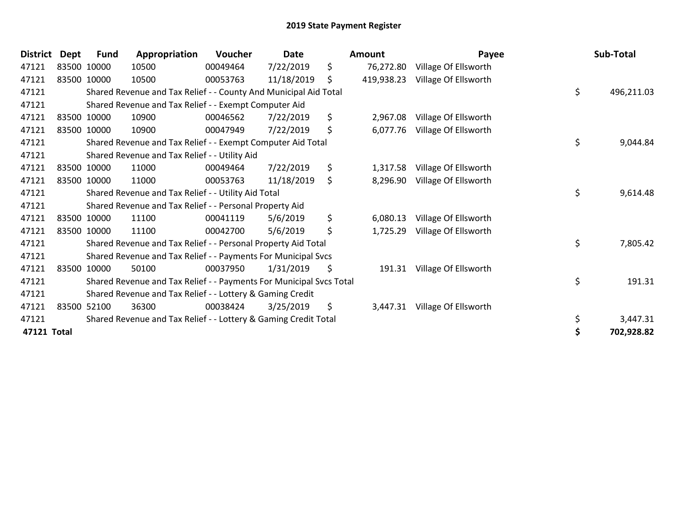| <b>District</b> | Dept | <b>Fund</b> | Appropriation                                                       | Voucher  | <b>Date</b> | Amount           | Payee                | Sub-Total        |
|-----------------|------|-------------|---------------------------------------------------------------------|----------|-------------|------------------|----------------------|------------------|
| 47121           |      | 83500 10000 | 10500                                                               | 00049464 | 7/22/2019   | \$<br>76,272.80  | Village Of Ellsworth |                  |
| 47121           |      | 83500 10000 | 10500                                                               | 00053763 | 11/18/2019  | \$<br>419,938.23 | Village Of Ellsworth |                  |
| 47121           |      |             | Shared Revenue and Tax Relief - - County And Municipal Aid Total    |          |             |                  |                      | \$<br>496,211.03 |
| 47121           |      |             | Shared Revenue and Tax Relief - - Exempt Computer Aid               |          |             |                  |                      |                  |
| 47121           |      | 83500 10000 | 10900                                                               | 00046562 | 7/22/2019   | \$<br>2,967.08   | Village Of Ellsworth |                  |
| 47121           |      | 83500 10000 | 10900                                                               | 00047949 | 7/22/2019   | \$<br>6,077.76   | Village Of Ellsworth |                  |
| 47121           |      |             | Shared Revenue and Tax Relief - - Exempt Computer Aid Total         |          |             |                  |                      | \$<br>9,044.84   |
| 47121           |      |             | Shared Revenue and Tax Relief - - Utility Aid                       |          |             |                  |                      |                  |
| 47121           |      | 83500 10000 | 11000                                                               | 00049464 | 7/22/2019   | \$<br>1,317.58   | Village Of Ellsworth |                  |
| 47121           |      | 83500 10000 | 11000                                                               | 00053763 | 11/18/2019  | \$<br>8,296.90   | Village Of Ellsworth |                  |
| 47121           |      |             | Shared Revenue and Tax Relief - - Utility Aid Total                 |          |             |                  |                      | \$<br>9,614.48   |
| 47121           |      |             | Shared Revenue and Tax Relief - - Personal Property Aid             |          |             |                  |                      |                  |
| 47121           |      | 83500 10000 | 11100                                                               | 00041119 | 5/6/2019    | \$<br>6,080.13   | Village Of Ellsworth |                  |
| 47121           |      | 83500 10000 | 11100                                                               | 00042700 | 5/6/2019    | \$<br>1,725.29   | Village Of Ellsworth |                  |
| 47121           |      |             | Shared Revenue and Tax Relief - - Personal Property Aid Total       |          |             |                  |                      | \$<br>7,805.42   |
| 47121           |      |             | Shared Revenue and Tax Relief - - Payments For Municipal Svcs       |          |             |                  |                      |                  |
| 47121           |      | 83500 10000 | 50100                                                               | 00037950 | 1/31/2019   | \$<br>191.31     | Village Of Ellsworth |                  |
| 47121           |      |             | Shared Revenue and Tax Relief - - Payments For Municipal Svcs Total |          |             |                  |                      | \$<br>191.31     |
| 47121           |      |             | Shared Revenue and Tax Relief - - Lottery & Gaming Credit           |          |             |                  |                      |                  |
| 47121           |      | 83500 52100 | 36300                                                               | 00038424 | 3/25/2019   | \$<br>3,447.31   | Village Of Ellsworth |                  |
| 47121           |      |             | Shared Revenue and Tax Relief - - Lottery & Gaming Credit Total     |          |             |                  |                      | \$<br>3,447.31   |
| 47121 Total     |      |             |                                                                     |          |             |                  |                      | 702,928.82       |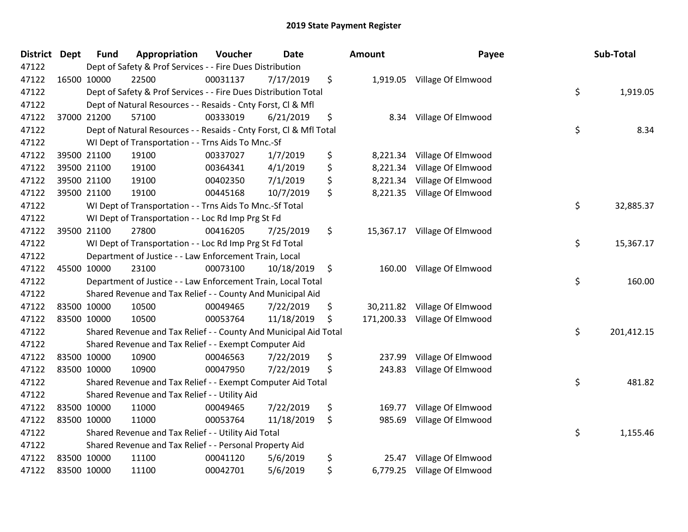| <b>District</b> | <b>Dept</b> | <b>Fund</b> | Appropriation                                                      | Voucher  | <b>Date</b> | <b>Amount</b>    | Payee                        | Sub-Total        |
|-----------------|-------------|-------------|--------------------------------------------------------------------|----------|-------------|------------------|------------------------------|------------------|
| 47122           |             |             | Dept of Safety & Prof Services - - Fire Dues Distribution          |          |             |                  |                              |                  |
| 47122           | 16500 10000 |             | 22500                                                              | 00031137 | 7/17/2019   | \$               | 1,919.05 Village Of Elmwood  |                  |
| 47122           |             |             | Dept of Safety & Prof Services - - Fire Dues Distribution Total    |          |             |                  |                              | \$<br>1,919.05   |
| 47122           |             |             | Dept of Natural Resources - - Resaids - Cnty Forst, CI & Mfl       |          |             |                  |                              |                  |
| 47122           |             | 37000 21200 | 57100                                                              | 00333019 | 6/21/2019   | \$<br>8.34       | Village Of Elmwood           |                  |
| 47122           |             |             | Dept of Natural Resources - - Resaids - Cnty Forst, Cl & Mfl Total |          |             |                  |                              | \$<br>8.34       |
| 47122           |             |             | WI Dept of Transportation - - Trns Aids To Mnc.-Sf                 |          |             |                  |                              |                  |
| 47122           |             | 39500 21100 | 19100                                                              | 00337027 | 1/7/2019    | \$<br>8,221.34   | Village Of Elmwood           |                  |
| 47122           |             | 39500 21100 | 19100                                                              | 00364341 | 4/1/2019    | \$<br>8,221.34   | Village Of Elmwood           |                  |
| 47122           |             | 39500 21100 | 19100                                                              | 00402350 | 7/1/2019    | \$<br>8,221.34   | Village Of Elmwood           |                  |
| 47122           |             | 39500 21100 | 19100                                                              | 00445168 | 10/7/2019   | \$<br>8,221.35   | Village Of Elmwood           |                  |
| 47122           |             |             | WI Dept of Transportation - - Trns Aids To Mnc.-Sf Total           |          |             |                  |                              | \$<br>32,885.37  |
| 47122           |             |             | WI Dept of Transportation - - Loc Rd Imp Prg St Fd                 |          |             |                  |                              |                  |
| 47122           |             | 39500 21100 | 27800                                                              | 00416205 | 7/25/2019   | \$               | 15,367.17 Village Of Elmwood |                  |
| 47122           |             |             | WI Dept of Transportation - - Loc Rd Imp Prg St Fd Total           |          |             |                  |                              | \$<br>15,367.17  |
| 47122           |             |             | Department of Justice - - Law Enforcement Train, Local             |          |             |                  |                              |                  |
| 47122           |             | 45500 10000 | 23100                                                              | 00073100 | 10/18/2019  | \$<br>160.00     | Village Of Elmwood           |                  |
| 47122           |             |             | Department of Justice - - Law Enforcement Train, Local Total       |          |             |                  |                              | \$<br>160.00     |
| 47122           |             |             | Shared Revenue and Tax Relief - - County And Municipal Aid         |          |             |                  |                              |                  |
| 47122           |             | 83500 10000 | 10500                                                              | 00049465 | 7/22/2019   | \$<br>30,211.82  | Village Of Elmwood           |                  |
| 47122           | 83500 10000 |             | 10500                                                              | 00053764 | 11/18/2019  | \$<br>171,200.33 | Village Of Elmwood           |                  |
| 47122           |             |             | Shared Revenue and Tax Relief - - County And Municipal Aid Total   |          |             |                  |                              | \$<br>201,412.15 |
| 47122           |             |             | Shared Revenue and Tax Relief - - Exempt Computer Aid              |          |             |                  |                              |                  |
| 47122           | 83500 10000 |             | 10900                                                              | 00046563 | 7/22/2019   | \$<br>237.99     | Village Of Elmwood           |                  |
| 47122           | 83500 10000 |             | 10900                                                              | 00047950 | 7/22/2019   | \$<br>243.83     | Village Of Elmwood           |                  |
| 47122           |             |             | Shared Revenue and Tax Relief - - Exempt Computer Aid Total        |          |             |                  |                              | \$<br>481.82     |
| 47122           |             |             | Shared Revenue and Tax Relief - - Utility Aid                      |          |             |                  |                              |                  |
| 47122           |             | 83500 10000 | 11000                                                              | 00049465 | 7/22/2019   | \$<br>169.77     | Village Of Elmwood           |                  |
| 47122           | 83500 10000 |             | 11000                                                              | 00053764 | 11/18/2019  | \$<br>985.69     | Village Of Elmwood           |                  |
| 47122           |             |             | Shared Revenue and Tax Relief - - Utility Aid Total                |          |             |                  |                              | \$<br>1,155.46   |
| 47122           |             |             | Shared Revenue and Tax Relief - - Personal Property Aid            |          |             |                  |                              |                  |
| 47122           |             | 83500 10000 | 11100                                                              | 00041120 | 5/6/2019    | \$<br>25.47      | Village Of Elmwood           |                  |
| 47122           | 83500 10000 |             | 11100                                                              | 00042701 | 5/6/2019    | \$<br>6,779.25   | Village Of Elmwood           |                  |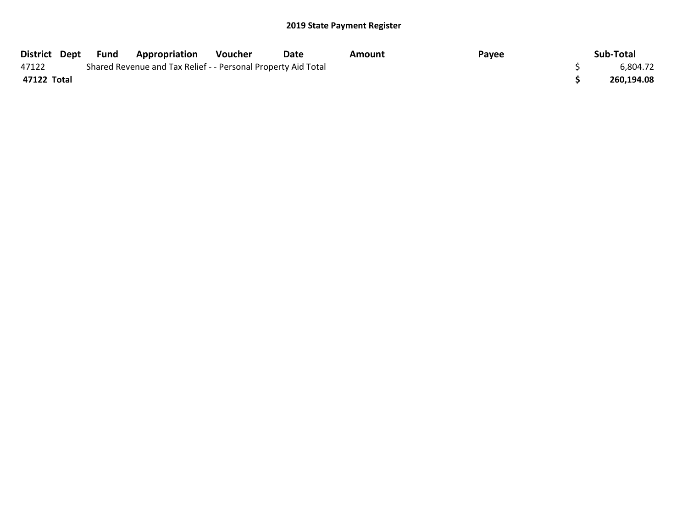|             | District Dept Fund | <b>Appropriation</b>                                          | Voucher | Date | Amount | Payee | Sub-Total  |
|-------------|--------------------|---------------------------------------------------------------|---------|------|--------|-------|------------|
| 47122       |                    | Shared Revenue and Tax Relief - - Personal Property Aid Total |         |      |        |       | 6,804.72   |
| 47122 Total |                    |                                                               |         |      |        |       | 260,194.08 |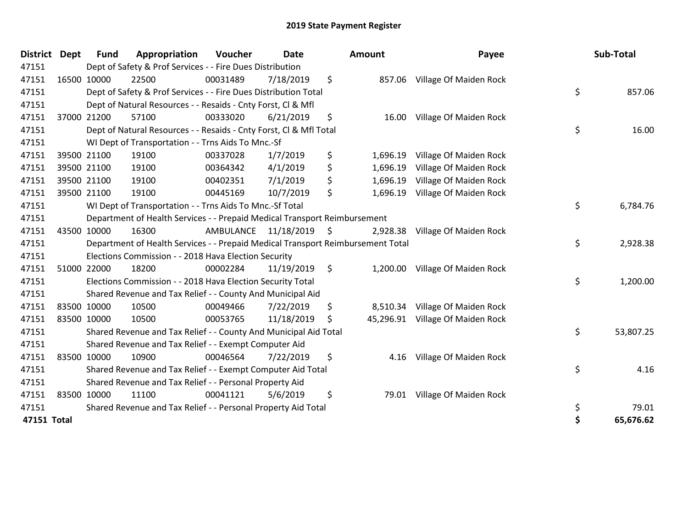| <b>District</b> | <b>Dept</b> | <b>Fund</b> | Appropriation                                                                   | Voucher   | <b>Date</b> | Amount          | Payee                           | Sub-Total       |
|-----------------|-------------|-------------|---------------------------------------------------------------------------------|-----------|-------------|-----------------|---------------------------------|-----------------|
| 47151           |             |             | Dept of Safety & Prof Services - - Fire Dues Distribution                       |           |             |                 |                                 |                 |
| 47151           |             | 16500 10000 | 22500                                                                           | 00031489  | 7/18/2019   | \$<br>857.06    | Village Of Maiden Rock          |                 |
| 47151           |             |             | Dept of Safety & Prof Services - - Fire Dues Distribution Total                 |           |             |                 |                                 | \$<br>857.06    |
| 47151           |             |             | Dept of Natural Resources - - Resaids - Cnty Forst, Cl & Mfl                    |           |             |                 |                                 |                 |
| 47151           |             | 37000 21200 | 57100                                                                           | 00333020  | 6/21/2019   | \$<br>16.00     | Village Of Maiden Rock          |                 |
| 47151           |             |             | Dept of Natural Resources - - Resaids - Cnty Forst, Cl & Mfl Total              |           |             |                 |                                 | \$<br>16.00     |
| 47151           |             |             | WI Dept of Transportation - - Trns Aids To Mnc.-Sf                              |           |             |                 |                                 |                 |
| 47151           |             | 39500 21100 | 19100                                                                           | 00337028  | 1/7/2019    | \$<br>1,696.19  | Village Of Maiden Rock          |                 |
| 47151           |             | 39500 21100 | 19100                                                                           | 00364342  | 4/1/2019    | \$<br>1,696.19  | Village Of Maiden Rock          |                 |
| 47151           |             | 39500 21100 | 19100                                                                           | 00402351  | 7/1/2019    | \$<br>1,696.19  | Village Of Maiden Rock          |                 |
| 47151           |             | 39500 21100 | 19100                                                                           | 00445169  | 10/7/2019   | \$<br>1,696.19  | Village Of Maiden Rock          |                 |
| 47151           |             |             | WI Dept of Transportation - - Trns Aids To Mnc.-Sf Total                        |           |             |                 |                                 | \$<br>6,784.76  |
| 47151           |             |             | Department of Health Services - - Prepaid Medical Transport Reimbursement       |           |             |                 |                                 |                 |
| 47151           |             | 43500 10000 | 16300                                                                           | AMBULANCE | 11/18/2019  | \$<br>2,928.38  | Village Of Maiden Rock          |                 |
| 47151           |             |             | Department of Health Services - - Prepaid Medical Transport Reimbursement Total |           |             |                 |                                 | \$<br>2,928.38  |
| 47151           |             |             | Elections Commission - - 2018 Hava Election Security                            |           |             |                 |                                 |                 |
| 47151           |             | 51000 22000 | 18200                                                                           | 00002284  | 11/19/2019  | \$<br>1,200.00  | Village Of Maiden Rock          |                 |
| 47151           |             |             | Elections Commission - - 2018 Hava Election Security Total                      |           |             |                 |                                 | \$<br>1,200.00  |
| 47151           |             |             | Shared Revenue and Tax Relief - - County And Municipal Aid                      |           |             |                 |                                 |                 |
| 47151           |             | 83500 10000 | 10500                                                                           | 00049466  | 7/22/2019   | \$              | 8,510.34 Village Of Maiden Rock |                 |
| 47151           |             | 83500 10000 | 10500                                                                           | 00053765  | 11/18/2019  | \$<br>45,296.91 | Village Of Maiden Rock          |                 |
| 47151           |             |             | Shared Revenue and Tax Relief - - County And Municipal Aid Total                |           |             |                 |                                 | \$<br>53,807.25 |
| 47151           |             |             | Shared Revenue and Tax Relief - - Exempt Computer Aid                           |           |             |                 |                                 |                 |
| 47151           |             | 83500 10000 | 10900                                                                           | 00046564  | 7/22/2019   | \$<br>4.16      | Village Of Maiden Rock          |                 |
| 47151           |             |             | Shared Revenue and Tax Relief - - Exempt Computer Aid Total                     |           |             |                 |                                 | \$<br>4.16      |
| 47151           |             |             | Shared Revenue and Tax Relief - - Personal Property Aid                         |           |             |                 |                                 |                 |
| 47151           |             | 83500 10000 | 11100                                                                           | 00041121  | 5/6/2019    | \$<br>79.01     | Village Of Maiden Rock          |                 |
| 47151           |             |             | Shared Revenue and Tax Relief - - Personal Property Aid Total                   |           |             |                 |                                 | \$<br>79.01     |
| 47151 Total     |             |             |                                                                                 |           |             |                 |                                 | \$<br>65,676.62 |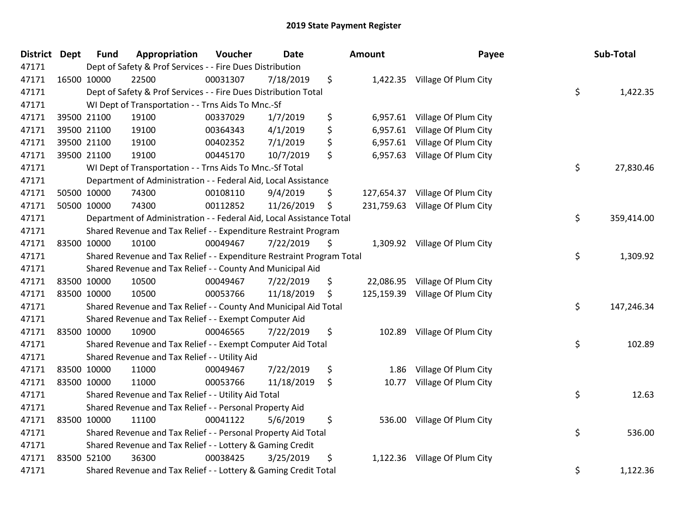| District Dept | <b>Fund</b> | Appropriation                                                         | Voucher  | <b>Date</b> | Amount           | Payee                         | Sub-Total        |
|---------------|-------------|-----------------------------------------------------------------------|----------|-------------|------------------|-------------------------------|------------------|
| 47171         |             | Dept of Safety & Prof Services - - Fire Dues Distribution             |          |             |                  |                               |                  |
| 47171         | 16500 10000 | 22500                                                                 | 00031307 | 7/18/2019   | \$               | 1,422.35 Village Of Plum City |                  |
| 47171         |             | Dept of Safety & Prof Services - - Fire Dues Distribution Total       |          |             |                  |                               | \$<br>1,422.35   |
| 47171         |             | WI Dept of Transportation - - Trns Aids To Mnc.-Sf                    |          |             |                  |                               |                  |
| 47171         | 39500 21100 | 19100                                                                 | 00337029 | 1/7/2019    | \$<br>6,957.61   | Village Of Plum City          |                  |
| 47171         | 39500 21100 | 19100                                                                 | 00364343 | 4/1/2019    | \$<br>6,957.61   | Village Of Plum City          |                  |
| 47171         | 39500 21100 | 19100                                                                 | 00402352 | 7/1/2019    | \$<br>6,957.61   | Village Of Plum City          |                  |
| 47171         | 39500 21100 | 19100                                                                 | 00445170 | 10/7/2019   | \$<br>6,957.63   | Village Of Plum City          |                  |
| 47171         |             | WI Dept of Transportation - - Trns Aids To Mnc.-Sf Total              |          |             |                  |                               | \$<br>27,830.46  |
| 47171         |             | Department of Administration - - Federal Aid, Local Assistance        |          |             |                  |                               |                  |
| 47171         | 50500 10000 | 74300                                                                 | 00108110 | 9/4/2019    | \$<br>127,654.37 | Village Of Plum City          |                  |
| 47171         | 50500 10000 | 74300                                                                 | 00112852 | 11/26/2019  | \$<br>231,759.63 | Village Of Plum City          |                  |
| 47171         |             | Department of Administration - - Federal Aid, Local Assistance Total  |          |             |                  |                               | \$<br>359,414.00 |
| 47171         |             | Shared Revenue and Tax Relief - - Expenditure Restraint Program       |          |             |                  |                               |                  |
| 47171         | 83500 10000 | 10100                                                                 | 00049467 | 7/22/2019   | \$               | 1,309.92 Village Of Plum City |                  |
| 47171         |             | Shared Revenue and Tax Relief - - Expenditure Restraint Program Total |          |             |                  |                               | \$<br>1,309.92   |
| 47171         |             | Shared Revenue and Tax Relief - - County And Municipal Aid            |          |             |                  |                               |                  |
| 47171         | 83500 10000 | 10500                                                                 | 00049467 | 7/22/2019   | \$<br>22,086.95  | Village Of Plum City          |                  |
| 47171         | 83500 10000 | 10500                                                                 | 00053766 | 11/18/2019  | \$<br>125,159.39 | Village Of Plum City          |                  |
| 47171         |             | Shared Revenue and Tax Relief - - County And Municipal Aid Total      |          |             |                  |                               | \$<br>147,246.34 |
| 47171         |             | Shared Revenue and Tax Relief - - Exempt Computer Aid                 |          |             |                  |                               |                  |
| 47171         | 83500 10000 | 10900                                                                 | 00046565 | 7/22/2019   | \$<br>102.89     | Village Of Plum City          |                  |
| 47171         |             | Shared Revenue and Tax Relief - - Exempt Computer Aid Total           |          |             |                  |                               | \$<br>102.89     |
| 47171         |             | Shared Revenue and Tax Relief - - Utility Aid                         |          |             |                  |                               |                  |
| 47171         | 83500 10000 | 11000                                                                 | 00049467 | 7/22/2019   | \$<br>1.86       | Village Of Plum City          |                  |
| 47171         | 83500 10000 | 11000                                                                 | 00053766 | 11/18/2019  | \$<br>10.77      | Village Of Plum City          |                  |
| 47171         |             | Shared Revenue and Tax Relief - - Utility Aid Total                   |          |             |                  |                               | \$<br>12.63      |
| 47171         |             | Shared Revenue and Tax Relief - - Personal Property Aid               |          |             |                  |                               |                  |
| 47171         | 83500 10000 | 11100                                                                 | 00041122 | 5/6/2019    | \$<br>536.00     | Village Of Plum City          |                  |
| 47171         |             | Shared Revenue and Tax Relief - - Personal Property Aid Total         |          |             |                  |                               | \$<br>536.00     |
| 47171         |             | Shared Revenue and Tax Relief - - Lottery & Gaming Credit             |          |             |                  |                               |                  |
| 47171         | 83500 52100 | 36300                                                                 | 00038425 | 3/25/2019   | \$               | 1,122.36 Village Of Plum City |                  |
| 47171         |             | Shared Revenue and Tax Relief - - Lottery & Gaming Credit Total       |          |             |                  |                               | \$<br>1,122.36   |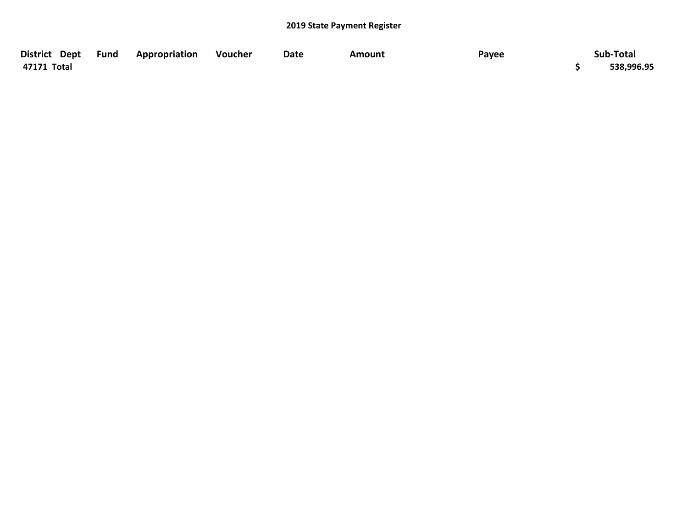| District Dept Fund | <b>Appropriation</b> | Voucher | Date | Amount | Payee | Sub-Total  |
|--------------------|----------------------|---------|------|--------|-------|------------|
| 47171 Total        |                      |         |      |        |       | 538,996.95 |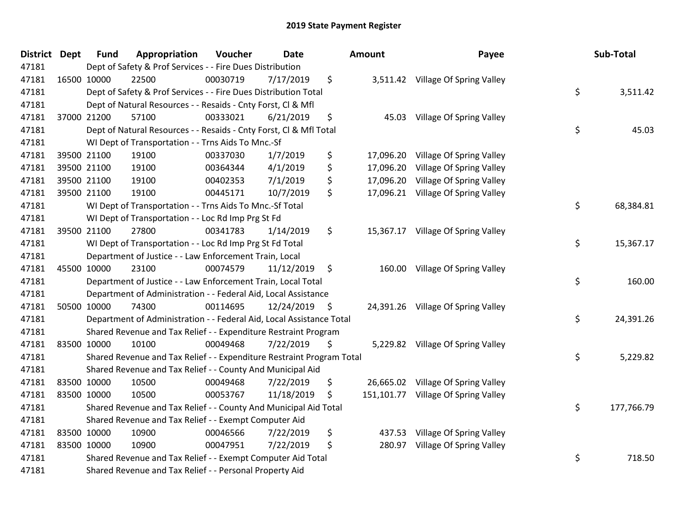| <b>District</b> | <b>Dept</b> | <b>Fund</b> | Appropriation                                                         | Voucher  | <b>Date</b> |     | <b>Amount</b> | Payee                              | Sub-Total        |
|-----------------|-------------|-------------|-----------------------------------------------------------------------|----------|-------------|-----|---------------|------------------------------------|------------------|
| 47181           |             |             | Dept of Safety & Prof Services - - Fire Dues Distribution             |          |             |     |               |                                    |                  |
| 47181           |             | 16500 10000 | 22500                                                                 | 00030719 | 7/17/2019   | \$  |               | 3,511.42 Village Of Spring Valley  |                  |
| 47181           |             |             | Dept of Safety & Prof Services - - Fire Dues Distribution Total       |          |             |     |               |                                    | \$<br>3,511.42   |
| 47181           |             |             | Dept of Natural Resources - - Resaids - Cnty Forst, Cl & Mfl          |          |             |     |               |                                    |                  |
| 47181           |             | 37000 21200 | 57100                                                                 | 00333021 | 6/21/2019   | \$  | 45.03         | Village Of Spring Valley           |                  |
| 47181           |             |             | Dept of Natural Resources - - Resaids - Cnty Forst, Cl & Mfl Total    |          |             |     |               |                                    | \$<br>45.03      |
| 47181           |             |             | WI Dept of Transportation - - Trns Aids To Mnc.-Sf                    |          |             |     |               |                                    |                  |
| 47181           |             | 39500 21100 | 19100                                                                 | 00337030 | 1/7/2019    | \$  | 17,096.20     | Village Of Spring Valley           |                  |
| 47181           |             | 39500 21100 | 19100                                                                 | 00364344 | 4/1/2019    | \$  | 17,096.20     | Village Of Spring Valley           |                  |
| 47181           |             | 39500 21100 | 19100                                                                 | 00402353 | 7/1/2019    | \$  | 17,096.20     | Village Of Spring Valley           |                  |
| 47181           |             | 39500 21100 | 19100                                                                 | 00445171 | 10/7/2019   | \$  | 17,096.21     | Village Of Spring Valley           |                  |
| 47181           |             |             | WI Dept of Transportation - - Trns Aids To Mnc.-Sf Total              |          |             |     |               |                                    | \$<br>68,384.81  |
| 47181           |             |             | WI Dept of Transportation - - Loc Rd Imp Prg St Fd                    |          |             |     |               |                                    |                  |
| 47181           |             | 39500 21100 | 27800                                                                 | 00341783 | 1/14/2019   | \$  | 15,367.17     | Village Of Spring Valley           |                  |
| 47181           |             |             | WI Dept of Transportation - - Loc Rd Imp Prg St Fd Total              |          |             |     |               |                                    | \$<br>15,367.17  |
| 47181           |             |             | Department of Justice - - Law Enforcement Train, Local                |          |             |     |               |                                    |                  |
| 47181           |             | 45500 10000 | 23100                                                                 | 00074579 | 11/12/2019  | \$  | 160.00        | Village Of Spring Valley           |                  |
| 47181           |             |             | Department of Justice - - Law Enforcement Train, Local Total          |          |             |     |               |                                    | \$<br>160.00     |
| 47181           |             |             | Department of Administration - - Federal Aid, Local Assistance        |          |             |     |               |                                    |                  |
| 47181           |             | 50500 10000 | 74300                                                                 | 00114695 | 12/24/2019  | \$. |               | 24,391.26 Village Of Spring Valley |                  |
| 47181           |             |             | Department of Administration - - Federal Aid, Local Assistance Total  |          |             |     |               |                                    | \$<br>24,391.26  |
| 47181           |             |             | Shared Revenue and Tax Relief - - Expenditure Restraint Program       |          |             |     |               |                                    |                  |
| 47181           |             | 83500 10000 | 10100                                                                 | 00049468 | 7/22/2019   | \$  |               | 5,229.82 Village Of Spring Valley  |                  |
| 47181           |             |             | Shared Revenue and Tax Relief - - Expenditure Restraint Program Total |          |             |     |               |                                    | \$<br>5,229.82   |
| 47181           |             |             | Shared Revenue and Tax Relief - - County And Municipal Aid            |          |             |     |               |                                    |                  |
| 47181           |             | 83500 10000 | 10500                                                                 | 00049468 | 7/22/2019   | \$  | 26,665.02     | Village Of Spring Valley           |                  |
| 47181           |             | 83500 10000 | 10500                                                                 | 00053767 | 11/18/2019  | \$  | 151,101.77    | Village Of Spring Valley           |                  |
| 47181           |             |             | Shared Revenue and Tax Relief - - County And Municipal Aid Total      |          |             |     |               |                                    | \$<br>177,766.79 |
| 47181           |             |             | Shared Revenue and Tax Relief - - Exempt Computer Aid                 |          |             |     |               |                                    |                  |
| 47181           |             | 83500 10000 | 10900                                                                 | 00046566 | 7/22/2019   | \$  | 437.53        | Village Of Spring Valley           |                  |
| 47181           |             | 83500 10000 | 10900                                                                 | 00047951 | 7/22/2019   | \$  | 280.97        | Village Of Spring Valley           |                  |
| 47181           |             |             | Shared Revenue and Tax Relief - - Exempt Computer Aid Total           |          |             |     |               |                                    | \$<br>718.50     |
| 47181           |             |             | Shared Revenue and Tax Relief - - Personal Property Aid               |          |             |     |               |                                    |                  |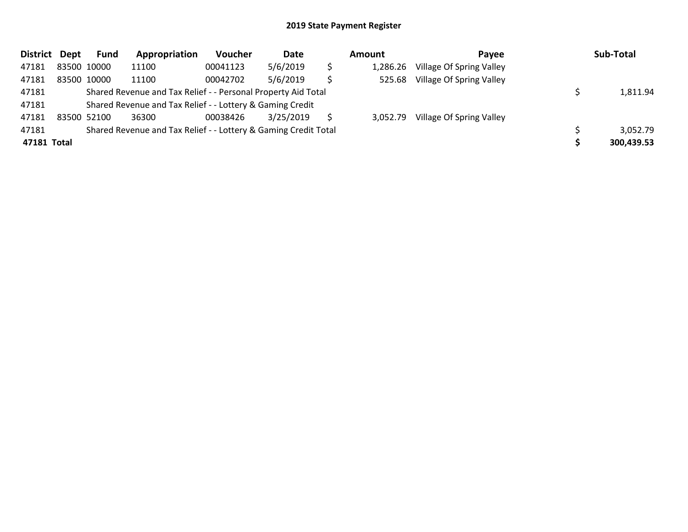| District    | Dept | <b>Fund</b> | Appropriation                                                   | <b>Voucher</b> | Date      |    | Amount   | Payee                    | Sub-Total  |
|-------------|------|-------------|-----------------------------------------------------------------|----------------|-----------|----|----------|--------------------------|------------|
| 47181       |      | 83500 10000 | 11100                                                           | 00041123       | 5/6/2019  | \$ | 1,286.26 | Village Of Spring Valley |            |
| 47181       |      | 83500 10000 | 11100                                                           | 00042702       | 5/6/2019  | S  | 525.68   | Village Of Spring Valley |            |
| 47181       |      |             | Shared Revenue and Tax Relief - - Personal Property Aid Total   |                |           |    |          |                          | 1,811.94   |
| 47181       |      |             | Shared Revenue and Tax Relief - - Lottery & Gaming Credit       |                |           |    |          |                          |            |
| 47181       |      | 83500 52100 | 36300                                                           | 00038426       | 3/25/2019 |    | 3,052.79 | Village Of Spring Valley |            |
| 47181       |      |             | Shared Revenue and Tax Relief - - Lottery & Gaming Credit Total |                |           |    |          |                          | 3,052.79   |
| 47181 Total |      |             |                                                                 |                |           |    |          |                          | 300,439.53 |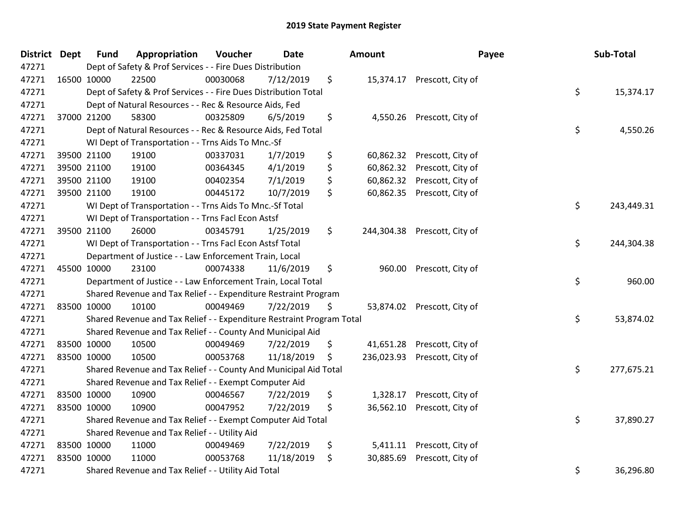| District Dept | <b>Fund</b>                                                     | Appropriation                                                         | Voucher   | <b>Date</b> |    | Amount    |                              | Payee | Sub-Total  |
|---------------|-----------------------------------------------------------------|-----------------------------------------------------------------------|-----------|-------------|----|-----------|------------------------------|-------|------------|
| 47271         |                                                                 | Dept of Safety & Prof Services - - Fire Dues Distribution             |           |             |    |           |                              |       |            |
| 47271         | 16500 10000                                                     | 22500                                                                 | 00030068  | 7/12/2019   | \$ |           | 15,374.17 Prescott, City of  |       |            |
| 47271         | Dept of Safety & Prof Services - - Fire Dues Distribution Total | \$                                                                    | 15,374.17 |             |    |           |                              |       |            |
| 47271         | Dept of Natural Resources - - Rec & Resource Aids, Fed          |                                                                       |           |             |    |           |                              |       |            |
| 47271         | 37000 21200                                                     | 58300                                                                 | 00325809  | 6/5/2019    | \$ | 4,550.26  | Prescott, City of            |       |            |
| 47271         |                                                                 | Dept of Natural Resources - - Rec & Resource Aids, Fed Total          |           |             |    |           |                              | \$    | 4,550.26   |
| 47271         |                                                                 | WI Dept of Transportation - - Trns Aids To Mnc.-Sf                    |           |             |    |           |                              |       |            |
| 47271         | 39500 21100                                                     | 19100                                                                 | 00337031  | 1/7/2019    | \$ | 60,862.32 | Prescott, City of            |       |            |
| 47271         | 39500 21100                                                     | 19100                                                                 | 00364345  | 4/1/2019    | \$ | 60,862.32 | Prescott, City of            |       |            |
| 47271         | 39500 21100                                                     | 19100                                                                 | 00402354  | 7/1/2019    | \$ | 60,862.32 | Prescott, City of            |       |            |
| 47271         | 39500 21100                                                     | 19100                                                                 | 00445172  | 10/7/2019   | \$ | 60,862.35 | Prescott, City of            |       |            |
| 47271         |                                                                 | WI Dept of Transportation - - Trns Aids To Mnc.-Sf Total              |           |             |    |           |                              | \$    | 243,449.31 |
| 47271         |                                                                 | WI Dept of Transportation - - Trns Facl Econ Astsf                    |           |             |    |           |                              |       |            |
| 47271         | 39500 21100                                                     | 26000                                                                 | 00345791  | 1/25/2019   | \$ |           | 244,304.38 Prescott, City of |       |            |
| 47271         | \$<br>WI Dept of Transportation - - Trns Facl Econ Astsf Total  |                                                                       |           |             |    |           |                              |       |            |
| 47271         |                                                                 | Department of Justice - - Law Enforcement Train, Local                |           |             |    |           |                              |       |            |
| 47271         | 45500 10000                                                     | 23100                                                                 | 00074338  | 11/6/2019   | \$ | 960.00    | Prescott, City of            |       |            |
| 47271         |                                                                 | Department of Justice - - Law Enforcement Train, Local Total          |           |             |    |           |                              | \$    | 960.00     |
| 47271         |                                                                 | Shared Revenue and Tax Relief - - Expenditure Restraint Program       |           |             |    |           |                              |       |            |
| 47271         | 83500 10000                                                     | 10100                                                                 | 00049469  | 7/22/2019   | Ş. |           | 53,874.02 Prescott, City of  |       |            |
| 47271         |                                                                 | Shared Revenue and Tax Relief - - Expenditure Restraint Program Total |           |             |    |           |                              | \$    | 53,874.02  |
| 47271         |                                                                 | Shared Revenue and Tax Relief - - County And Municipal Aid            |           |             |    |           |                              |       |            |
| 47271         | 83500 10000                                                     | 10500                                                                 | 00049469  | 7/22/2019   | \$ |           | 41,651.28 Prescott, City of  |       |            |
| 47271         | 83500 10000                                                     | 10500                                                                 | 00053768  | 11/18/2019  | \$ |           | 236,023.93 Prescott, City of |       |            |
| 47271         |                                                                 | Shared Revenue and Tax Relief - - County And Municipal Aid Total      |           |             |    |           |                              | \$    | 277,675.21 |
| 47271         |                                                                 | Shared Revenue and Tax Relief - - Exempt Computer Aid                 |           |             |    |           |                              |       |            |
| 47271         | 83500 10000                                                     | 10900                                                                 | 00046567  | 7/22/2019   | \$ | 1,328.17  | Prescott, City of            |       |            |
| 47271         | 83500 10000                                                     | 10900                                                                 | 00047952  | 7/22/2019   | \$ | 36,562.10 | Prescott, City of            |       |            |
| 47271         |                                                                 | Shared Revenue and Tax Relief - - Exempt Computer Aid Total           |           |             |    |           |                              | \$    | 37,890.27  |
| 47271         |                                                                 | Shared Revenue and Tax Relief - - Utility Aid                         |           |             |    |           |                              |       |            |
| 47271         | 83500 10000                                                     | 11000                                                                 | 00049469  | 7/22/2019   | \$ | 5,411.11  | Prescott, City of            |       |            |
| 47271         | 83500 10000                                                     | 11000                                                                 | 00053768  | 11/18/2019  | \$ | 30,885.69 | Prescott, City of            |       |            |
| 47271         | Shared Revenue and Tax Relief - - Utility Aid Total             |                                                                       |           |             |    |           |                              |       | 36,296.80  |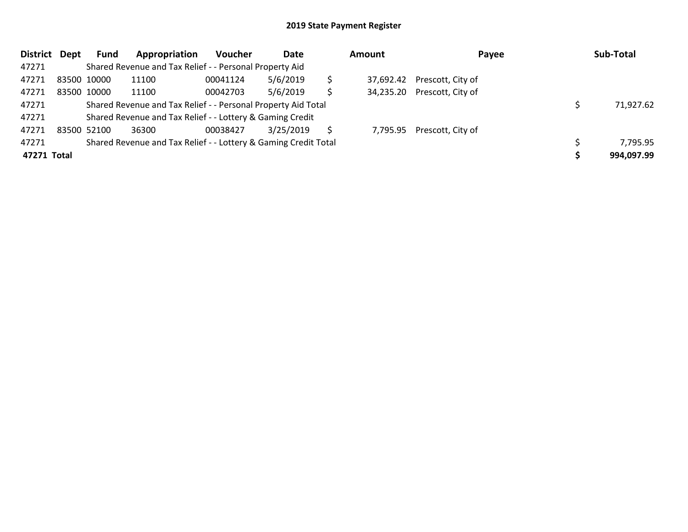| District    | Dept | Fund                                                      | Appropriation                                                   | <b>Voucher</b> | Date      |   | <b>Amount</b> | Payee                       | Sub-Total  |
|-------------|------|-----------------------------------------------------------|-----------------------------------------------------------------|----------------|-----------|---|---------------|-----------------------------|------------|
| 47271       |      |                                                           | Shared Revenue and Tax Relief - - Personal Property Aid         |                |           |   |               |                             |            |
| 47271       |      | 83500 10000                                               | 11100                                                           | 00041124       | 5/6/2019  |   |               | 37,692.42 Prescott, City of |            |
| 47271       |      | 83500 10000                                               | 11100                                                           | 00042703       | 5/6/2019  | S |               | 34,235.20 Prescott, City of |            |
| 47271       |      |                                                           | Shared Revenue and Tax Relief - - Personal Property Aid Total   |                |           |   |               |                             | 71,927.62  |
| 47271       |      | Shared Revenue and Tax Relief - - Lottery & Gaming Credit |                                                                 |                |           |   |               |                             |            |
| 47271       |      | 83500 52100                                               | 36300                                                           | 00038427       | 3/25/2019 |   |               | 7,795.95 Prescott, City of  |            |
| 47271       |      |                                                           | Shared Revenue and Tax Relief - - Lottery & Gaming Credit Total |                |           |   |               |                             | 7,795.95   |
| 47271 Total |      |                                                           |                                                                 |                |           |   |               |                             | 994,097.99 |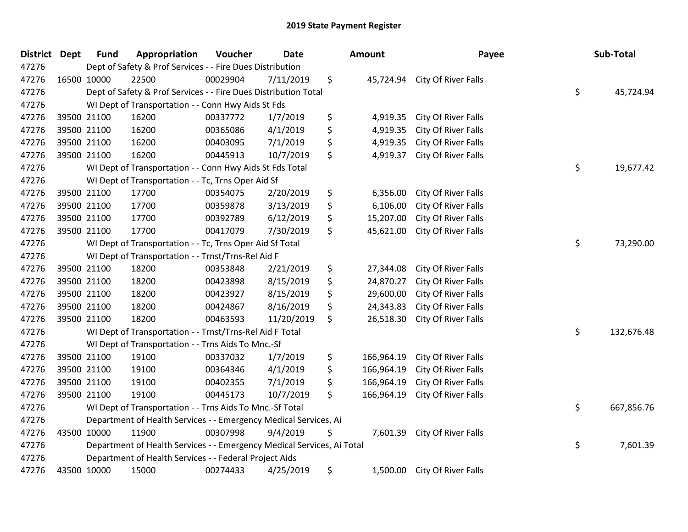| District Dept | <b>Fund</b>                                              | Appropriation                                                          | Voucher  | <b>Date</b> |    | Amount     | Payee               |    | Sub-Total  |
|---------------|----------------------------------------------------------|------------------------------------------------------------------------|----------|-------------|----|------------|---------------------|----|------------|
| 47276         |                                                          | Dept of Safety & Prof Services - - Fire Dues Distribution              |          |             |    |            |                     |    |            |
| 47276         | 16500 10000                                              | 22500                                                                  | 00029904 | 7/11/2019   | \$ | 45,724.94  | City Of River Falls |    |            |
| 47276         |                                                          | Dept of Safety & Prof Services - - Fire Dues Distribution Total        |          |             |    |            |                     | \$ | 45,724.94  |
| 47276         | WI Dept of Transportation - - Conn Hwy Aids St Fds       |                                                                        |          |             |    |            |                     |    |            |
| 47276         | 39500 21100                                              | 16200                                                                  | 00337772 | 1/7/2019    | \$ | 4,919.35   | City Of River Falls |    |            |
| 47276         | 39500 21100                                              | 16200                                                                  | 00365086 | 4/1/2019    | \$ | 4,919.35   | City Of River Falls |    |            |
| 47276         | 39500 21100                                              | 16200                                                                  | 00403095 | 7/1/2019    | \$ | 4,919.35   | City Of River Falls |    |            |
| 47276         | 39500 21100                                              | 16200                                                                  | 00445913 | 10/7/2019   | \$ | 4,919.37   | City Of River Falls |    |            |
| 47276         |                                                          | WI Dept of Transportation - - Conn Hwy Aids St Fds Total               |          |             |    |            |                     | \$ | 19,677.42  |
| 47276         |                                                          | WI Dept of Transportation - - Tc, Trns Oper Aid Sf                     |          |             |    |            |                     |    |            |
| 47276         | 39500 21100                                              | 17700                                                                  | 00354075 | 2/20/2019   | \$ | 6,356.00   | City Of River Falls |    |            |
| 47276         | 39500 21100                                              | 17700                                                                  | 00359878 | 3/13/2019   | \$ | 6,106.00   | City Of River Falls |    |            |
| 47276         | 39500 21100                                              | 17700                                                                  | 00392789 | 6/12/2019   | \$ | 15,207.00  | City Of River Falls |    |            |
| 47276         | 39500 21100                                              | 17700                                                                  | 00417079 | 7/30/2019   | \$ | 45,621.00  | City Of River Falls |    |            |
| 47276         | WI Dept of Transportation - - Tc, Trns Oper Aid Sf Total |                                                                        |          |             |    |            |                     |    | 73,290.00  |
| 47276         |                                                          | WI Dept of Transportation - - Trnst/Trns-Rel Aid F                     |          |             |    |            |                     |    |            |
| 47276         | 39500 21100                                              | 18200                                                                  | 00353848 | 2/21/2019   | \$ | 27,344.08  | City Of River Falls |    |            |
| 47276         | 39500 21100                                              | 18200                                                                  | 00423898 | 8/15/2019   | \$ | 24,870.27  | City Of River Falls |    |            |
| 47276         | 39500 21100                                              | 18200                                                                  | 00423927 | 8/15/2019   | \$ | 29,600.00  | City Of River Falls |    |            |
| 47276         | 39500 21100                                              | 18200                                                                  | 00424867 | 8/16/2019   | \$ | 24,343.83  | City Of River Falls |    |            |
| 47276         | 39500 21100                                              | 18200                                                                  | 00463593 | 11/20/2019  | \$ | 26,518.30  | City Of River Falls |    |            |
| 47276         |                                                          | WI Dept of Transportation - - Trnst/Trns-Rel Aid F Total               |          |             |    |            |                     | \$ | 132,676.48 |
| 47276         |                                                          | WI Dept of Transportation - - Trns Aids To Mnc.-Sf                     |          |             |    |            |                     |    |            |
| 47276         | 39500 21100                                              | 19100                                                                  | 00337032 | 1/7/2019    | \$ | 166,964.19 | City Of River Falls |    |            |
| 47276         | 39500 21100                                              | 19100                                                                  | 00364346 | 4/1/2019    | \$ | 166,964.19 | City Of River Falls |    |            |
| 47276         | 39500 21100                                              | 19100                                                                  | 00402355 | 7/1/2019    | \$ | 166,964.19 | City Of River Falls |    |            |
| 47276         | 39500 21100                                              | 19100                                                                  | 00445173 | 10/7/2019   | \$ | 166,964.19 | City Of River Falls |    |            |
| 47276         |                                                          | WI Dept of Transportation - - Trns Aids To Mnc.-Sf Total               |          |             |    |            |                     | \$ | 667,856.76 |
| 47276         |                                                          | Department of Health Services - - Emergency Medical Services, Ai       |          |             |    |            |                     |    |            |
| 47276         | 43500 10000                                              | 11900                                                                  | 00307998 | 9/4/2019    | \$ | 7,601.39   | City Of River Falls |    |            |
| 47276         |                                                          | Department of Health Services - - Emergency Medical Services, Ai Total |          |             |    |            |                     | \$ | 7,601.39   |
| 47276         |                                                          | Department of Health Services - - Federal Project Aids                 |          |             |    |            |                     |    |            |
| 47276         | 43500 10000                                              | 15000                                                                  | 00274433 | 4/25/2019   | \$ | 1,500.00   | City Of River Falls |    |            |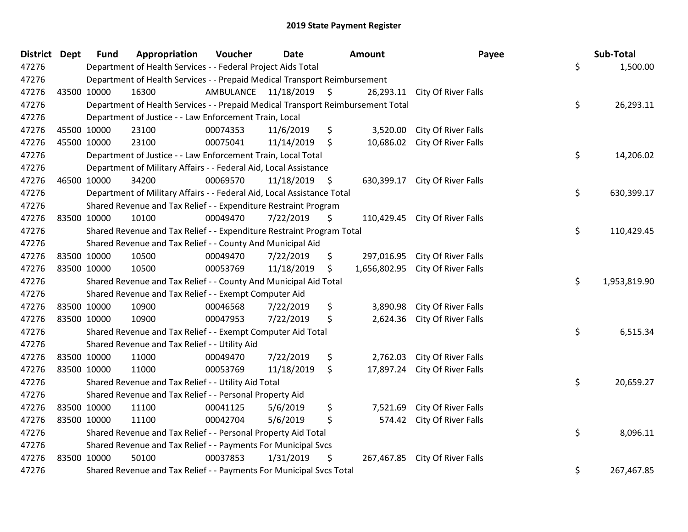| <b>District Dept</b> |             | <b>Fund</b>                                             | Appropriation                                                                   | Voucher                 | <b>Date</b>   |         | Amount     | Payee                            | Sub-Total          |
|----------------------|-------------|---------------------------------------------------------|---------------------------------------------------------------------------------|-------------------------|---------------|---------|------------|----------------------------------|--------------------|
| 47276                |             |                                                         | Department of Health Services - - Federal Project Aids Total                    |                         |               |         |            |                                  | \$<br>1,500.00     |
| 47276                |             |                                                         | Department of Health Services - - Prepaid Medical Transport Reimbursement       |                         |               |         |            |                                  |                    |
| 47276                |             | 43500 10000                                             | 16300                                                                           | AMBULANCE 11/18/2019 \$ |               |         |            | 26,293.11 City Of River Falls    |                    |
| 47276                |             |                                                         | Department of Health Services - - Prepaid Medical Transport Reimbursement Total |                         |               |         |            |                                  | \$<br>26,293.11    |
| 47276                |             | Department of Justice - - Law Enforcement Train, Local  |                                                                                 |                         |               |         |            |                                  |                    |
| 47276                |             | 45500 10000                                             | 23100                                                                           | 00074353                | 11/6/2019     | \$      | 3,520.00   | City Of River Falls              |                    |
| 47276                |             | 45500 10000                                             | 23100                                                                           | 00075041                | 11/14/2019    | \$      | 10,686.02  | City Of River Falls              |                    |
| 47276                |             |                                                         | Department of Justice - - Law Enforcement Train, Local Total                    |                         |               |         |            |                                  | \$<br>14,206.02    |
| 47276                |             |                                                         | Department of Military Affairs - - Federal Aid, Local Assistance                |                         |               |         |            |                                  |                    |
| 47276                |             | 46500 10000                                             | 34200                                                                           | 00069570                | 11/18/2019 \$ |         |            | 630,399.17 City Of River Falls   |                    |
| 47276                |             |                                                         | Department of Military Affairs - - Federal Aid, Local Assistance Total          |                         |               |         |            |                                  | \$<br>630,399.17   |
| 47276                |             |                                                         | Shared Revenue and Tax Relief - - Expenditure Restraint Program                 |                         |               |         |            |                                  |                    |
| 47276                |             | 83500 10000                                             | 10100                                                                           | 00049470                | 7/22/2019     | \$      |            | 110,429.45 City Of River Falls   |                    |
| 47276                |             |                                                         | Shared Revenue and Tax Relief - - Expenditure Restraint Program Total           |                         |               |         |            |                                  | \$<br>110,429.45   |
| 47276                |             |                                                         | Shared Revenue and Tax Relief - - County And Municipal Aid                      |                         |               |         |            |                                  |                    |
| 47276                |             | 83500 10000                                             | 10500                                                                           | 00049470                | 7/22/2019     | \$      | 297,016.95 | City Of River Falls              |                    |
| 47276                |             | 83500 10000                                             | 10500                                                                           | 00053769                | 11/18/2019    | \$      |            | 1,656,802.95 City Of River Falls |                    |
| 47276                |             |                                                         | Shared Revenue and Tax Relief - - County And Municipal Aid Total                |                         |               |         |            |                                  | \$<br>1,953,819.90 |
| 47276                |             |                                                         | Shared Revenue and Tax Relief - - Exempt Computer Aid                           |                         |               |         |            |                                  |                    |
| 47276                |             | 83500 10000                                             | 10900                                                                           | 00046568                | 7/22/2019     | \$      | 3,890.98   | City Of River Falls              |                    |
| 47276                | 83500 10000 |                                                         | 10900                                                                           | 00047953                | 7/22/2019     | \$      | 2,624.36   | City Of River Falls              |                    |
| 47276                |             |                                                         | Shared Revenue and Tax Relief - - Exempt Computer Aid Total                     |                         |               |         |            |                                  | \$<br>6,515.34     |
| 47276                |             |                                                         | Shared Revenue and Tax Relief - - Utility Aid                                   |                         |               |         |            |                                  |                    |
| 47276                |             | 83500 10000                                             | 11000                                                                           | 00049470                | 7/22/2019     | \$      | 2,762.03   | City Of River Falls              |                    |
| 47276                |             | 83500 10000                                             | 11000                                                                           | 00053769                | 11/18/2019    | $\zeta$ | 17,897.24  | City Of River Falls              |                    |
| 47276                |             |                                                         | Shared Revenue and Tax Relief - - Utility Aid Total                             |                         |               |         |            |                                  | \$<br>20,659.27    |
| 47276                |             | Shared Revenue and Tax Relief - - Personal Property Aid |                                                                                 |                         |               |         |            |                                  |                    |
| 47276                |             | 83500 10000                                             | 11100                                                                           | 00041125                | 5/6/2019      | \$      | 7,521.69   | City Of River Falls              |                    |
| 47276                | 83500 10000 |                                                         | 11100                                                                           | 00042704                | 5/6/2019      | \$      | 574.42     | City Of River Falls              |                    |
| 47276                |             |                                                         | Shared Revenue and Tax Relief - - Personal Property Aid Total                   |                         |               |         |            |                                  | \$<br>8,096.11     |
| 47276                |             |                                                         | Shared Revenue and Tax Relief - - Payments For Municipal Svcs                   |                         |               |         |            |                                  |                    |
| 47276                |             | 83500 10000                                             | 50100                                                                           | 00037853                | 1/31/2019     | \$      |            | 267,467.85 City Of River Falls   |                    |
| 47276                |             |                                                         | Shared Revenue and Tax Relief - - Payments For Municipal Svcs Total             |                         |               |         |            |                                  | \$<br>267,467.85   |